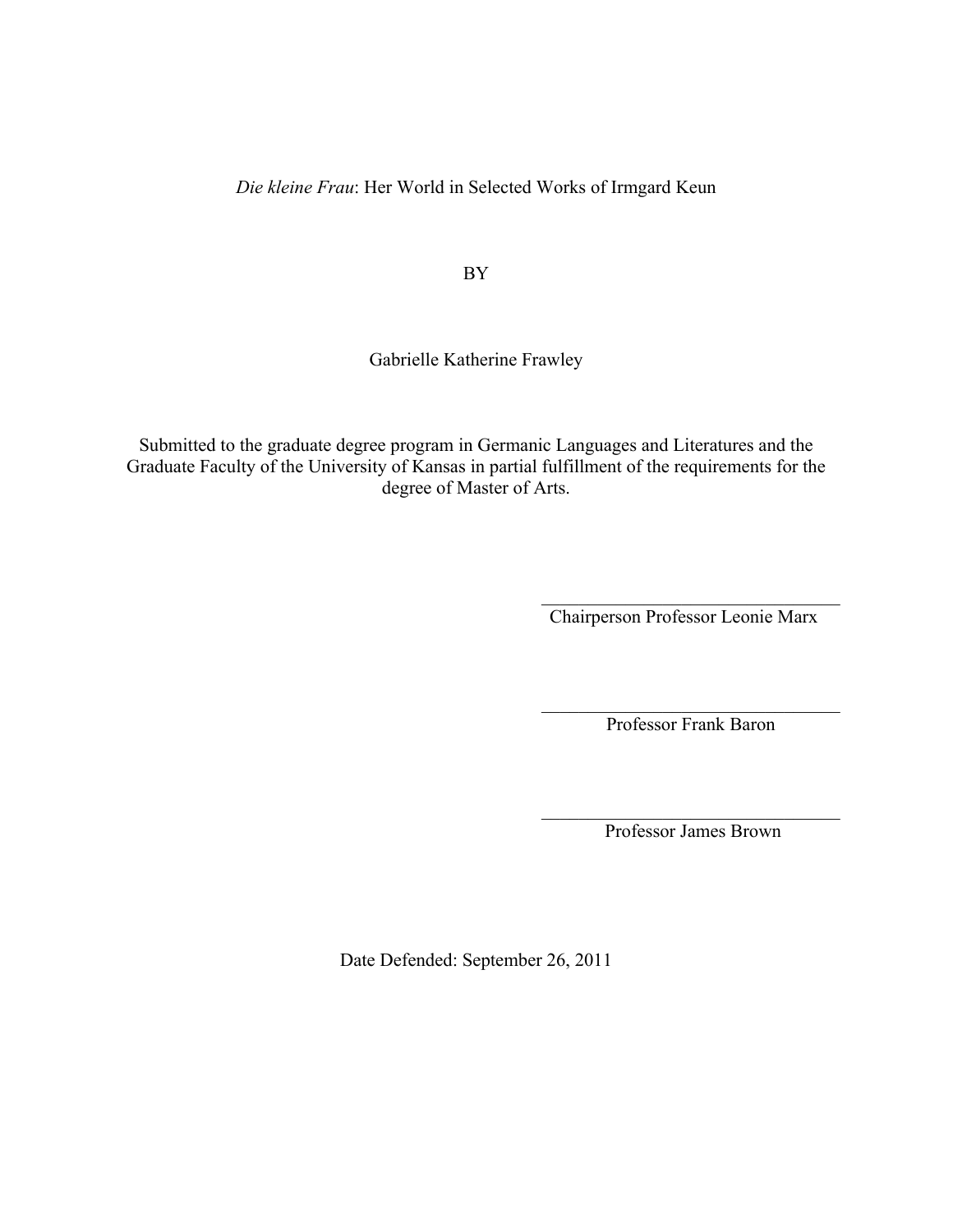*Die kleine Frau*: Her World in Selected Works of Irmgard Keun

BY

Gabrielle Katherine Frawley

Submitted to the graduate degree program in Germanic Languages and Literatures and the Graduate Faculty of the University of Kansas in partial fulfillment of the requirements for the degree of Master of Arts.

> $\mathcal{L}_\text{max}$  , and the set of the set of the set of the set of the set of the set of the set of the set of the set of the set of the set of the set of the set of the set of the set of the set of the set of the set of the Chairperson Professor Leonie Marx

> $\mathcal{L}_\text{max}$  , and the set of the set of the set of the set of the set of the set of the set of the set of the set of the set of the set of the set of the set of the set of the set of the set of the set of the set of the Professor Frank Baron

> $\mathcal{L}_\text{max}$  , and the set of the set of the set of the set of the set of the set of the set of the set of the set of the set of the set of the set of the set of the set of the set of the set of the set of the set of the Professor James Brown

Date Defended: September 26, 2011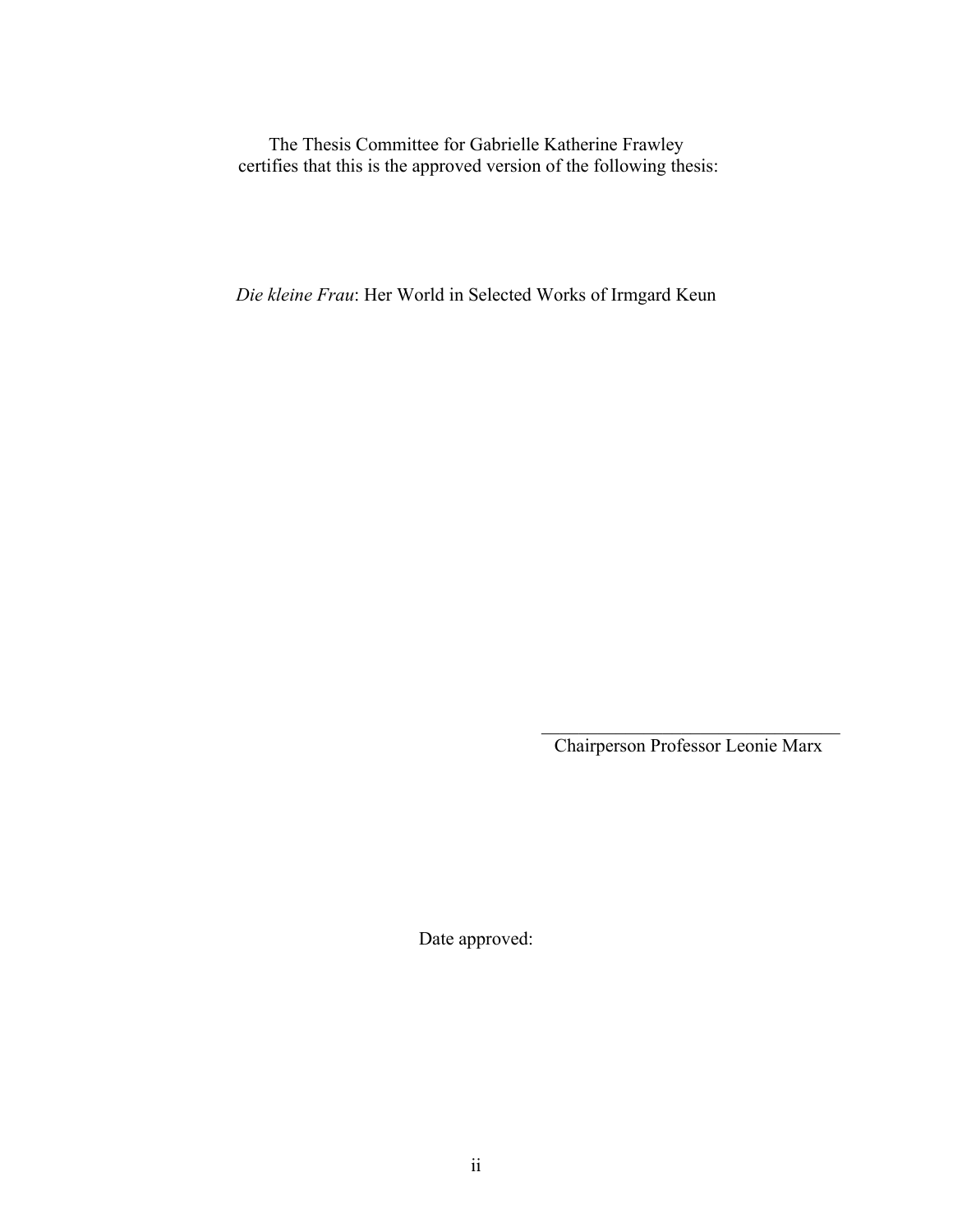The Thesis Committee for Gabrielle Katherine Frawley certifies that this is the approved version of the following thesis:

*Die kleine Frau*: Her World in Selected Works of Irmgard Keun

 $\mathcal{L}_\text{max}$  , and the set of the set of the set of the set of the set of the set of the set of the set of the set of the set of the set of the set of the set of the set of the set of the set of the set of the set of the Chairperson Professor Leonie Marx

Date approved: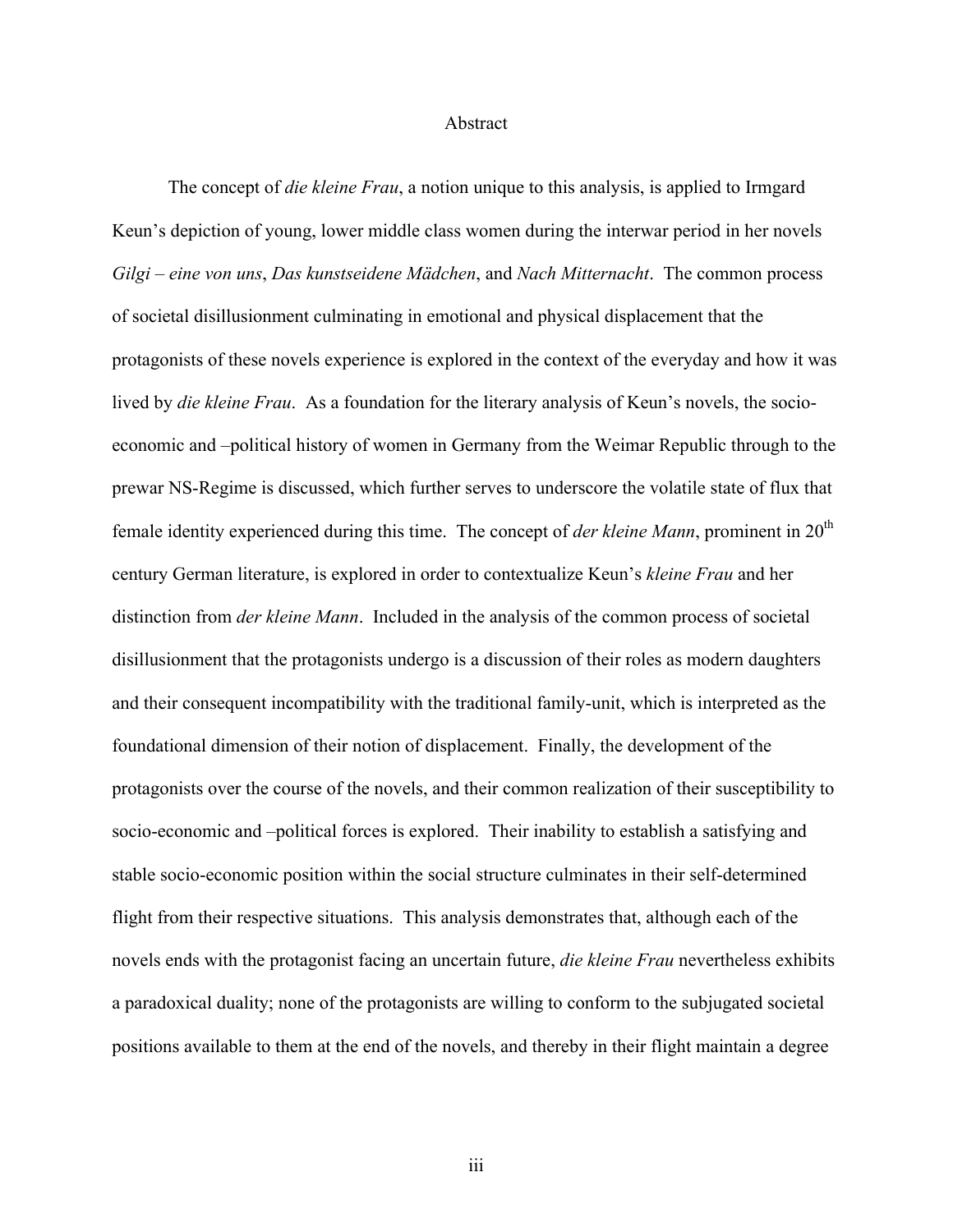#### Abstract

The concept of *die kleine Frau*, a notion unique to this analysis, is applied to Irmgard Keun's depiction of young, lower middle class women during the interwar period in her novels *Gilgi – eine von uns*, *Das kunstseidene Mädchen*, and *Nach Mitternacht*. The common process of societal disillusionment culminating in emotional and physical displacement that the protagonists of these novels experience is explored in the context of the everyday and how it was lived by *die kleine Frau*. As a foundation for the literary analysis of Keun's novels, the socioeconomic and –political history of women in Germany from the Weimar Republic through to the prewar NS-Regime is discussed, which further serves to underscore the volatile state of flux that female identity experienced during this time. The concept of *der kleine Mann*, prominent in 20<sup>th</sup> century German literature, is explored in order to contextualize Keun's *kleine Frau* and her distinction from *der kleine Mann*. Included in the analysis of the common process of societal disillusionment that the protagonists undergo is a discussion of their roles as modern daughters and their consequent incompatibility with the traditional family-unit, which is interpreted as the foundational dimension of their notion of displacement. Finally, the development of the protagonists over the course of the novels, and their common realization of their susceptibility to socio-economic and –political forces is explored. Their inability to establish a satisfying and stable socio-economic position within the social structure culminates in their self-determined flight from their respective situations. This analysis demonstrates that, although each of the novels ends with the protagonist facing an uncertain future, *die kleine Frau* nevertheless exhibits a paradoxical duality; none of the protagonists are willing to conform to the subjugated societal positions available to them at the end of the novels, and thereby in their flight maintain a degree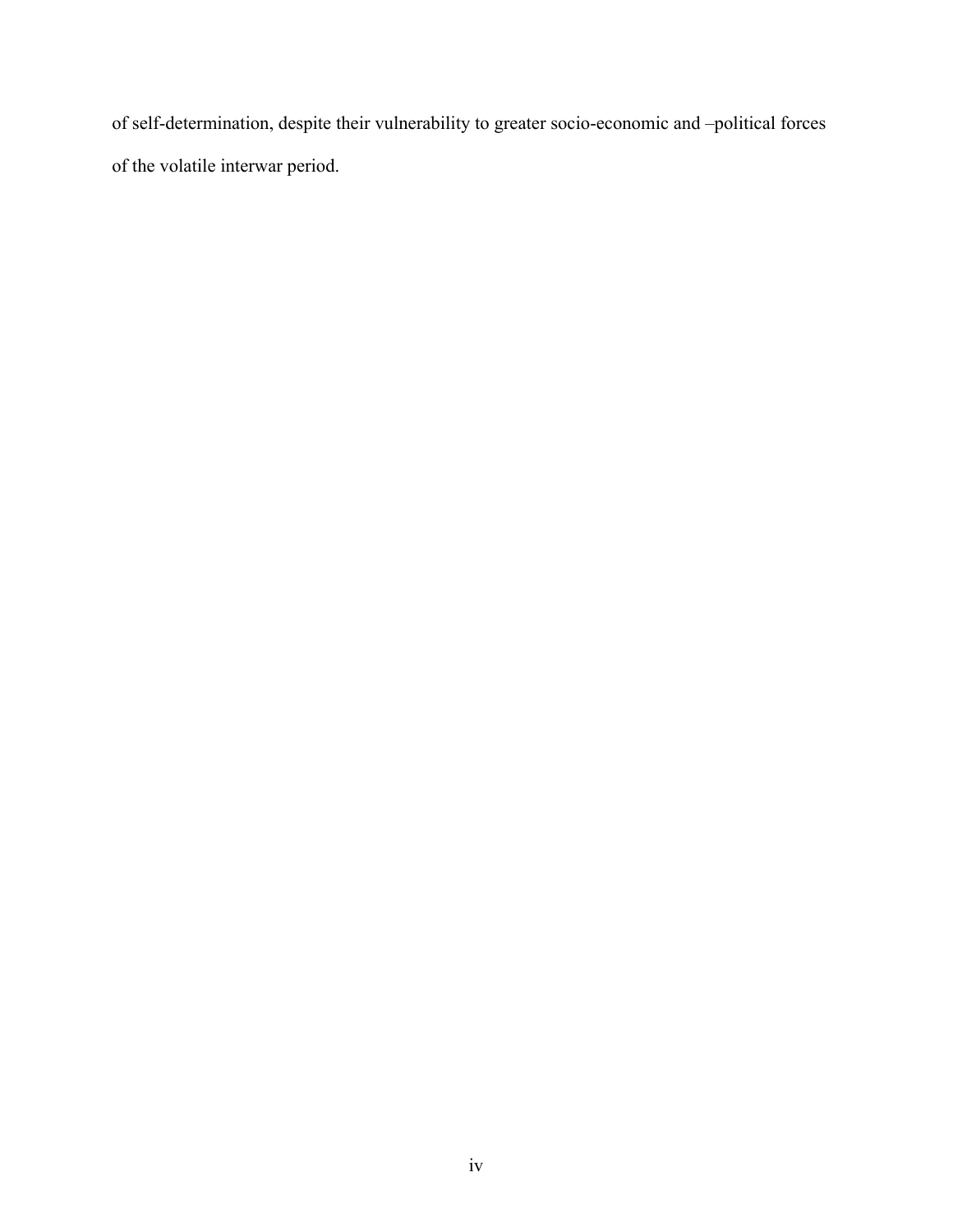of self-determination, despite their vulnerability to greater socio-economic and –political forces of the volatile interwar period.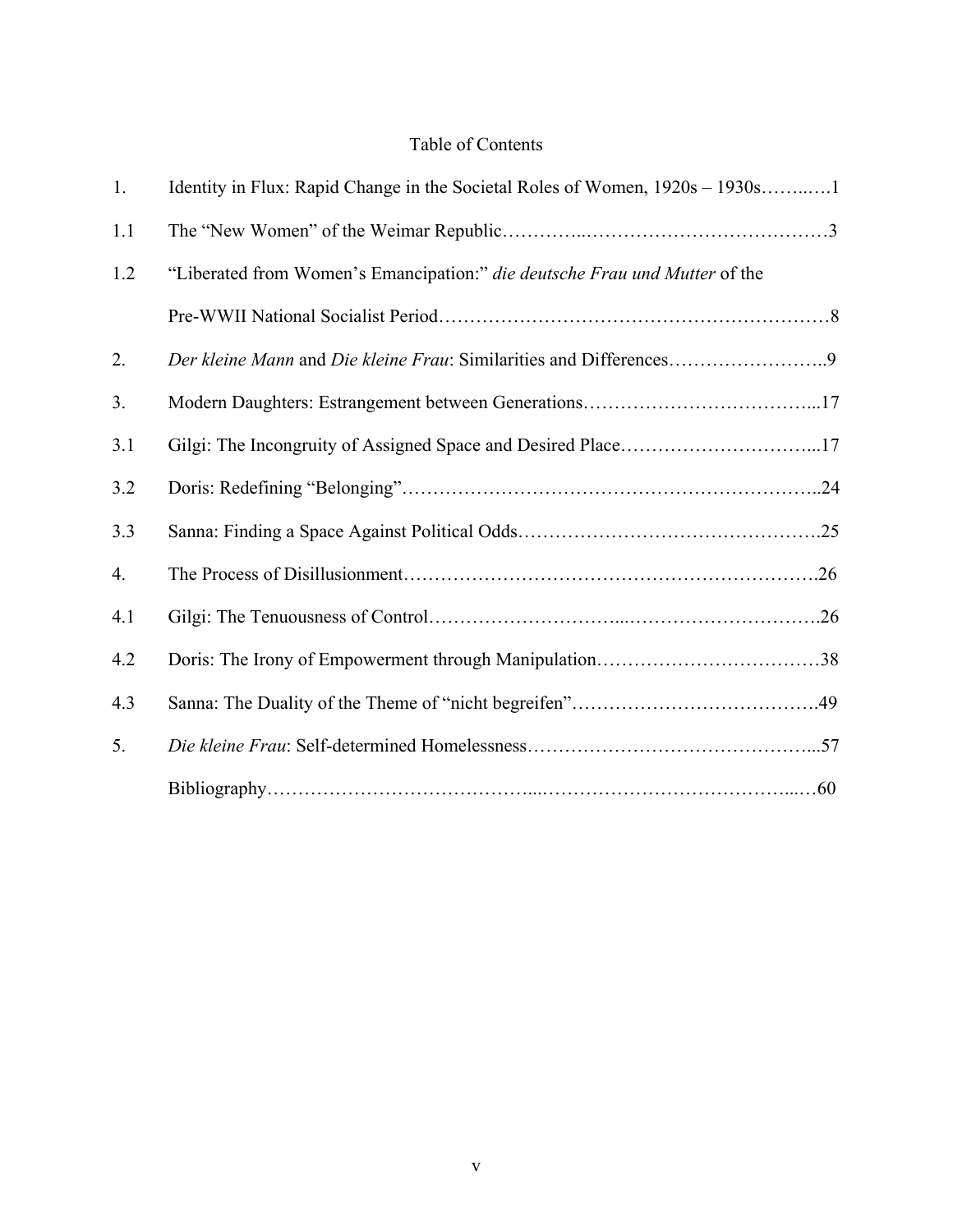# Table of Contents

| 1.  | Identity in Flux: Rapid Change in the Societal Roles of Women, 1920s - 1930s1 |
|-----|-------------------------------------------------------------------------------|
| 1.1 |                                                                               |
| 1.2 | "Liberated from Women's Emancipation:" die deutsche Frau und Mutter of the    |
|     |                                                                               |
| 2.  |                                                                               |
| 3.  |                                                                               |
| 3.1 |                                                                               |
| 3.2 |                                                                               |
| 3.3 |                                                                               |
| 4.  |                                                                               |
| 4.1 |                                                                               |
| 4.2 |                                                                               |
| 4.3 |                                                                               |
| 5.  |                                                                               |
|     |                                                                               |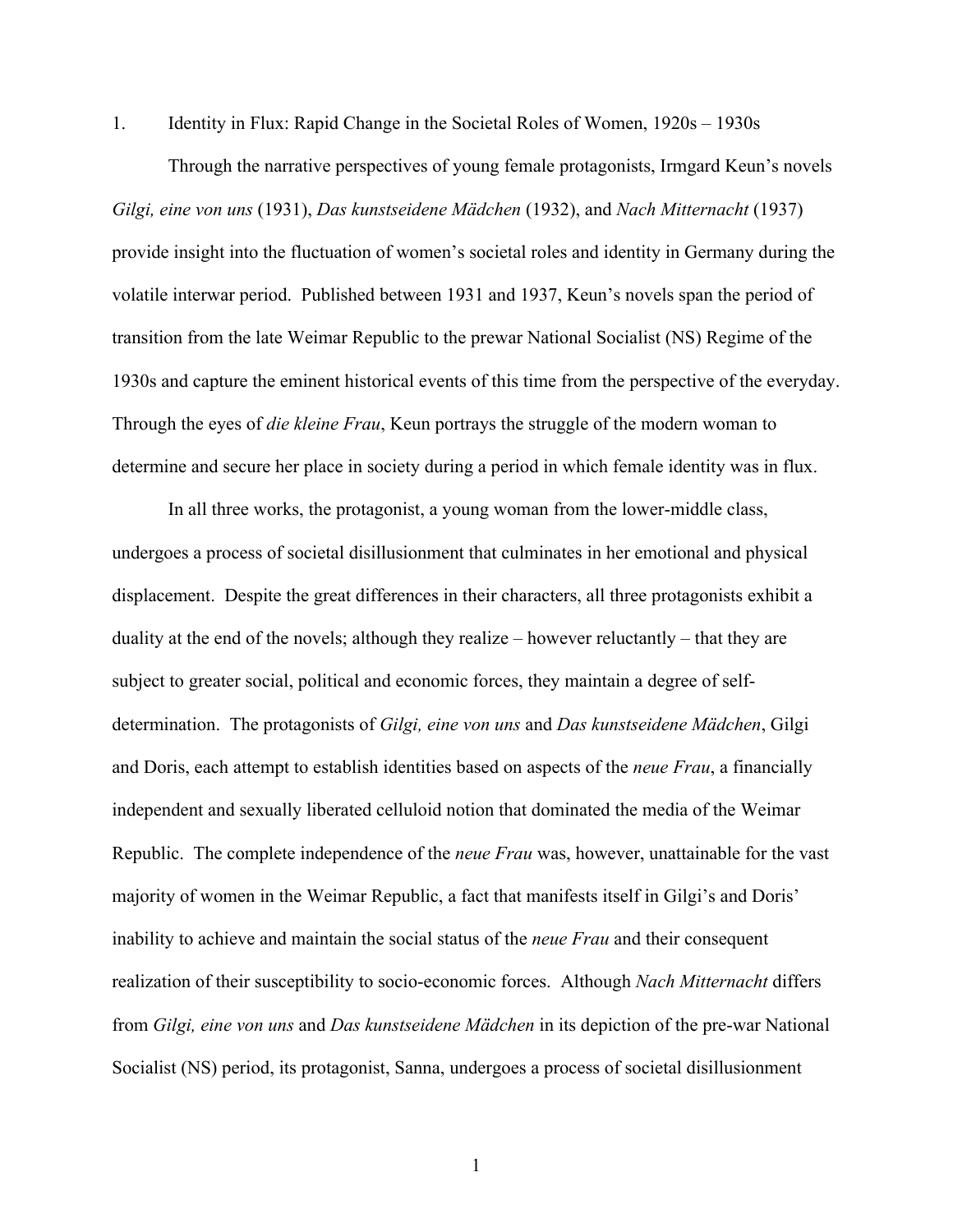1. Identity in Flux: Rapid Change in the Societal Roles of Women, 1920s – 1930s

Through the narrative perspectives of young female protagonists, Irmgard Keun's novels *Gilgi, eine von uns* (1931), *Das kunstseidene Mädchen* (1932), and *Nach Mitternacht* (1937) provide insight into the fluctuation of women's societal roles and identity in Germany during the volatile interwar period. Published between 1931 and 1937, Keun's novels span the period of transition from the late Weimar Republic to the prewar National Socialist (NS) Regime of the 1930s and capture the eminent historical events of this time from the perspective of the everyday. Through the eyes of *die kleine Frau*, Keun portrays the struggle of the modern woman to determine and secure her place in society during a period in which female identity was in flux.

In all three works, the protagonist, a young woman from the lower-middle class, undergoes a process of societal disillusionment that culminates in her emotional and physical displacement. Despite the great differences in their characters, all three protagonists exhibit a duality at the end of the novels; although they realize – however reluctantly – that they are subject to greater social, political and economic forces, they maintain a degree of selfdetermination. The protagonists of *Gilgi, eine von uns* and *Das kunstseidene Mädchen*, Gilgi and Doris, each attempt to establish identities based on aspects of the *neue Frau*, a financially independent and sexually liberated celluloid notion that dominated the media of the Weimar Republic. The complete independence of the *neue Frau* was, however, unattainable for the vast majority of women in the Weimar Republic, a fact that manifests itself in Gilgi's and Doris' inability to achieve and maintain the social status of the *neue Frau* and their consequent realization of their susceptibility to socio-economic forces. Although *Nach Mitternacht* differs from *Gilgi, eine von uns* and *Das kunstseidene Mädchen* in its depiction of the pre-war National Socialist (NS) period, its protagonist, Sanna, undergoes a process of societal disillusionment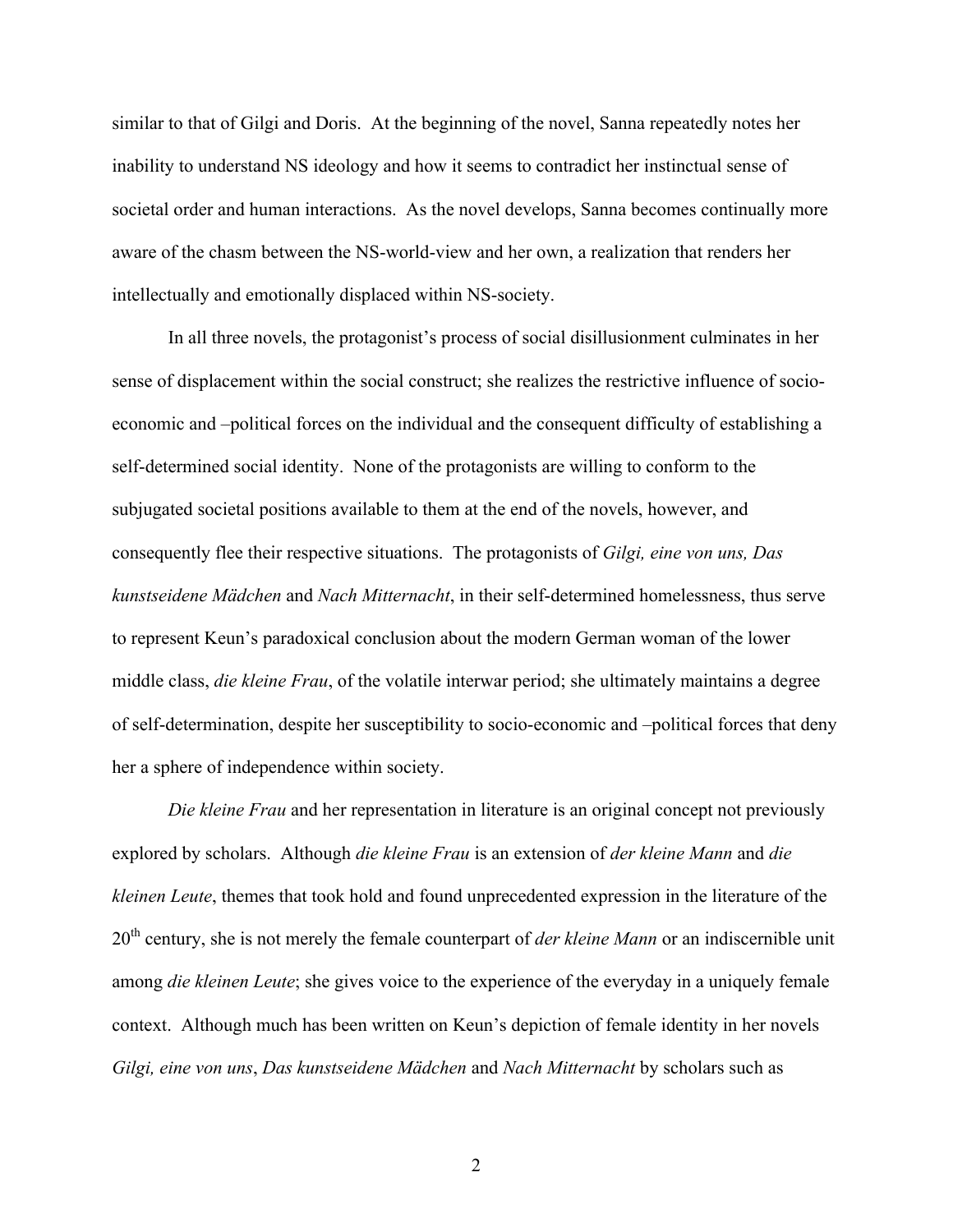similar to that of Gilgi and Doris. At the beginning of the novel, Sanna repeatedly notes her inability to understand NS ideology and how it seems to contradict her instinctual sense of societal order and human interactions. As the novel develops, Sanna becomes continually more aware of the chasm between the NS-world-view and her own, a realization that renders her intellectually and emotionally displaced within NS-society.

In all three novels, the protagonist's process of social disillusionment culminates in her sense of displacement within the social construct; she realizes the restrictive influence of socioeconomic and –political forces on the individual and the consequent difficulty of establishing a self-determined social identity. None of the protagonists are willing to conform to the subjugated societal positions available to them at the end of the novels, however, and consequently flee their respective situations. The protagonists of *Gilgi, eine von uns, Das kunstseidene Mädchen* and *Nach Mitternacht*, in their self-determined homelessness, thus serve to represent Keun's paradoxical conclusion about the modern German woman of the lower middle class, *die kleine Frau*, of the volatile interwar period; she ultimately maintains a degree of self-determination, despite her susceptibility to socio-economic and –political forces that deny her a sphere of independence within society.

*Die kleine Frau* and her representation in literature is an original concept not previously explored by scholars. Although *die kleine Frau* is an extension of *der kleine Mann* and *die kleinen Leute*, themes that took hold and found unprecedented expression in the literature of the 20th century, she is not merely the female counterpart of *der kleine Mann* or an indiscernible unit among *die kleinen Leute*; she gives voice to the experience of the everyday in a uniquely female context. Although much has been written on Keun's depiction of female identity in her novels *Gilgi, eine von uns*, *Das kunstseidene Mädchen* and *Nach Mitternacht* by scholars such as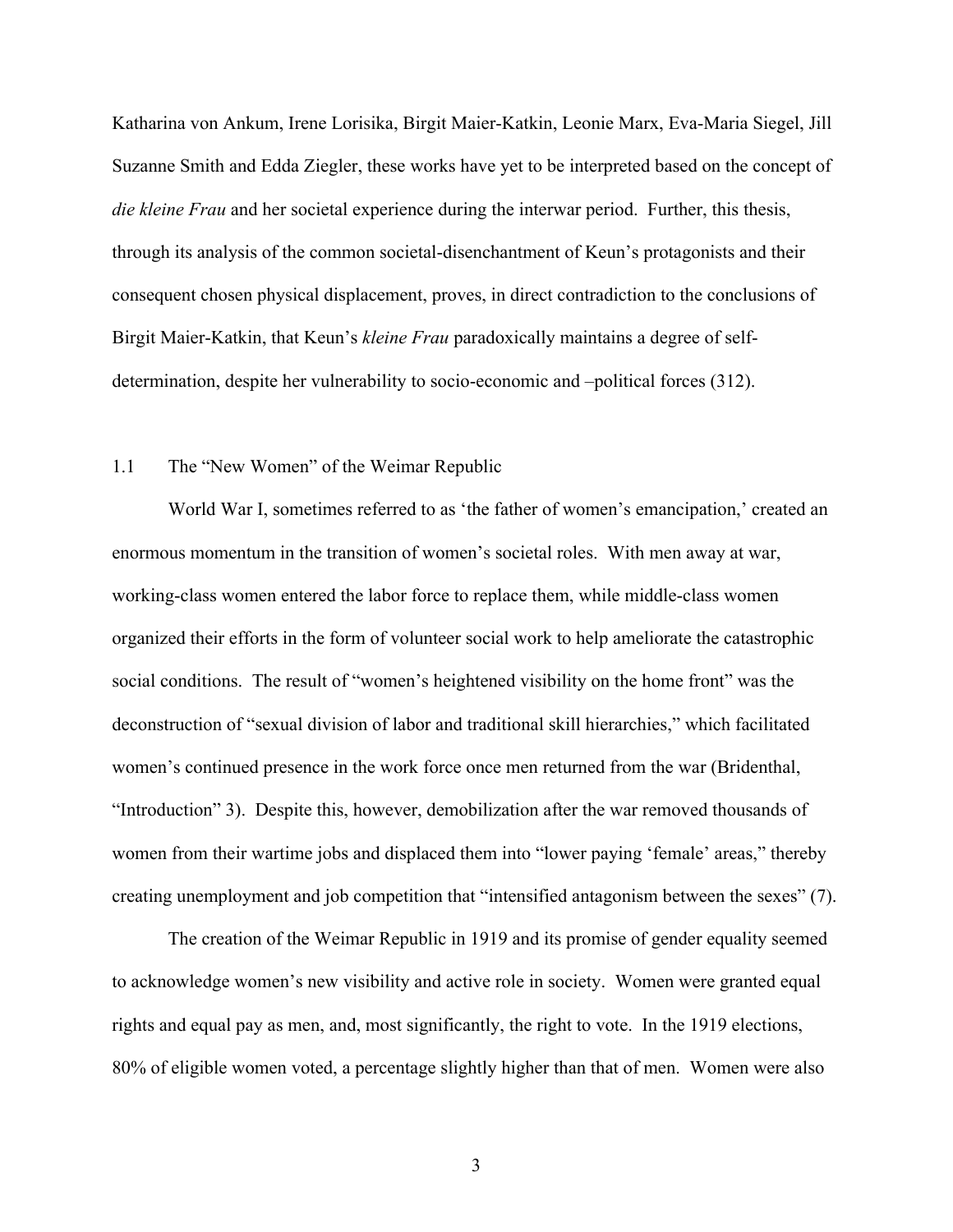Katharina von Ankum, Irene Lorisika, Birgit Maier-Katkin, Leonie Marx, Eva-Maria Siegel, Jill Suzanne Smith and Edda Ziegler, these works have yet to be interpreted based on the concept of *die kleine Frau* and her societal experience during the interwar period. Further, this thesis, through its analysis of the common societal-disenchantment of Keun's protagonists and their consequent chosen physical displacement, proves, in direct contradiction to the conclusions of Birgit Maier-Katkin, that Keun's *kleine Frau* paradoxically maintains a degree of selfdetermination, despite her vulnerability to socio-economic and –political forces (312).

#### 1.1 The "New Women" of the Weimar Republic

World War I, sometimes referred to as 'the father of women's emancipation,' created an enormous momentum in the transition of women's societal roles. With men away at war, working-class women entered the labor force to replace them, while middle-class women organized their efforts in the form of volunteer social work to help ameliorate the catastrophic social conditions. The result of "women's heightened visibility on the home front" was the deconstruction of "sexual division of labor and traditional skill hierarchies," which facilitated women's continued presence in the work force once men returned from the war (Bridenthal, "Introduction" 3). Despite this, however, demobilization after the war removed thousands of women from their wartime jobs and displaced them into "lower paying 'female' areas," thereby creating unemployment and job competition that "intensified antagonism between the sexes" (7).

The creation of the Weimar Republic in 1919 and its promise of gender equality seemed to acknowledge women's new visibility and active role in society. Women were granted equal rights and equal pay as men, and, most significantly, the right to vote. In the 1919 elections, 80% of eligible women voted, a percentage slightly higher than that of men. Women were also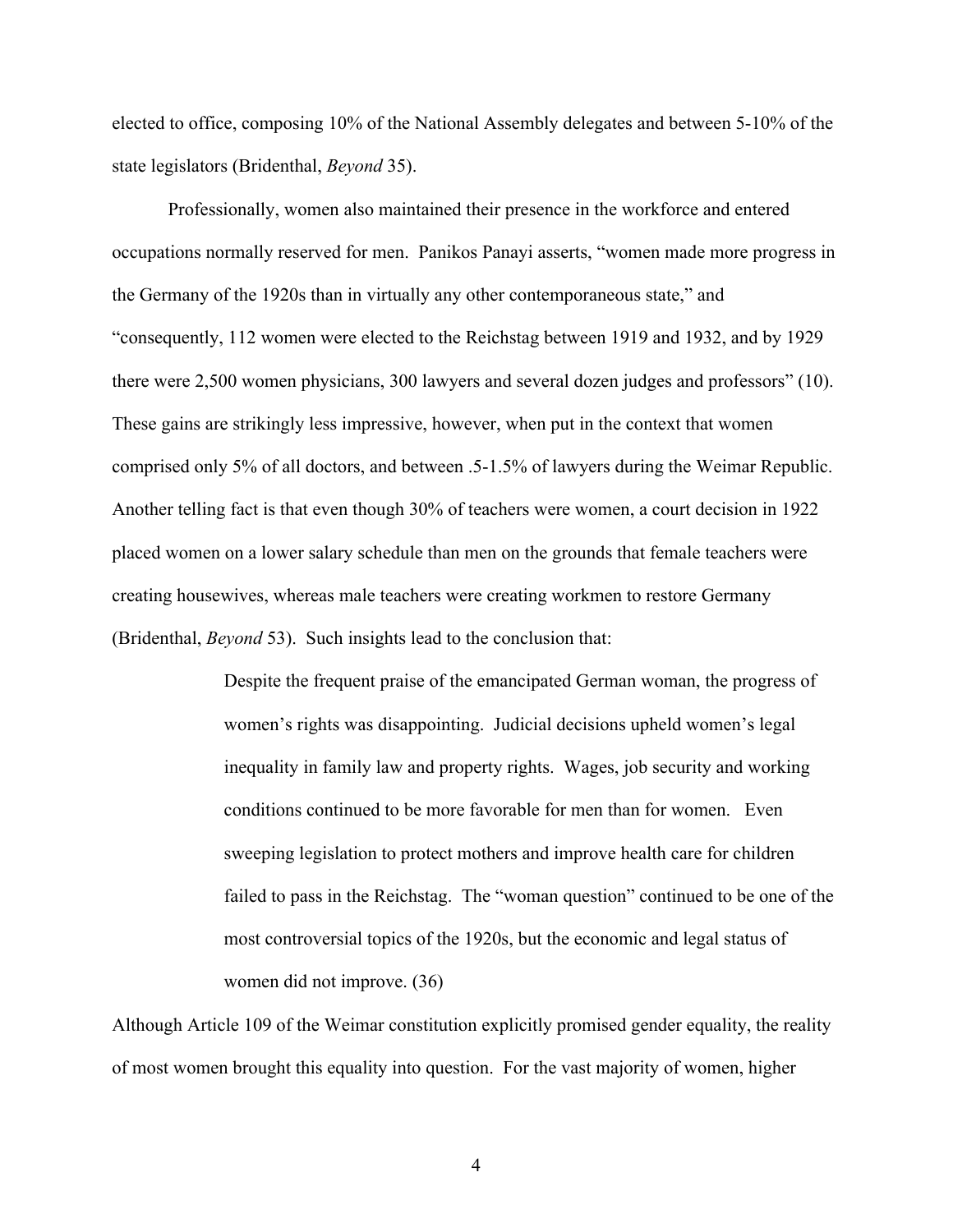elected to office, composing 10% of the National Assembly delegates and between 5-10% of the state legislators (Bridenthal, *Beyond* 35).

Professionally, women also maintained their presence in the workforce and entered occupations normally reserved for men. Panikos Panayi asserts, "women made more progress in the Germany of the 1920s than in virtually any other contemporaneous state," and "consequently, 112 women were elected to the Reichstag between 1919 and 1932, and by 1929 there were 2,500 women physicians, 300 lawyers and several dozen judges and professors" (10). These gains are strikingly less impressive, however, when put in the context that women comprised only 5% of all doctors, and between .5-1.5% of lawyers during the Weimar Republic. Another telling fact is that even though 30% of teachers were women, a court decision in 1922 placed women on a lower salary schedule than men on the grounds that female teachers were creating housewives, whereas male teachers were creating workmen to restore Germany (Bridenthal, *Beyond* 53). Such insights lead to the conclusion that:

> Despite the frequent praise of the emancipated German woman, the progress of women's rights was disappointing. Judicial decisions upheld women's legal inequality in family law and property rights. Wages, job security and working conditions continued to be more favorable for men than for women. Even sweeping legislation to protect mothers and improve health care for children failed to pass in the Reichstag. The "woman question" continued to be one of the most controversial topics of the 1920s, but the economic and legal status of women did not improve. (36)

Although Article 109 of the Weimar constitution explicitly promised gender equality, the reality of most women brought this equality into question. For the vast majority of women, higher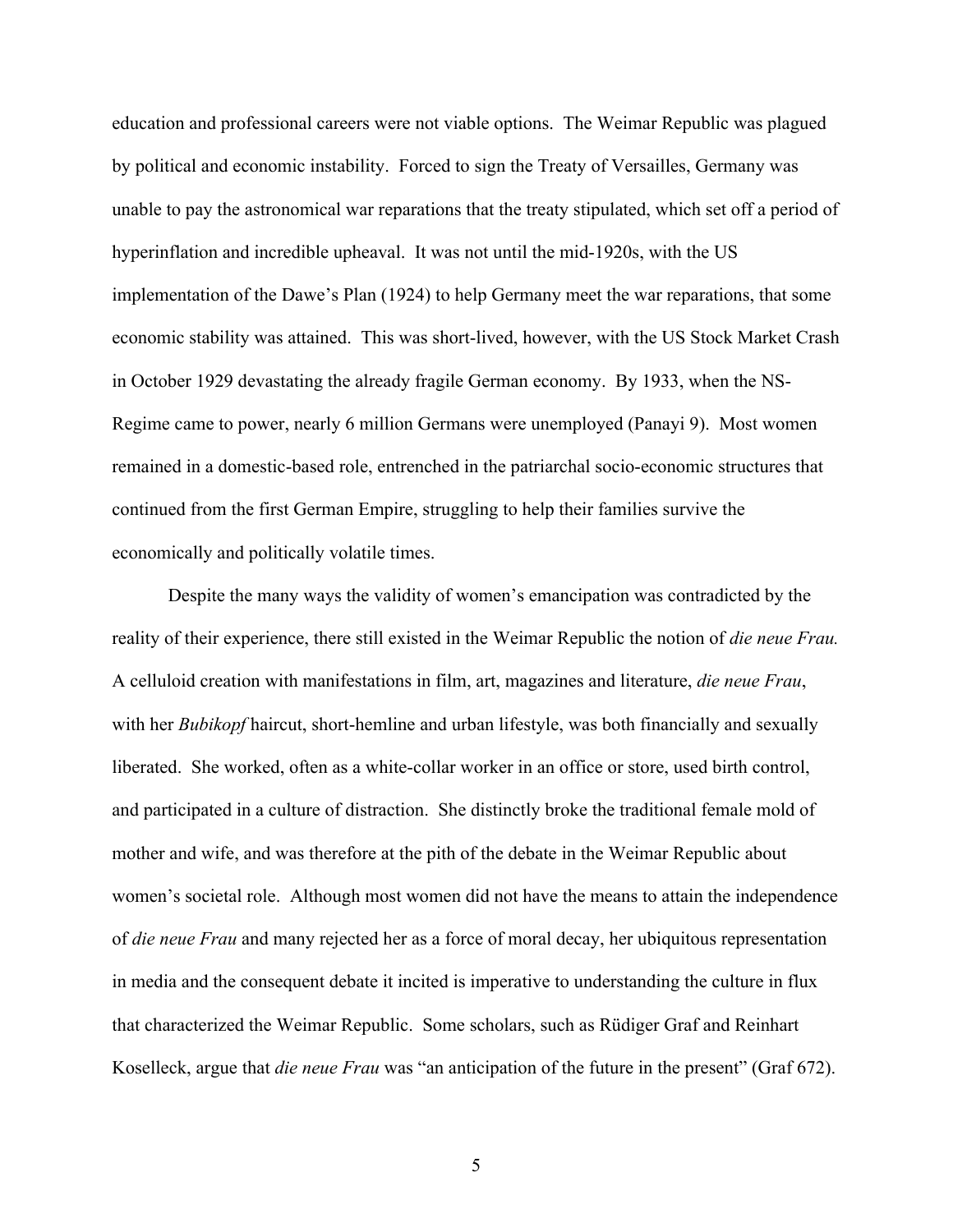education and professional careers were not viable options. The Weimar Republic was plagued by political and economic instability. Forced to sign the Treaty of Versailles, Germany was unable to pay the astronomical war reparations that the treaty stipulated, which set off a period of hyperinflation and incredible upheaval. It was not until the mid-1920s, with the US implementation of the Dawe's Plan (1924) to help Germany meet the war reparations, that some economic stability was attained. This was short-lived, however, with the US Stock Market Crash in October 1929 devastating the already fragile German economy. By 1933, when the NS-Regime came to power, nearly 6 million Germans were unemployed (Panayi 9). Most women remained in a domestic-based role, entrenched in the patriarchal socio-economic structures that continued from the first German Empire, struggling to help their families survive the economically and politically volatile times.

Despite the many ways the validity of women's emancipation was contradicted by the reality of their experience, there still existed in the Weimar Republic the notion of *die neue Frau.* A celluloid creation with manifestations in film, art, magazines and literature, *die neue Frau*, with her *Bubikopf* haircut, short-hemline and urban lifestyle, was both financially and sexually liberated. She worked, often as a white-collar worker in an office or store, used birth control, and participated in a culture of distraction. She distinctly broke the traditional female mold of mother and wife, and was therefore at the pith of the debate in the Weimar Republic about women's societal role. Although most women did not have the means to attain the independence of *die neue Frau* and many rejected her as a force of moral decay, her ubiquitous representation in media and the consequent debate it incited is imperative to understanding the culture in flux that characterized the Weimar Republic. Some scholars, such as Rüdiger Graf and Reinhart Koselleck, argue that *die neue Frau* was "an anticipation of the future in the present" (Graf 672).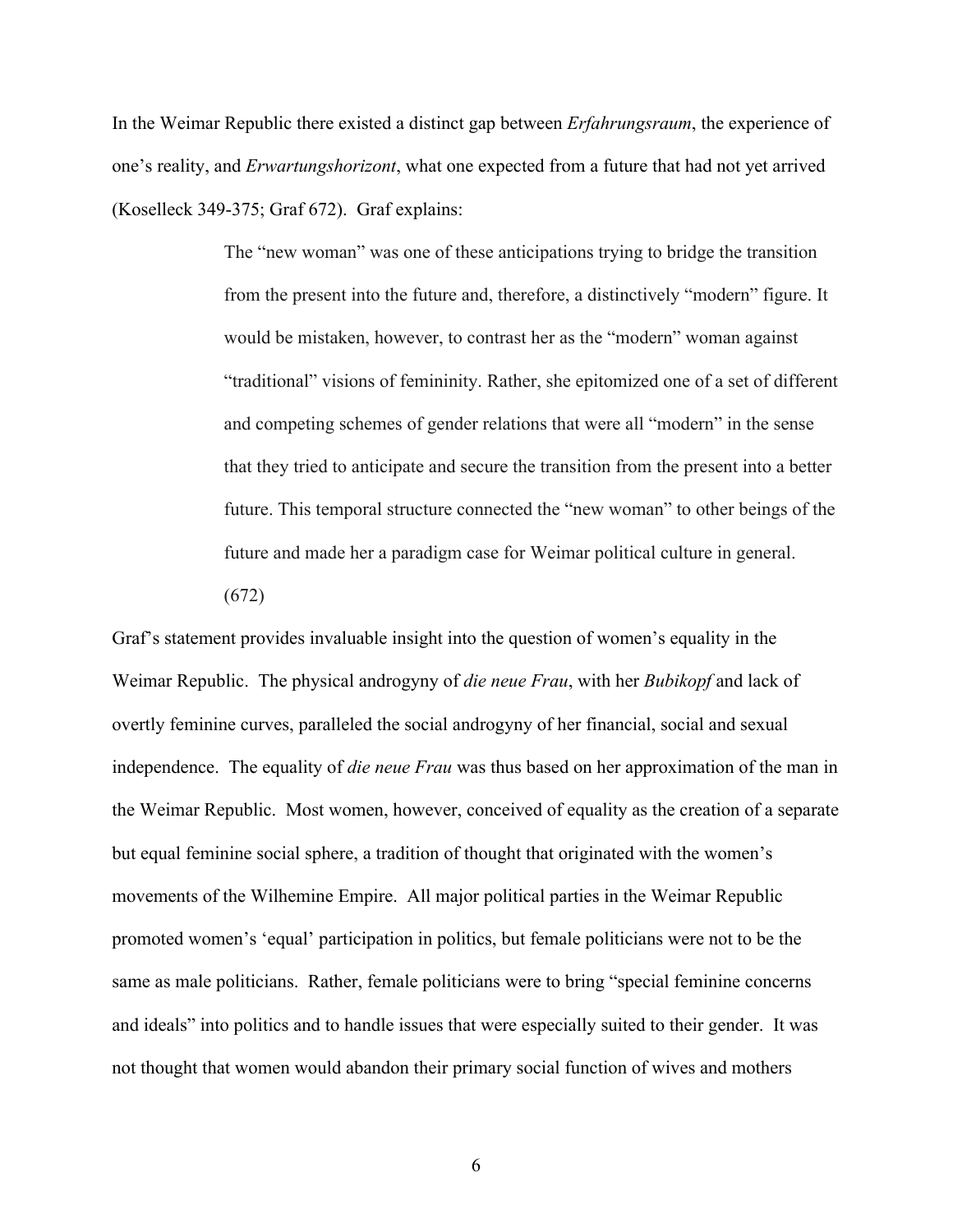In the Weimar Republic there existed a distinct gap between *Erfahrungsraum*, the experience of one's reality, and *Erwartungshorizont*, what one expected from a future that had not yet arrived (Koselleck 349-375; Graf 672). Graf explains:

> The "new woman" was one of these anticipations trying to bridge the transition from the present into the future and, therefore, a distinctively "modern" figure. It would be mistaken, however, to contrast her as the "modern" woman against "traditional" visions of femininity. Rather, she epitomized one of a set of different and competing schemes of gender relations that were all "modern" in the sense that they tried to anticipate and secure the transition from the present into a better future. This temporal structure connected the "new woman" to other beings of the future and made her a paradigm case for Weimar political culture in general. (672)

Graf's statement provides invaluable insight into the question of women's equality in the Weimar Republic. The physical androgyny of *die neue Frau*, with her *Bubikopf* and lack of overtly feminine curves, paralleled the social androgyny of her financial, social and sexual independence. The equality of *die neue Frau* was thus based on her approximation of the man in the Weimar Republic. Most women, however, conceived of equality as the creation of a separate but equal feminine social sphere, a tradition of thought that originated with the women's movements of the Wilhemine Empire. All major political parties in the Weimar Republic promoted women's 'equal' participation in politics, but female politicians were not to be the same as male politicians. Rather, female politicians were to bring "special feminine concerns and ideals" into politics and to handle issues that were especially suited to their gender. It was not thought that women would abandon their primary social function of wives and mothers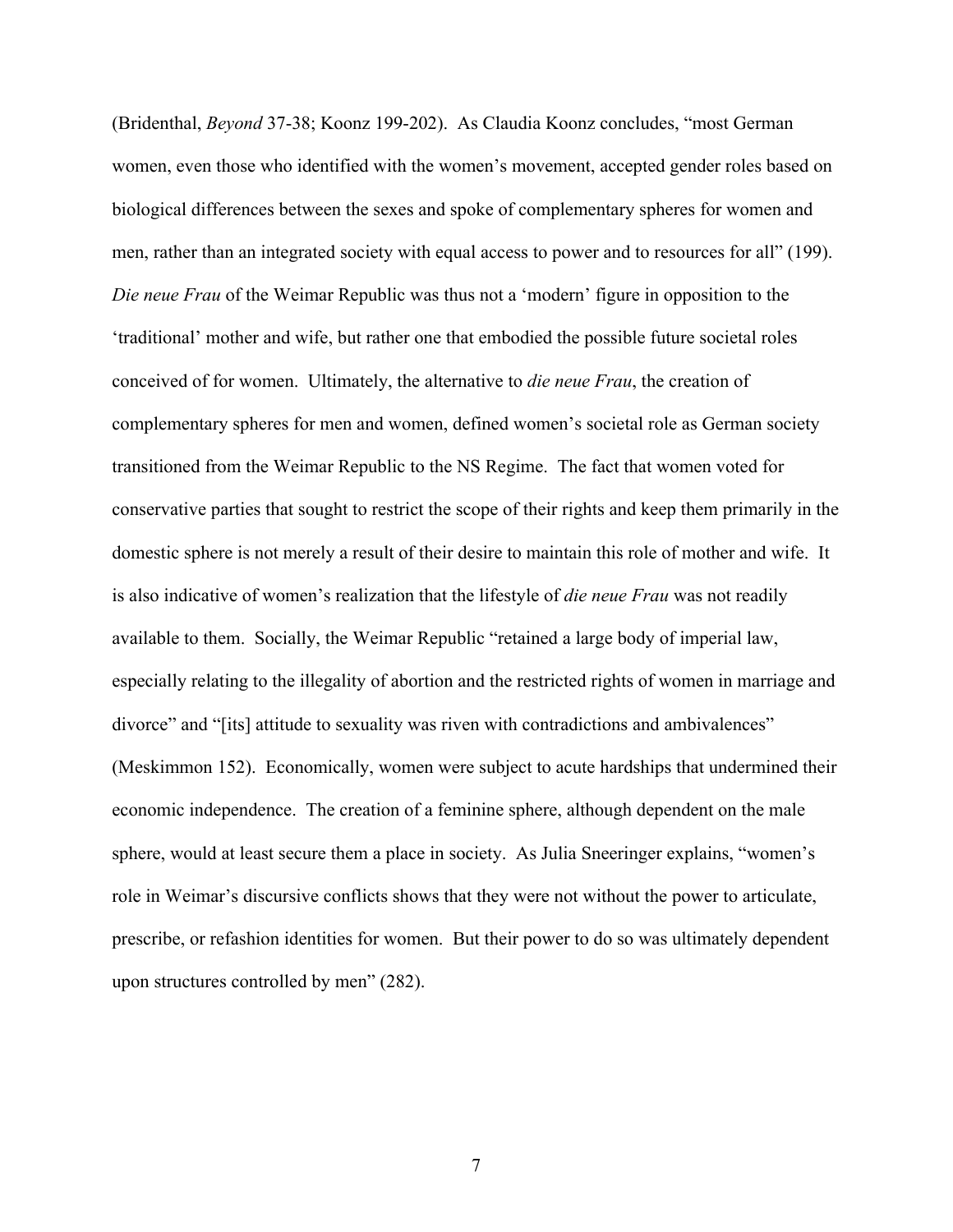(Bridenthal, *Beyond* 37-38; Koonz 199-202). As Claudia Koonz concludes, "most German women, even those who identified with the women's movement, accepted gender roles based on biological differences between the sexes and spoke of complementary spheres for women and men, rather than an integrated society with equal access to power and to resources for all" (199). *Die neue Frau* of the Weimar Republic was thus not a 'modern' figure in opposition to the 'traditional' mother and wife, but rather one that embodied the possible future societal roles conceived of for women. Ultimately, the alternative to *die neue Frau*, the creation of complementary spheres for men and women, defined women's societal role as German society transitioned from the Weimar Republic to the NS Regime. The fact that women voted for conservative parties that sought to restrict the scope of their rights and keep them primarily in the domestic sphere is not merely a result of their desire to maintain this role of mother and wife. It is also indicative of women's realization that the lifestyle of *die neue Frau* was not readily available to them. Socially, the Weimar Republic "retained a large body of imperial law, especially relating to the illegality of abortion and the restricted rights of women in marriage and divorce" and "[its] attitude to sexuality was riven with contradictions and ambivalences" (Meskimmon 152). Economically, women were subject to acute hardships that undermined their economic independence. The creation of a feminine sphere, although dependent on the male sphere, would at least secure them a place in society. As Julia Sneeringer explains, "women's role in Weimar's discursive conflicts shows that they were not without the power to articulate, prescribe, or refashion identities for women. But their power to do so was ultimately dependent upon structures controlled by men" (282).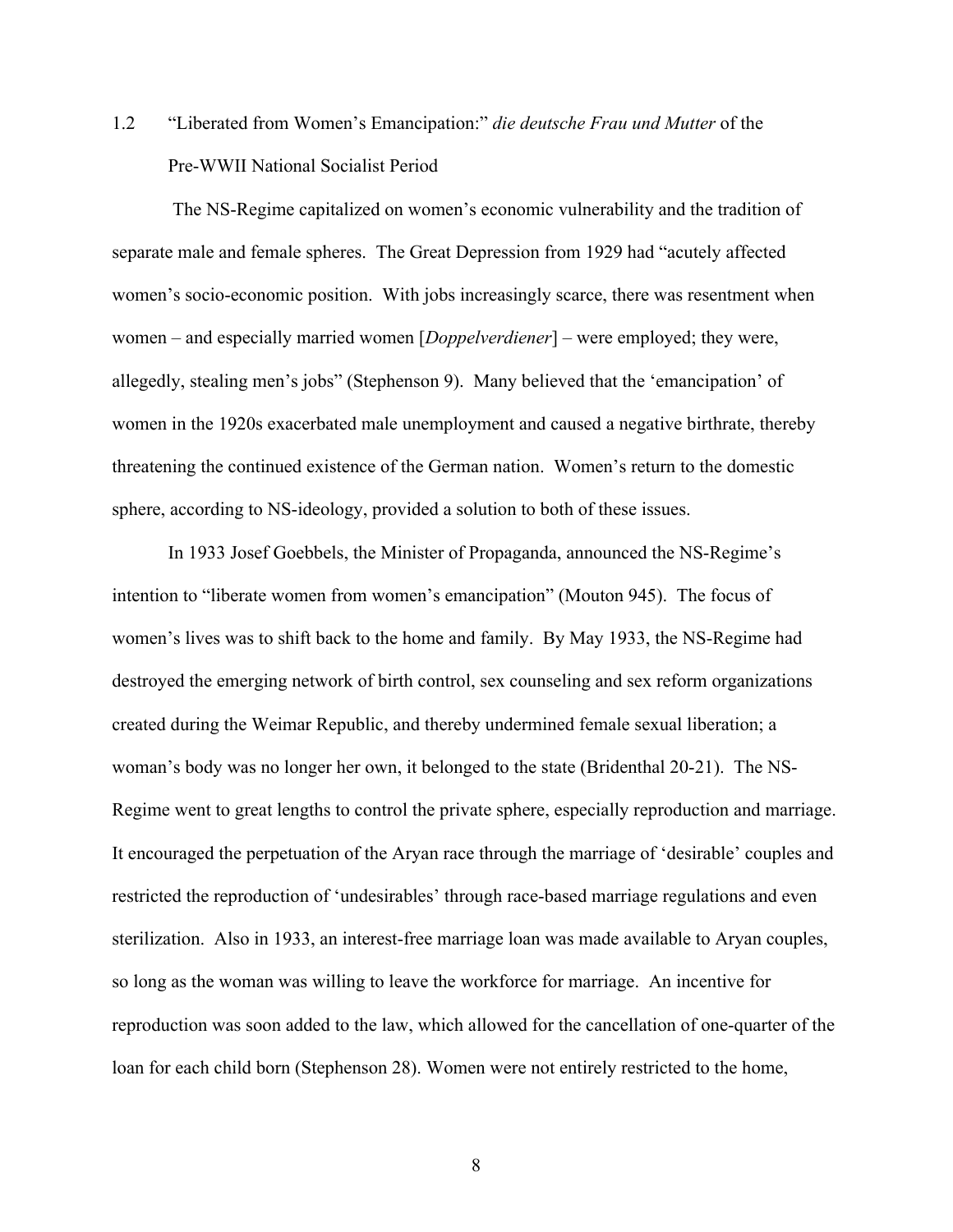# 1.2 "Liberated from Women's Emancipation:" *die deutsche Frau und Mutter* of the Pre-WWII National Socialist Period

 The NS-Regime capitalized on women's economic vulnerability and the tradition of separate male and female spheres. The Great Depression from 1929 had "acutely affected women's socio-economic position. With jobs increasingly scarce, there was resentment when women – and especially married women [*Doppelverdiener*] – were employed; they were, allegedly, stealing men's jobs" (Stephenson 9). Many believed that the 'emancipation' of women in the 1920s exacerbated male unemployment and caused a negative birthrate, thereby threatening the continued existence of the German nation. Women's return to the domestic sphere, according to NS-ideology, provided a solution to both of these issues.

In 1933 Josef Goebbels, the Minister of Propaganda, announced the NS-Regime's intention to "liberate women from women's emancipation" (Mouton 945). The focus of women's lives was to shift back to the home and family. By May 1933, the NS-Regime had destroyed the emerging network of birth control, sex counseling and sex reform organizations created during the Weimar Republic, and thereby undermined female sexual liberation; a woman's body was no longer her own, it belonged to the state (Bridenthal 20-21). The NS-Regime went to great lengths to control the private sphere, especially reproduction and marriage. It encouraged the perpetuation of the Aryan race through the marriage of 'desirable' couples and restricted the reproduction of 'undesirables' through race-based marriage regulations and even sterilization. Also in 1933, an interest-free marriage loan was made available to Aryan couples, so long as the woman was willing to leave the workforce for marriage. An incentive for reproduction was soon added to the law, which allowed for the cancellation of one-quarter of the loan for each child born (Stephenson 28). Women were not entirely restricted to the home,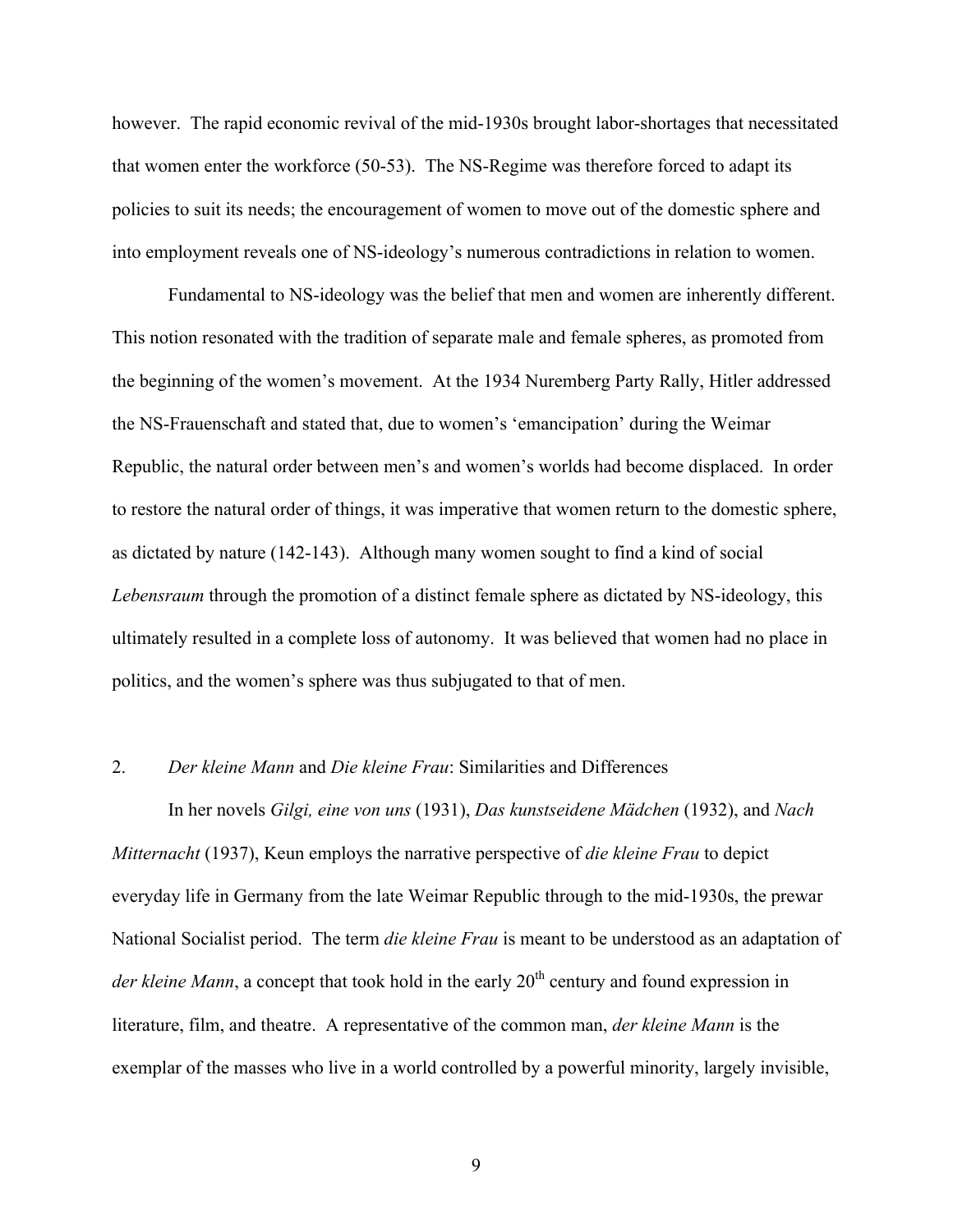however. The rapid economic revival of the mid-1930s brought labor-shortages that necessitated that women enter the workforce (50-53). The NS-Regime was therefore forced to adapt its policies to suit its needs; the encouragement of women to move out of the domestic sphere and into employment reveals one of NS-ideology's numerous contradictions in relation to women.

Fundamental to NS-ideology was the belief that men and women are inherently different. This notion resonated with the tradition of separate male and female spheres, as promoted from the beginning of the women's movement. At the 1934 Nuremberg Party Rally, Hitler addressed the NS-Frauenschaft and stated that, due to women's 'emancipation' during the Weimar Republic, the natural order between men's and women's worlds had become displaced. In order to restore the natural order of things, it was imperative that women return to the domestic sphere, as dictated by nature (142-143). Although many women sought to find a kind of social *Lebensraum* through the promotion of a distinct female sphere as dictated by NS-ideology, this ultimately resulted in a complete loss of autonomy. It was believed that women had no place in politics, and the women's sphere was thus subjugated to that of men.

# 2. *Der kleine Mann* and *Die kleine Frau*: Similarities and Differences

In her novels *Gilgi, eine von uns* (1931), *Das kunstseidene Mädchen* (1932), and *Nach Mitternacht* (1937), Keun employs the narrative perspective of *die kleine Frau* to depict everyday life in Germany from the late Weimar Republic through to the mid-1930s, the prewar National Socialist period. The term *die kleine Frau* is meant to be understood as an adaptation of *der kleine Mann*, a concept that took hold in the early 20<sup>th</sup> century and found expression in literature, film, and theatre. A representative of the common man, *der kleine Mann* is the exemplar of the masses who live in a world controlled by a powerful minority, largely invisible,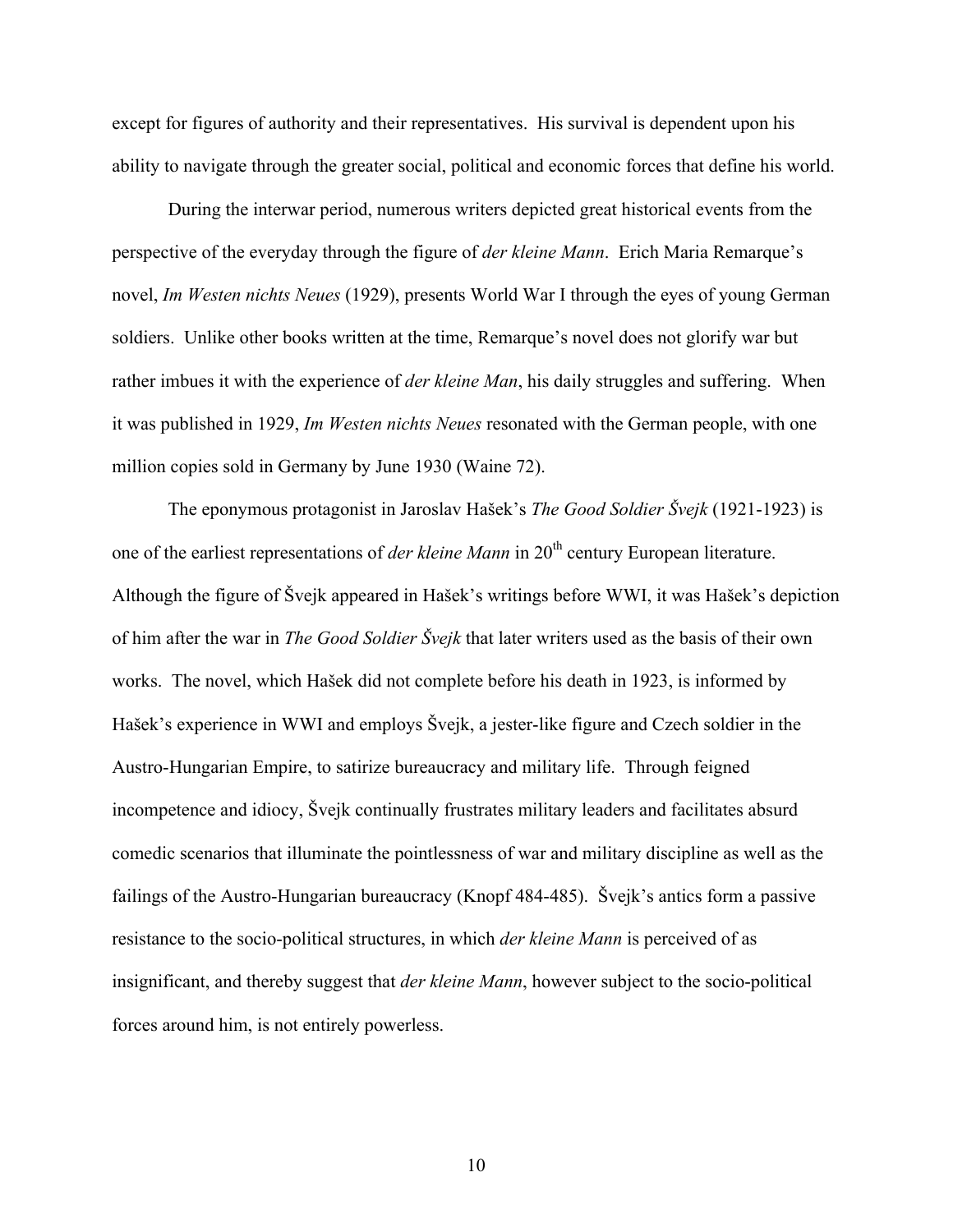except for figures of authority and their representatives. His survival is dependent upon his ability to navigate through the greater social, political and economic forces that define his world.

During the interwar period, numerous writers depicted great historical events from the perspective of the everyday through the figure of *der kleine Mann*. Erich Maria Remarque's novel, *Im Westen nichts Neues* (1929), presents World War I through the eyes of young German soldiers. Unlike other books written at the time, Remarque's novel does not glorify war but rather imbues it with the experience of *der kleine Man*, his daily struggles and suffering. When it was published in 1929, *Im Westen nichts Neues* resonated with the German people, with one million copies sold in Germany by June 1930 (Waine 72).

The eponymous protagonist in Jaroslav Hašek's *The Good Soldier Švejk* (1921-1923) is one of the earliest representations of *der kleine Mann* in 20<sup>th</sup> century European literature. Although the figure of Švejk appeared in Hašek's writings before WWI, it was Hašek's depiction of him after the war in *The Good Soldier Švejk* that later writers used as the basis of their own works. The novel, which Hašek did not complete before his death in 1923, is informed by Hašek's experience in WWI and employs Švejk, a jester-like figure and Czech soldier in the Austro-Hungarian Empire, to satirize bureaucracy and military life. Through feigned incompetence and idiocy, Švejk continually frustrates military leaders and facilitates absurd comedic scenarios that illuminate the pointlessness of war and military discipline as well as the failings of the Austro-Hungarian bureaucracy (Knopf 484-485). Švejk's antics form a passive resistance to the socio-political structures, in which *der kleine Mann* is perceived of as insignificant, and thereby suggest that *der kleine Mann*, however subject to the socio-political forces around him, is not entirely powerless.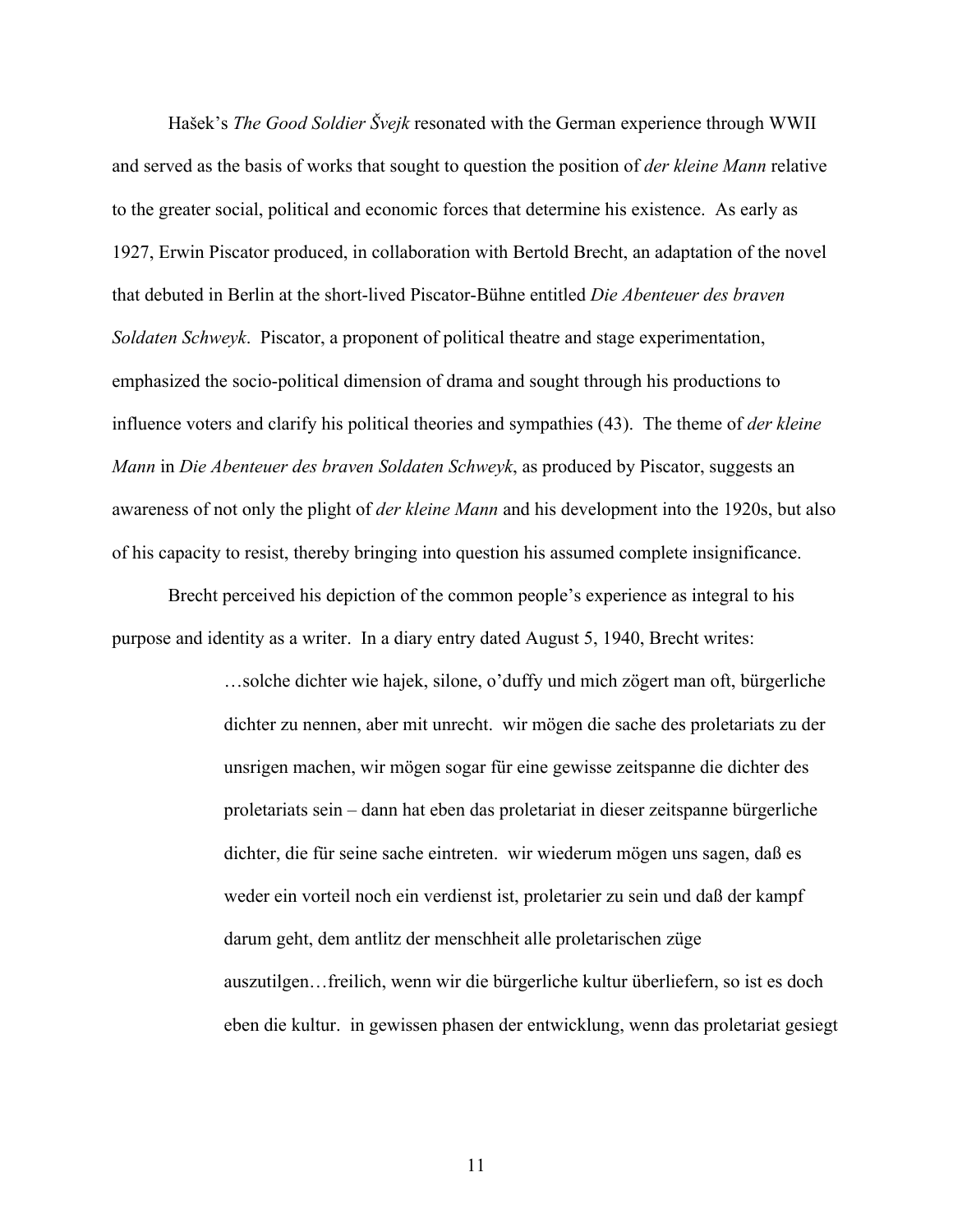Hašek's *The Good Soldier Švejk* resonated with the German experience through WWII and served as the basis of works that sought to question the position of *der kleine Mann* relative to the greater social, political and economic forces that determine his existence. As early as 1927, Erwin Piscator produced, in collaboration with Bertold Brecht, an adaptation of the novel that debuted in Berlin at the short-lived Piscator-Bühne entitled *Die Abenteuer des braven Soldaten Schweyk*. Piscator, a proponent of political theatre and stage experimentation, emphasized the socio-political dimension of drama and sought through his productions to influence voters and clarify his political theories and sympathies (43). The theme of *der kleine Mann* in *Die Abenteuer des braven Soldaten Schweyk*, as produced by Piscator, suggests an awareness of not only the plight of *der kleine Mann* and his development into the 1920s, but also of his capacity to resist, thereby bringing into question his assumed complete insignificance.

Brecht perceived his depiction of the common people's experience as integral to his purpose and identity as a writer. In a diary entry dated August 5, 1940, Brecht writes:

> …solche dichter wie hajek, silone, o'duffy und mich zögert man oft, bürgerliche dichter zu nennen, aber mit unrecht. wir mögen die sache des proletariats zu der unsrigen machen, wir mögen sogar für eine gewisse zeitspanne die dichter des proletariats sein – dann hat eben das proletariat in dieser zeitspanne bürgerliche dichter, die für seine sache eintreten. wir wiederum mögen uns sagen, daß es weder ein vorteil noch ein verdienst ist, proletarier zu sein und daß der kampf darum geht, dem antlitz der menschheit alle proletarischen züge auszutilgen…freilich, wenn wir die bürgerliche kultur überliefern, so ist es doch eben die kultur. in gewissen phasen der entwicklung, wenn das proletariat gesiegt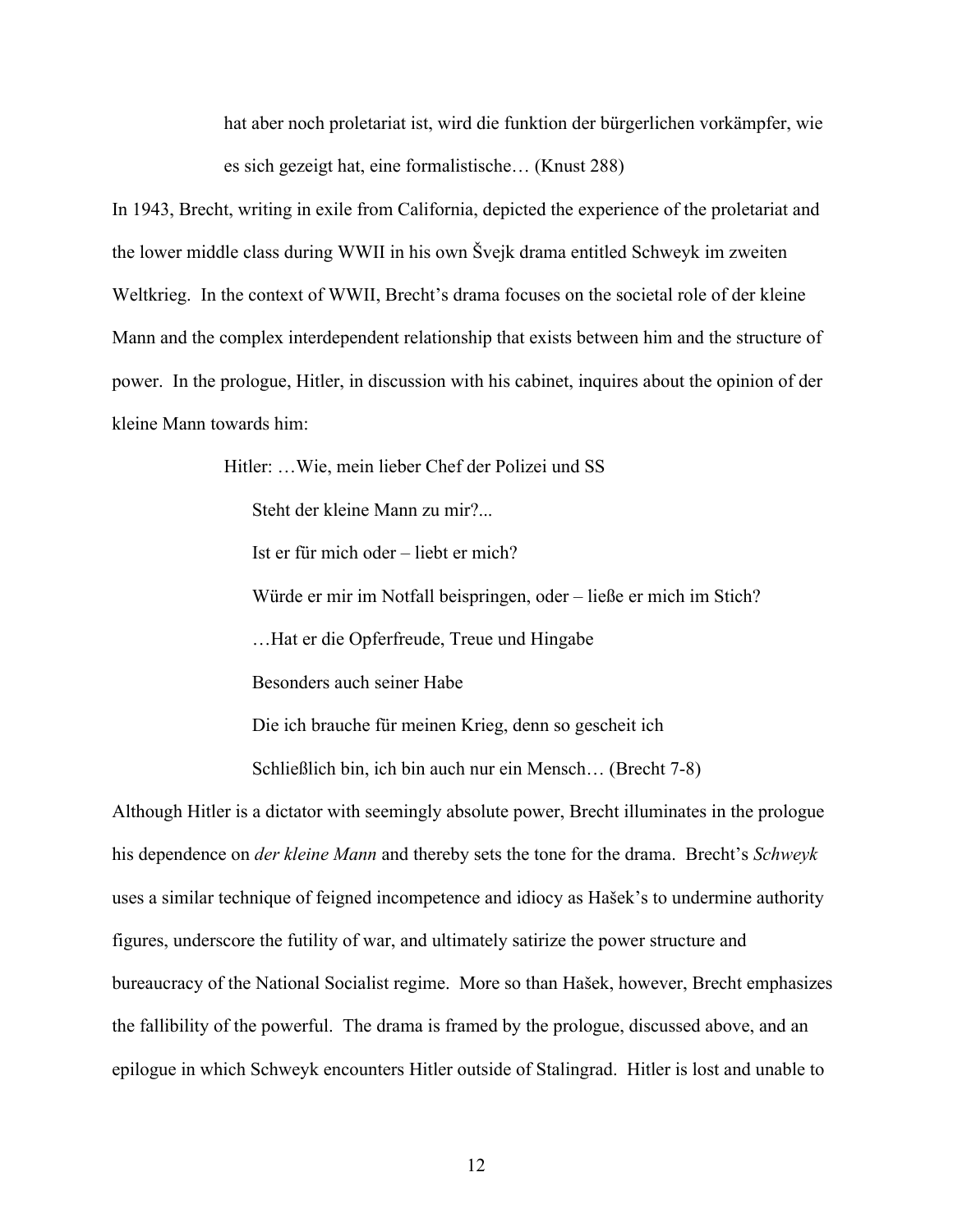hat aber noch proletariat ist, wird die funktion der bürgerlichen vorkämpfer, wie es sich gezeigt hat, eine formalistische… (Knust 288)

In 1943, Brecht, writing in exile from California, depicted the experience of the proletariat and the lower middle class during WWII in his own Švejk drama entitled Schweyk im zweiten Weltkrieg. In the context of WWII, Brecht's drama focuses on the societal role of der kleine Mann and the complex interdependent relationship that exists between him and the structure of power. In the prologue, Hitler, in discussion with his cabinet, inquires about the opinion of der kleine Mann towards him:

Hitler: …Wie, mein lieber Chef der Polizei und SS

Steht der kleine Mann zu mir?...

Ist er für mich oder – liebt er mich?

Würde er mir im Notfall beispringen, oder – ließe er mich im Stich?

…Hat er die Opferfreude, Treue und Hingabe

Besonders auch seiner Habe

Die ich brauche für meinen Krieg, denn so gescheit ich

Schließlich bin, ich bin auch nur ein Mensch… (Brecht 7-8)

Although Hitler is a dictator with seemingly absolute power, Brecht illuminates in the prologue his dependence on *der kleine Mann* and thereby sets the tone for the drama. Brecht's *Schweyk* uses a similar technique of feigned incompetence and idiocy as Hašek's to undermine authority figures, underscore the futility of war, and ultimately satirize the power structure and bureaucracy of the National Socialist regime. More so than Hašek, however, Brecht emphasizes the fallibility of the powerful. The drama is framed by the prologue, discussed above, and an epilogue in which Schweyk encounters Hitler outside of Stalingrad. Hitler is lost and unable to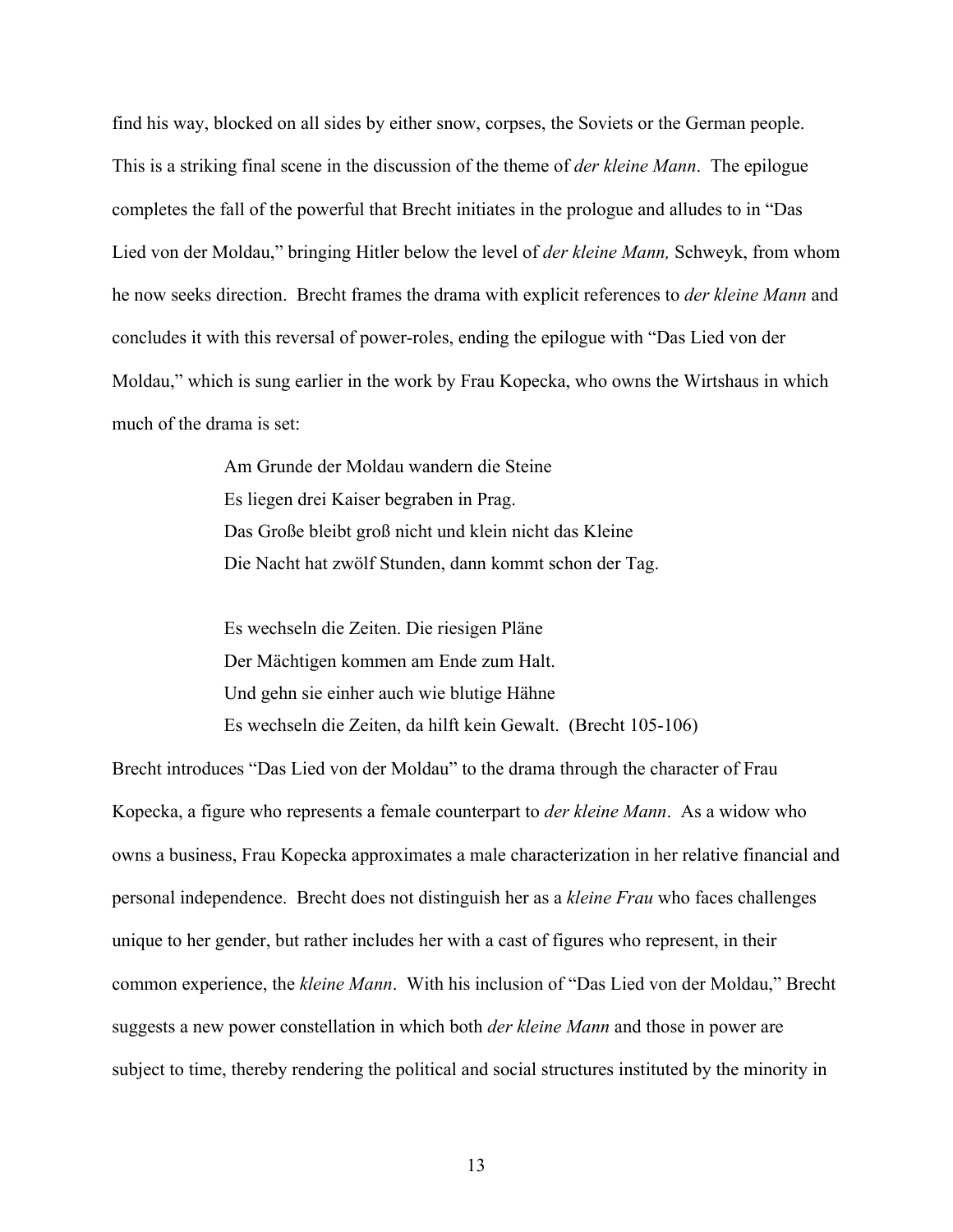find his way, blocked on all sides by either snow, corpses, the Soviets or the German people. This is a striking final scene in the discussion of the theme of *der kleine Mann*. The epilogue completes the fall of the powerful that Brecht initiates in the prologue and alludes to in "Das Lied von der Moldau," bringing Hitler below the level of *der kleine Mann,* Schweyk, from whom he now seeks direction. Brecht frames the drama with explicit references to *der kleine Mann* and concludes it with this reversal of power-roles, ending the epilogue with "Das Lied von der Moldau," which is sung earlier in the work by Frau Kopecka, who owns the Wirtshaus in which much of the drama is set:

> Am Grunde der Moldau wandern die Steine Es liegen drei Kaiser begraben in Prag. Das Große bleibt groß nicht und klein nicht das Kleine Die Nacht hat zwölf Stunden, dann kommt schon der Tag.

Es wechseln die Zeiten. Die riesigen Pläne Der Mächtigen kommen am Ende zum Halt. Und gehn sie einher auch wie blutige Hähne Es wechseln die Zeiten, da hilft kein Gewalt. (Brecht 105-106)

Brecht introduces "Das Lied von der Moldau" to the drama through the character of Frau Kopecka, a figure who represents a female counterpart to *der kleine Mann*. As a widow who owns a business, Frau Kopecka approximates a male characterization in her relative financial and personal independence. Brecht does not distinguish her as a *kleine Frau* who faces challenges unique to her gender, but rather includes her with a cast of figures who represent, in their common experience, the *kleine Mann*. With his inclusion of "Das Lied von der Moldau," Brecht suggests a new power constellation in which both *der kleine Mann* and those in power are subject to time, thereby rendering the political and social structures instituted by the minority in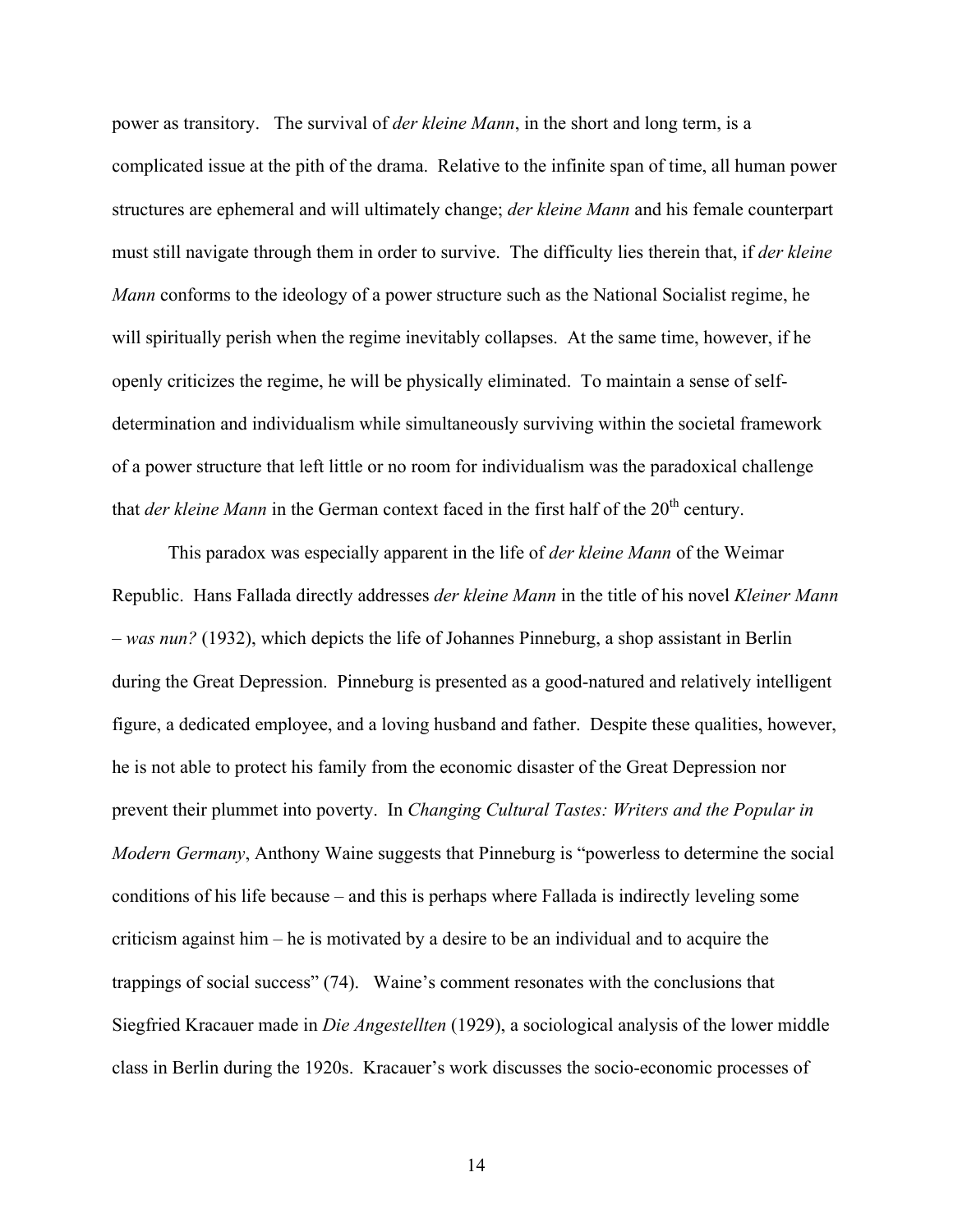power as transitory. The survival of *der kleine Mann*, in the short and long term, is a complicated issue at the pith of the drama. Relative to the infinite span of time, all human power structures are ephemeral and will ultimately change; *der kleine Mann* and his female counterpart must still navigate through them in order to survive. The difficulty lies therein that, if *der kleine Mann* conforms to the ideology of a power structure such as the National Socialist regime, he will spiritually perish when the regime inevitably collapses. At the same time, however, if he openly criticizes the regime, he will be physically eliminated. To maintain a sense of selfdetermination and individualism while simultaneously surviving within the societal framework of a power structure that left little or no room for individualism was the paradoxical challenge that *der kleine Mann* in the German context faced in the first half of the 20<sup>th</sup> century.

This paradox was especially apparent in the life of *der kleine Mann* of the Weimar Republic. Hans Fallada directly addresses *der kleine Mann* in the title of his novel *Kleiner Mann – was nun?* (1932), which depicts the life of Johannes Pinneburg, a shop assistant in Berlin during the Great Depression. Pinneburg is presented as a good-natured and relatively intelligent figure, a dedicated employee, and a loving husband and father. Despite these qualities, however, he is not able to protect his family from the economic disaster of the Great Depression nor prevent their plummet into poverty. In *Changing Cultural Tastes: Writers and the Popular in Modern Germany*, Anthony Waine suggests that Pinneburg is "powerless to determine the social conditions of his life because – and this is perhaps where Fallada is indirectly leveling some criticism against him – he is motivated by a desire to be an individual and to acquire the trappings of social success" (74). Waine's comment resonates with the conclusions that Siegfried Kracauer made in *Die Angestellten* (1929), a sociological analysis of the lower middle class in Berlin during the 1920s. Kracauer's work discusses the socio-economic processes of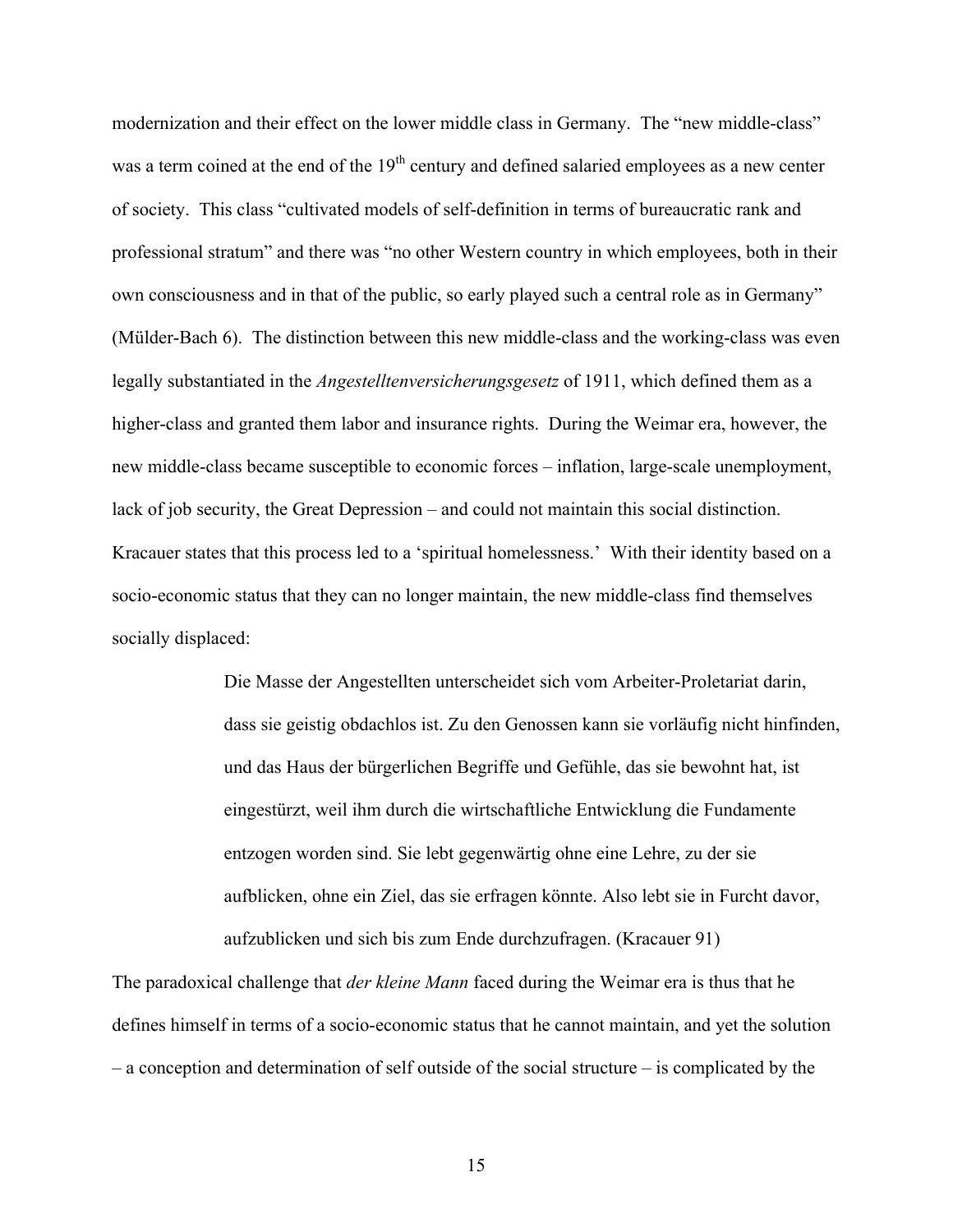modernization and their effect on the lower middle class in Germany. The "new middle-class" was a term coined at the end of the  $19<sup>th</sup>$  century and defined salaried employees as a new center of society. This class "cultivated models of self-definition in terms of bureaucratic rank and professional stratum" and there was "no other Western country in which employees, both in their own consciousness and in that of the public, so early played such a central role as in Germany" (Mülder-Bach 6). The distinction between this new middle-class and the working-class was even legally substantiated in the *Angestelltenversicherungsgesetz* of 1911, which defined them as a higher-class and granted them labor and insurance rights. During the Weimar era, however, the new middle-class became susceptible to economic forces – inflation, large-scale unemployment, lack of job security, the Great Depression – and could not maintain this social distinction. Kracauer states that this process led to a 'spiritual homelessness.' With their identity based on a socio-economic status that they can no longer maintain, the new middle-class find themselves socially displaced:

> Die Masse der Angestellten unterscheidet sich vom Arbeiter-Proletariat darin, dass sie geistig obdachlos ist. Zu den Genossen kann sie vorläufig nicht hinfinden, und das Haus der bürgerlichen Begriffe und Gefühle, das sie bewohnt hat, ist eingestürzt, weil ihm durch die wirtschaftliche Entwicklung die Fundamente entzogen worden sind. Sie lebt gegenwärtig ohne eine Lehre, zu der sie aufblicken, ohne ein Ziel, das sie erfragen könnte. Also lebt sie in Furcht davor, aufzublicken und sich bis zum Ende durchzufragen. (Kracauer 91)

The paradoxical challenge that *der kleine Mann* faced during the Weimar era is thus that he defines himself in terms of a socio-economic status that he cannot maintain, and yet the solution – a conception and determination of self outside of the social structure – is complicated by the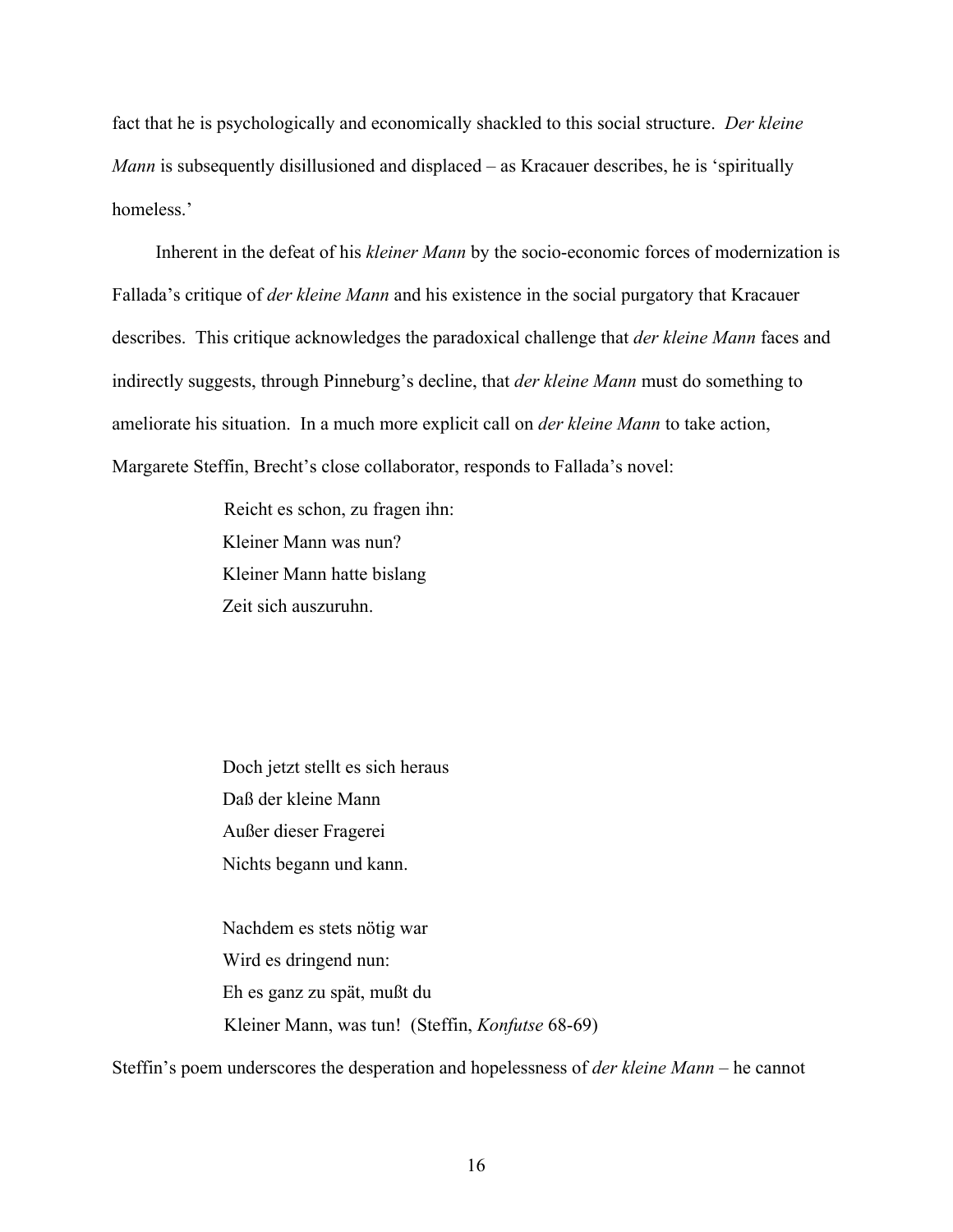fact that he is psychologically and economically shackled to this social structure. *Der kleine Mann* is subsequently disillusioned and displaced – as Kracauer describes, he is 'spiritually homeless.'

Inherent in the defeat of his *kleiner Mann* by the socio-economic forces of modernization is Fallada's critique of *der kleine Mann* and his existence in the social purgatory that Kracauer describes. This critique acknowledges the paradoxical challenge that *der kleine Mann* faces and indirectly suggests, through Pinneburg's decline, that *der kleine Mann* must do something to ameliorate his situation. In a much more explicit call on *der kleine Mann* to take action, Margarete Steffin, Brecht's close collaborator, responds to Fallada's novel:

> Reicht es schon, zu fragen ihn: Kleiner Mann was nun? Kleiner Mann hatte bislang Zeit sich auszuruhn.

> Doch jetzt stellt es sich heraus Daß der kleine Mann Außer dieser Fragerei Nichts begann und kann.

 Nachdem es stets nötig war Wird es dringend nun: Eh es ganz zu spät, mußt du Kleiner Mann, was tun! (Steffin, *Konfutse* 68-69)

Steffin's poem underscores the desperation and hopelessness of *der kleine Mann* – he cannot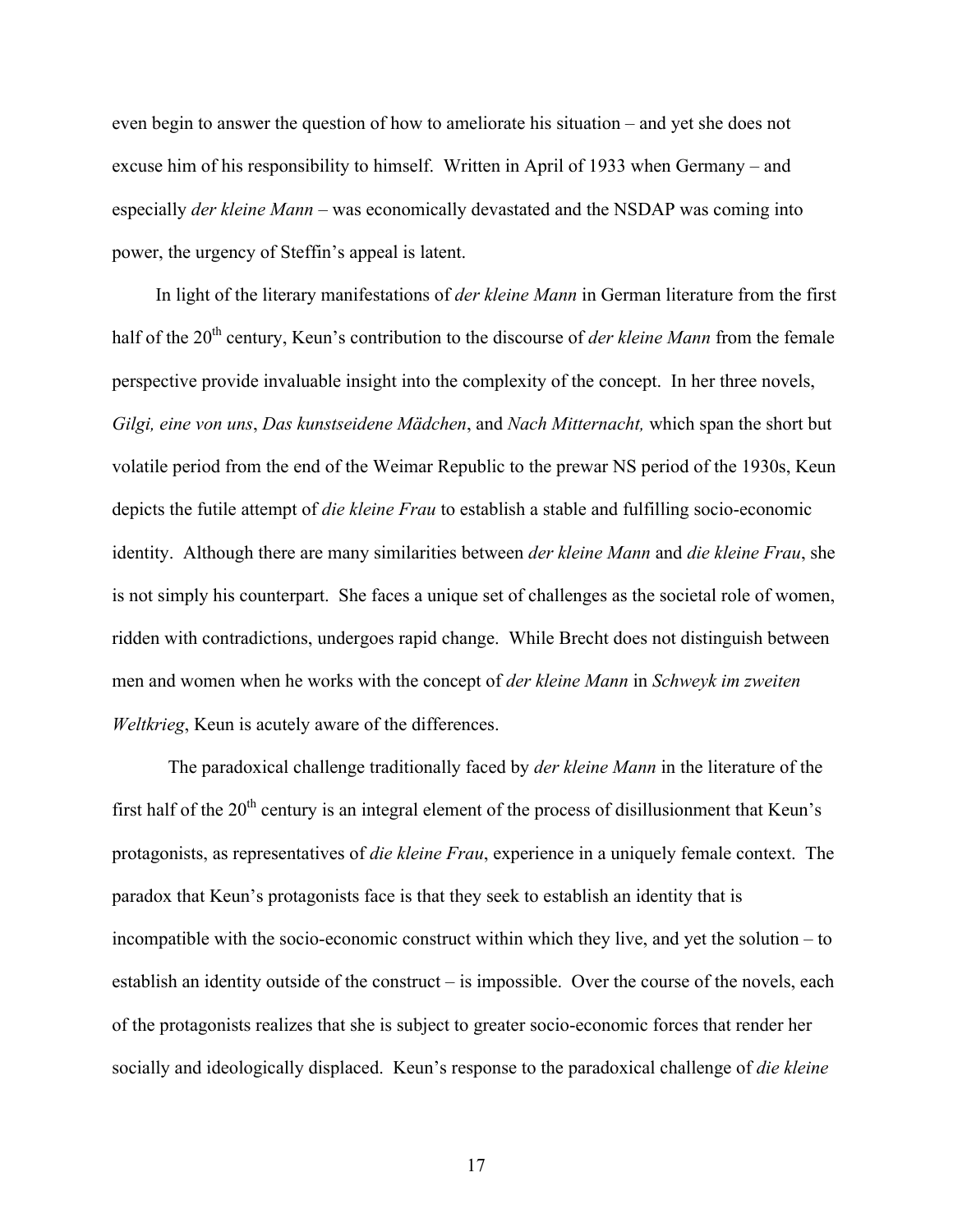even begin to answer the question of how to ameliorate his situation – and yet she does not excuse him of his responsibility to himself. Written in April of 1933 when Germany – and especially *der kleine Mann* – was economically devastated and the NSDAP was coming into power, the urgency of Steffin's appeal is latent.

In light of the literary manifestations of *der kleine Mann* in German literature from the first half of the 20<sup>th</sup> century, Keun's contribution to the discourse of *der kleine Mann* from the female perspective provide invaluable insight into the complexity of the concept. In her three novels, *Gilgi, eine von uns*, *Das kunstseidene Mädchen*, and *Nach Mitternacht,* which span the short but volatile period from the end of the Weimar Republic to the prewar NS period of the 1930s, Keun depicts the futile attempt of *die kleine Frau* to establish a stable and fulfilling socio-economic identity. Although there are many similarities between *der kleine Mann* and *die kleine Frau*, she is not simply his counterpart. She faces a unique set of challenges as the societal role of women, ridden with contradictions, undergoes rapid change. While Brecht does not distinguish between men and women when he works with the concept of *der kleine Mann* in *Schweyk im zweiten Weltkrieg*, Keun is acutely aware of the differences.

The paradoxical challenge traditionally faced by *der kleine Mann* in the literature of the first half of the  $20<sup>th</sup>$  century is an integral element of the process of disillusionment that Keun's protagonists, as representatives of *die kleine Frau*, experience in a uniquely female context. The paradox that Keun's protagonists face is that they seek to establish an identity that is incompatible with the socio-economic construct within which they live, and yet the solution – to establish an identity outside of the construct – is impossible. Over the course of the novels, each of the protagonists realizes that she is subject to greater socio-economic forces that render her socially and ideologically displaced. Keun's response to the paradoxical challenge of *die kleine*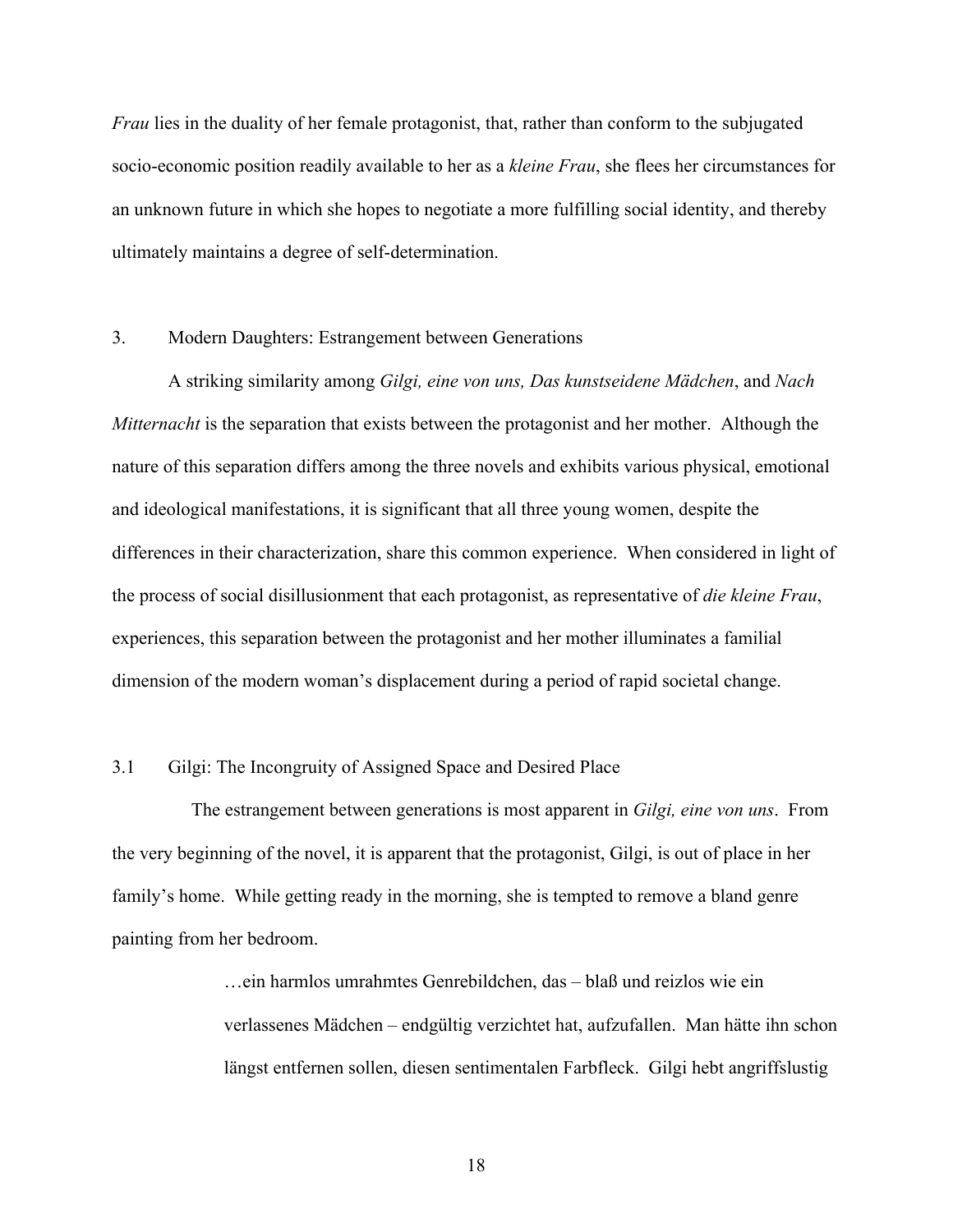*Frau* lies in the duality of her female protagonist, that, rather than conform to the subjugated socio-economic position readily available to her as a *kleine Frau*, she flees her circumstances for an unknown future in which she hopes to negotiate a more fulfilling social identity, and thereby ultimately maintains a degree of self-determination.

# 3. Modern Daughters: Estrangement between Generations

A striking similarity among *Gilgi, eine von uns, Das kunstseidene Mädchen*, and *Nach Mitternacht* is the separation that exists between the protagonist and her mother. Although the nature of this separation differs among the three novels and exhibits various physical, emotional and ideological manifestations, it is significant that all three young women, despite the differences in their characterization, share this common experience. When considered in light of the process of social disillusionment that each protagonist, as representative of *die kleine Frau*, experiences, this separation between the protagonist and her mother illuminates a familial dimension of the modern woman's displacement during a period of rapid societal change.

#### 3.1 Gilgi: The Incongruity of Assigned Space and Desired Place

 The estrangement between generations is most apparent in *Gilgi, eine von uns*. From the very beginning of the novel, it is apparent that the protagonist, Gilgi, is out of place in her family's home. While getting ready in the morning, she is tempted to remove a bland genre painting from her bedroom.

> …ein harmlos umrahmtes Genrebildchen, das – blaß und reizlos wie ein verlassenes Mädchen – endgültig verzichtet hat, aufzufallen. Man hätte ihn schon längst entfernen sollen, diesen sentimentalen Farbfleck. Gilgi hebt angriffslustig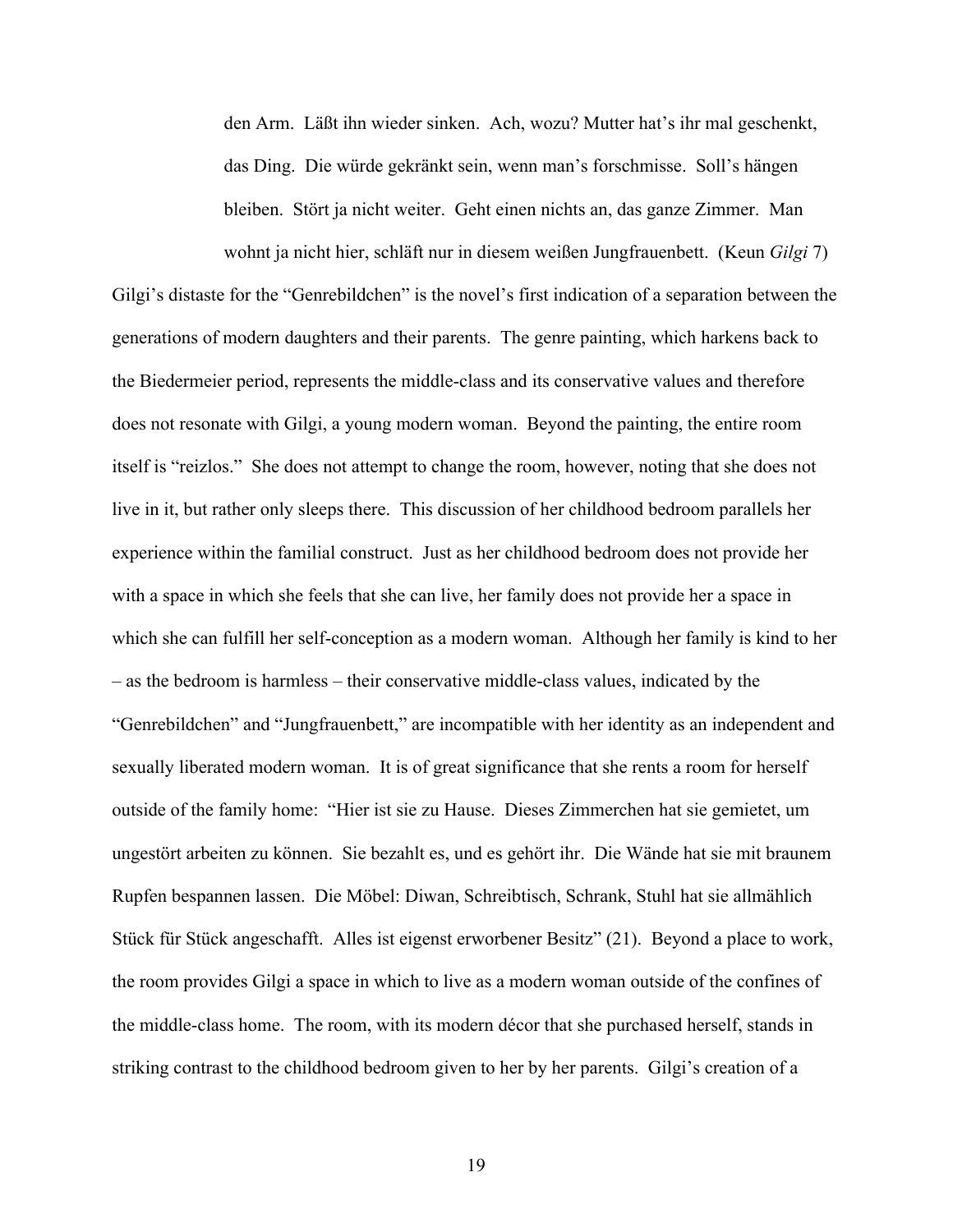den Arm. Läßt ihn wieder sinken. Ach, wozu? Mutter hat's ihr mal geschenkt, das Ding. Die würde gekränkt sein, wenn man's forschmisse. Soll's hängen bleiben. Stört ja nicht weiter. Geht einen nichts an, das ganze Zimmer. Man wohnt ja nicht hier, schläft nur in diesem weißen Jungfrauenbett. (Keun *Gilgi* 7)

Gilgi's distaste for the "Genrebildchen" is the novel's first indication of a separation between the generations of modern daughters and their parents. The genre painting, which harkens back to the Biedermeier period, represents the middle-class and its conservative values and therefore does not resonate with Gilgi, a young modern woman. Beyond the painting, the entire room itself is "reizlos." She does not attempt to change the room, however, noting that she does not live in it, but rather only sleeps there. This discussion of her childhood bedroom parallels her experience within the familial construct. Just as her childhood bedroom does not provide her with a space in which she feels that she can live, her family does not provide her a space in which she can fulfill her self-conception as a modern woman. Although her family is kind to her – as the bedroom is harmless – their conservative middle-class values, indicated by the "Genrebildchen" and "Jungfrauenbett," are incompatible with her identity as an independent and sexually liberated modern woman. It is of great significance that she rents a room for herself outside of the family home: "Hier ist sie zu Hause. Dieses Zimmerchen hat sie gemietet, um ungestört arbeiten zu können. Sie bezahlt es, und es gehört ihr. Die Wände hat sie mit braunem Rupfen bespannen lassen. Die Möbel: Diwan, Schreibtisch, Schrank, Stuhl hat sie allmählich Stück für Stück angeschafft. Alles ist eigenst erworbener Besitz" (21). Beyond a place to work, the room provides Gilgi a space in which to live as a modern woman outside of the confines of the middle-class home. The room, with its modern décor that she purchased herself, stands in striking contrast to the childhood bedroom given to her by her parents. Gilgi's creation of a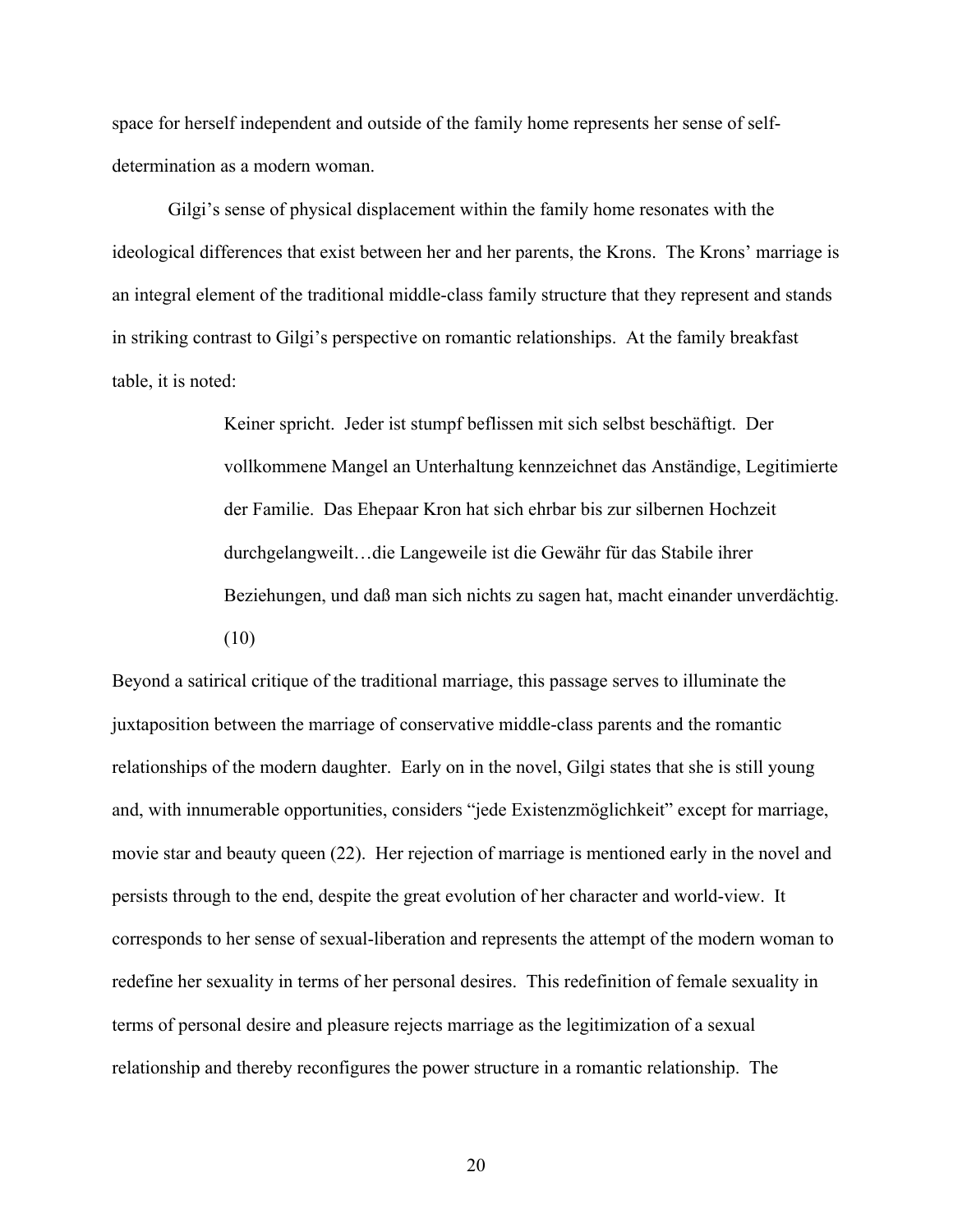space for herself independent and outside of the family home represents her sense of selfdetermination as a modern woman.

Gilgi's sense of physical displacement within the family home resonates with the ideological differences that exist between her and her parents, the Krons. The Krons' marriage is an integral element of the traditional middle-class family structure that they represent and stands in striking contrast to Gilgi's perspective on romantic relationships. At the family breakfast table, it is noted:

> Keiner spricht. Jeder ist stumpf beflissen mit sich selbst beschäftigt. Der vollkommene Mangel an Unterhaltung kennzeichnet das Anständige, Legitimierte der Familie. Das Ehepaar Kron hat sich ehrbar bis zur silbernen Hochzeit durchgelangweilt…die Langeweile ist die Gewähr für das Stabile ihrer Beziehungen, und daß man sich nichts zu sagen hat, macht einander unverdächtig. (10)

Beyond a satirical critique of the traditional marriage, this passage serves to illuminate the juxtaposition between the marriage of conservative middle-class parents and the romantic relationships of the modern daughter. Early on in the novel, Gilgi states that she is still young and, with innumerable opportunities, considers "jede Existenzmöglichkeit" except for marriage, movie star and beauty queen (22). Her rejection of marriage is mentioned early in the novel and persists through to the end, despite the great evolution of her character and world-view. It corresponds to her sense of sexual-liberation and represents the attempt of the modern woman to redefine her sexuality in terms of her personal desires. This redefinition of female sexuality in terms of personal desire and pleasure rejects marriage as the legitimization of a sexual relationship and thereby reconfigures the power structure in a romantic relationship. The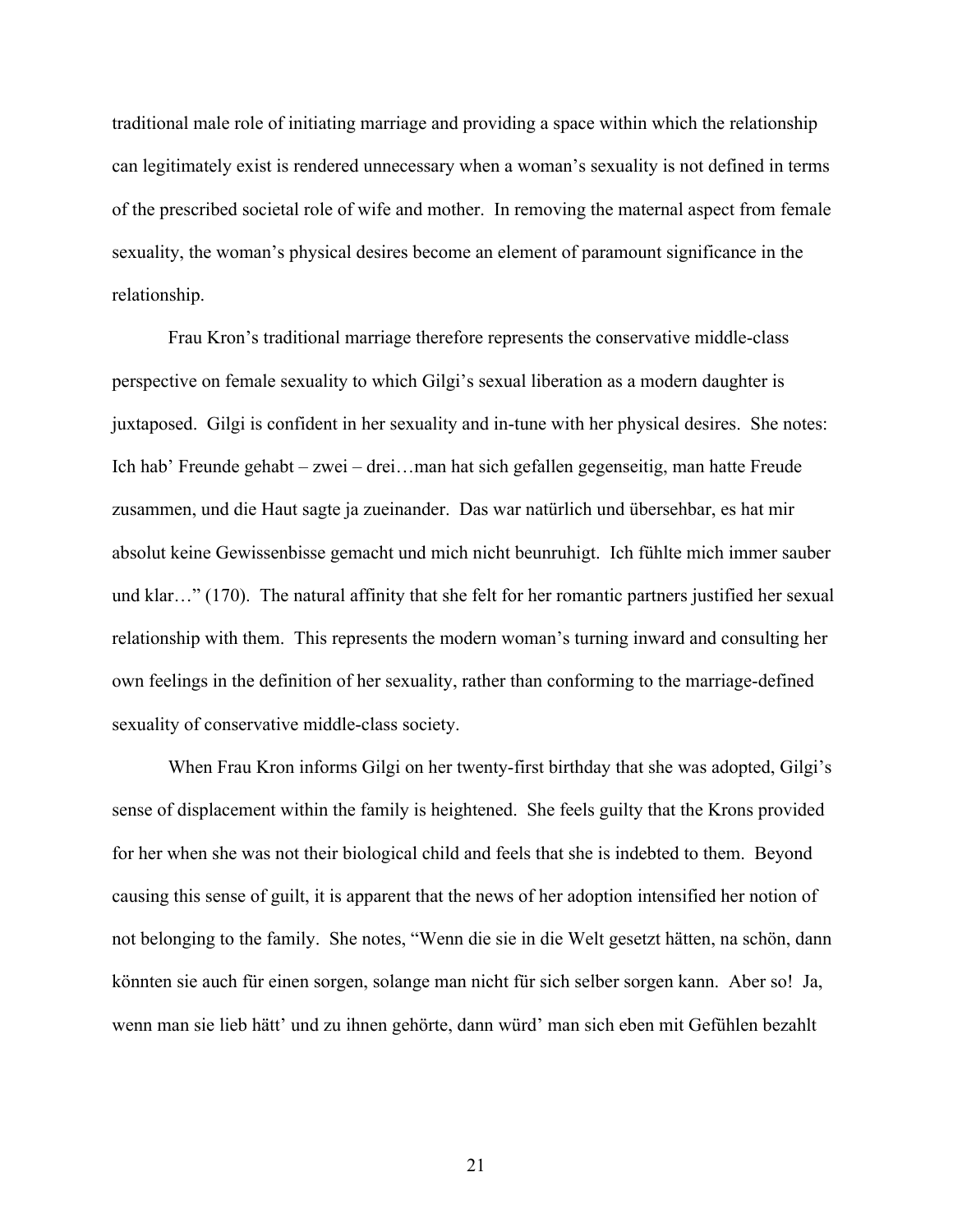traditional male role of initiating marriage and providing a space within which the relationship can legitimately exist is rendered unnecessary when a woman's sexuality is not defined in terms of the prescribed societal role of wife and mother. In removing the maternal aspect from female sexuality, the woman's physical desires become an element of paramount significance in the relationship.

Frau Kron's traditional marriage therefore represents the conservative middle-class perspective on female sexuality to which Gilgi's sexual liberation as a modern daughter is juxtaposed. Gilgi is confident in her sexuality and in-tune with her physical desires. She notes: Ich hab' Freunde gehabt – zwei – drei…man hat sich gefallen gegenseitig, man hatte Freude zusammen, und die Haut sagte ja zueinander. Das war natürlich und übersehbar, es hat mir absolut keine Gewissenbisse gemacht und mich nicht beunruhigt. Ich fühlte mich immer sauber und klar…" (170). The natural affinity that she felt for her romantic partners justified her sexual relationship with them. This represents the modern woman's turning inward and consulting her own feelings in the definition of her sexuality, rather than conforming to the marriage-defined sexuality of conservative middle-class society.

When Frau Kron informs Gilgi on her twenty-first birthday that she was adopted, Gilgi's sense of displacement within the family is heightened. She feels guilty that the Krons provided for her when she was not their biological child and feels that she is indebted to them. Beyond causing this sense of guilt, it is apparent that the news of her adoption intensified her notion of not belonging to the family. She notes, "Wenn die sie in die Welt gesetzt hätten, na schön, dann könnten sie auch für einen sorgen, solange man nicht für sich selber sorgen kann. Aber so! Ja, wenn man sie lieb hätt' und zu ihnen gehörte, dann würd' man sich eben mit Gefühlen bezahlt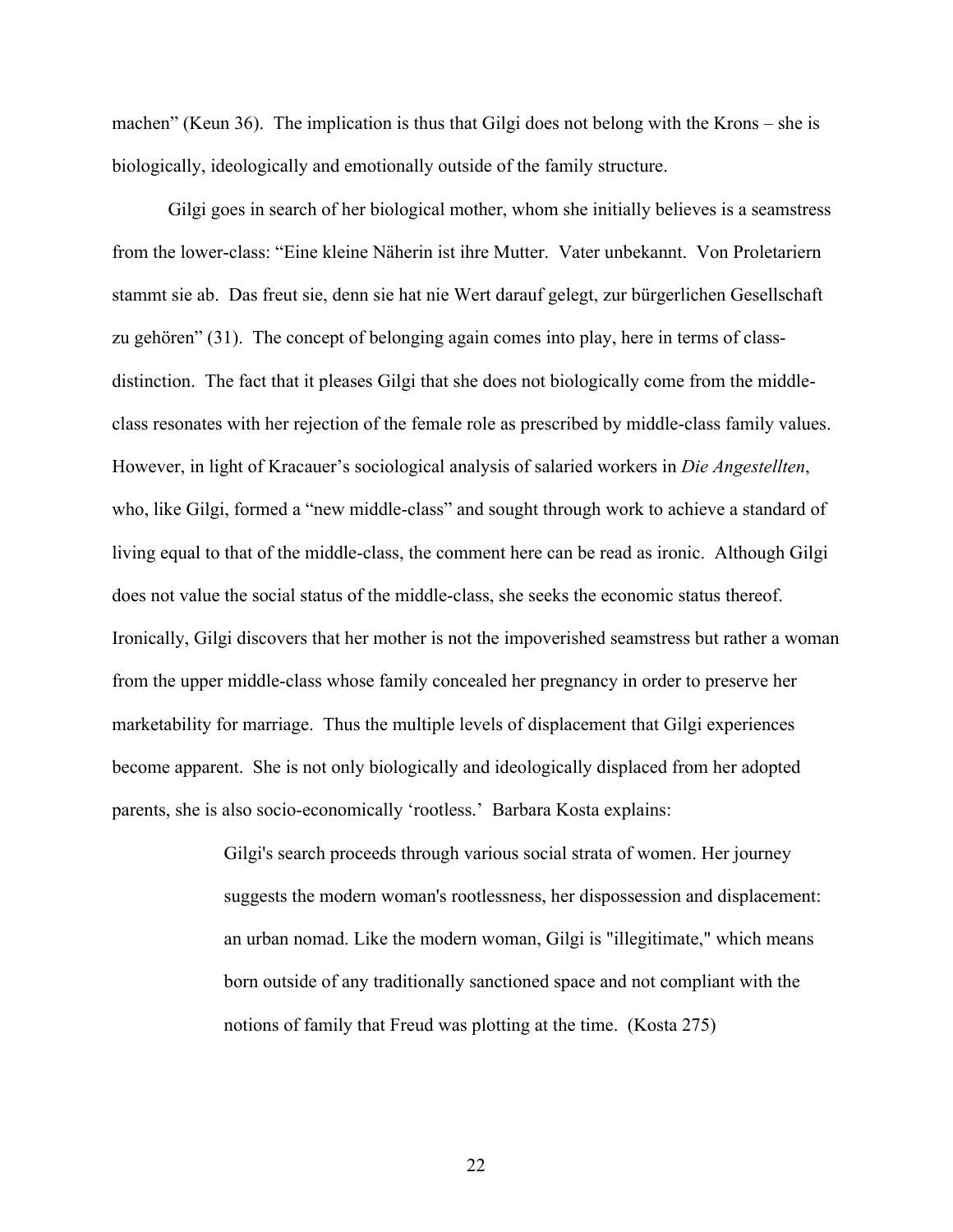machen" (Keun 36). The implication is thus that Gilgi does not belong with the Krons – she is biologically, ideologically and emotionally outside of the family structure.

Gilgi goes in search of her biological mother, whom she initially believes is a seamstress from the lower-class: "Eine kleine Näherin ist ihre Mutter. Vater unbekannt. Von Proletariern stammt sie ab. Das freut sie, denn sie hat nie Wert darauf gelegt, zur bürgerlichen Gesellschaft zu gehören" (31). The concept of belonging again comes into play, here in terms of classdistinction. The fact that it pleases Gilgi that she does not biologically come from the middleclass resonates with her rejection of the female role as prescribed by middle-class family values. However, in light of Kracauer's sociological analysis of salaried workers in *Die Angestellten*, who, like Gilgi, formed a "new middle-class" and sought through work to achieve a standard of living equal to that of the middle-class, the comment here can be read as ironic. Although Gilgi does not value the social status of the middle-class, she seeks the economic status thereof. Ironically, Gilgi discovers that her mother is not the impoverished seamstress but rather a woman from the upper middle-class whose family concealed her pregnancy in order to preserve her marketability for marriage. Thus the multiple levels of displacement that Gilgi experiences become apparent. She is not only biologically and ideologically displaced from her adopted parents, she is also socio-economically 'rootless.' Barbara Kosta explains:

> Gilgi's search proceeds through various social strata of women. Her journey suggests the modern woman's rootlessness, her dispossession and displacement: an urban nomad. Like the modern woman, Gilgi is "illegitimate," which means born outside of any traditionally sanctioned space and not compliant with the notions of family that Freud was plotting at the time. (Kosta 275)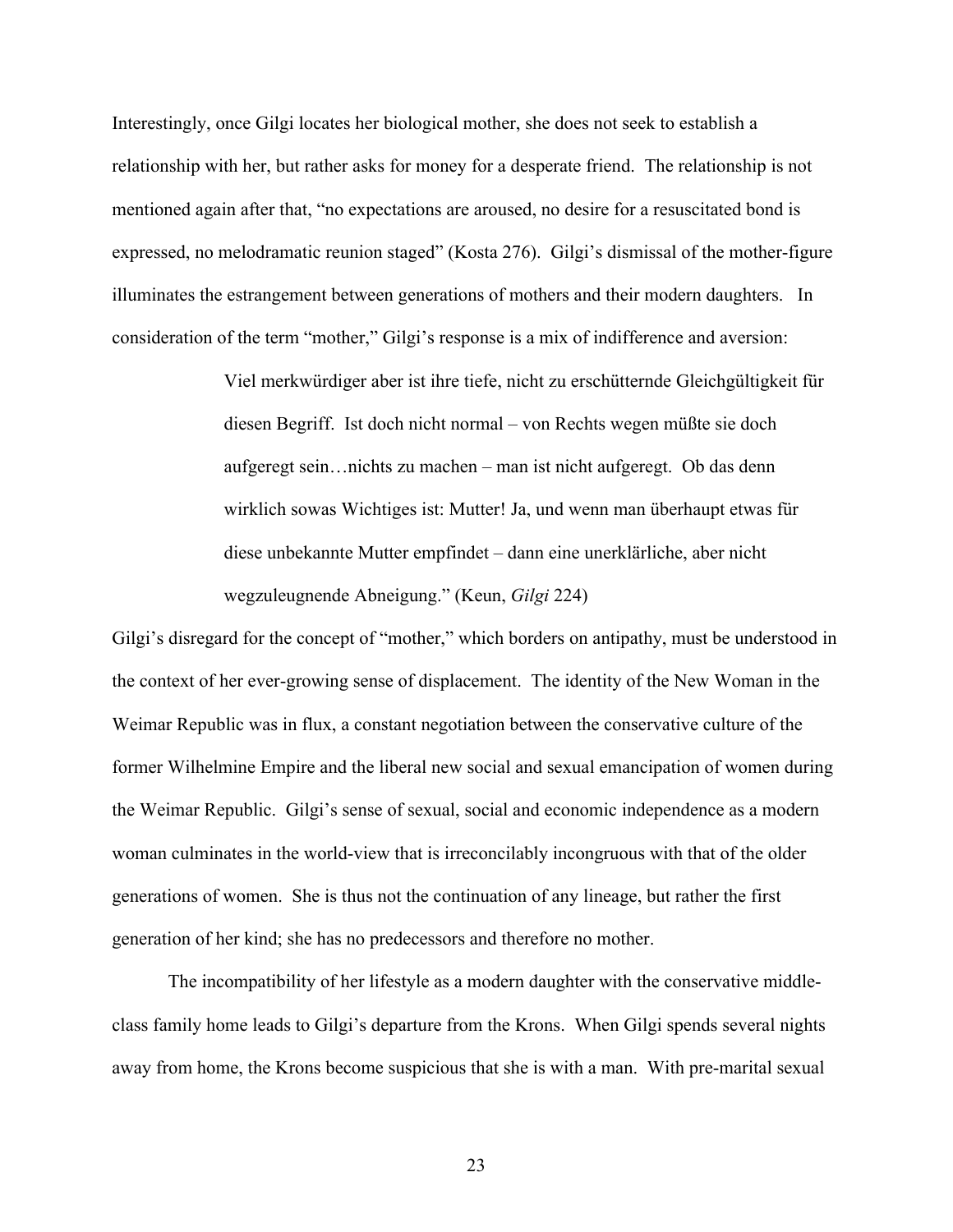Interestingly, once Gilgi locates her biological mother, she does not seek to establish a relationship with her, but rather asks for money for a desperate friend. The relationship is not mentioned again after that, "no expectations are aroused, no desire for a resuscitated bond is expressed, no melodramatic reunion staged" (Kosta 276). Gilgi's dismissal of the mother-figure illuminates the estrangement between generations of mothers and their modern daughters. In consideration of the term "mother," Gilgi's response is a mix of indifference and aversion:

> Viel merkwürdiger aber ist ihre tiefe, nicht zu erschütternde Gleichgültigkeit für diesen Begriff. Ist doch nicht normal – von Rechts wegen müßte sie doch aufgeregt sein…nichts zu machen – man ist nicht aufgeregt. Ob das denn wirklich sowas Wichtiges ist: Mutter! Ja, und wenn man überhaupt etwas für diese unbekannte Mutter empfindet – dann eine unerklärliche, aber nicht wegzuleugnende Abneigung." (Keun, *Gilgi* 224)

Gilgi's disregard for the concept of "mother," which borders on antipathy, must be understood in the context of her ever-growing sense of displacement. The identity of the New Woman in the Weimar Republic was in flux, a constant negotiation between the conservative culture of the former Wilhelmine Empire and the liberal new social and sexual emancipation of women during the Weimar Republic. Gilgi's sense of sexual, social and economic independence as a modern woman culminates in the world-view that is irreconcilably incongruous with that of the older generations of women. She is thus not the continuation of any lineage, but rather the first generation of her kind; she has no predecessors and therefore no mother.

The incompatibility of her lifestyle as a modern daughter with the conservative middleclass family home leads to Gilgi's departure from the Krons. When Gilgi spends several nights away from home, the Krons become suspicious that she is with a man. With pre-marital sexual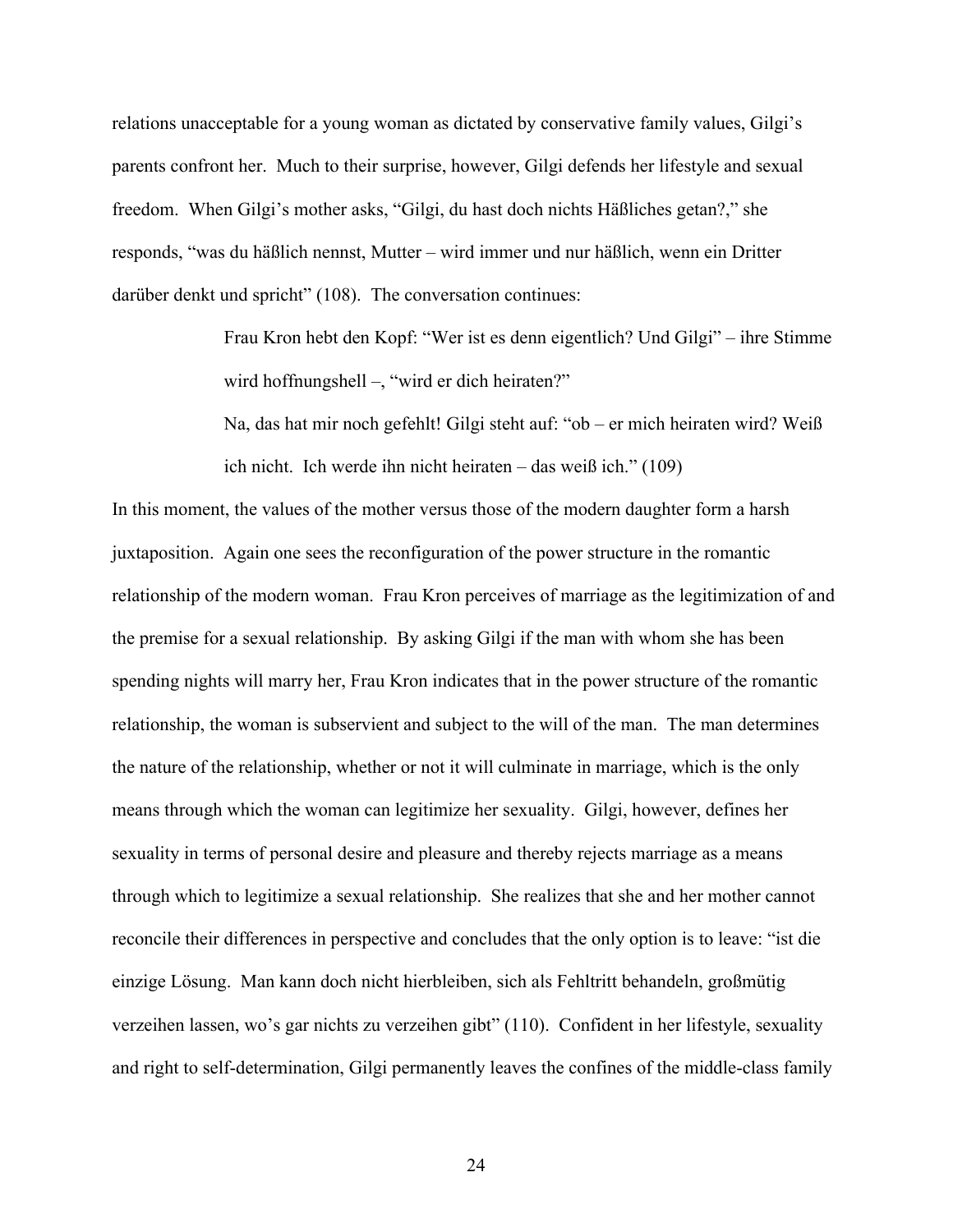relations unacceptable for a young woman as dictated by conservative family values, Gilgi's parents confront her. Much to their surprise, however, Gilgi defends her lifestyle and sexual freedom. When Gilgi's mother asks, "Gilgi, du hast doch nichts Häßliches getan?," she responds, "was du häßlich nennst, Mutter – wird immer und nur häßlich, wenn ein Dritter darüber denkt und spricht" (108). The conversation continues:

> Frau Kron hebt den Kopf: "Wer ist es denn eigentlich? Und Gilgi" – ihre Stimme wird hoffnungshell –, "wird er dich heiraten?"

Na, das hat mir noch gefehlt! Gilgi steht auf: "ob – er mich heiraten wird? Weiß ich nicht. Ich werde ihn nicht heiraten – das weiß ich." (109)

In this moment, the values of the mother versus those of the modern daughter form a harsh juxtaposition. Again one sees the reconfiguration of the power structure in the romantic relationship of the modern woman. Frau Kron perceives of marriage as the legitimization of and the premise for a sexual relationship. By asking Gilgi if the man with whom she has been spending nights will marry her, Frau Kron indicates that in the power structure of the romantic relationship, the woman is subservient and subject to the will of the man. The man determines the nature of the relationship, whether or not it will culminate in marriage, which is the only means through which the woman can legitimize her sexuality. Gilgi, however, defines her sexuality in terms of personal desire and pleasure and thereby rejects marriage as a means through which to legitimize a sexual relationship. She realizes that she and her mother cannot reconcile their differences in perspective and concludes that the only option is to leave: "ist die einzige Lösung. Man kann doch nicht hierbleiben, sich als Fehltritt behandeln, großmütig verzeihen lassen, wo's gar nichts zu verzeihen gibt" (110). Confident in her lifestyle, sexuality and right to self-determination, Gilgi permanently leaves the confines of the middle-class family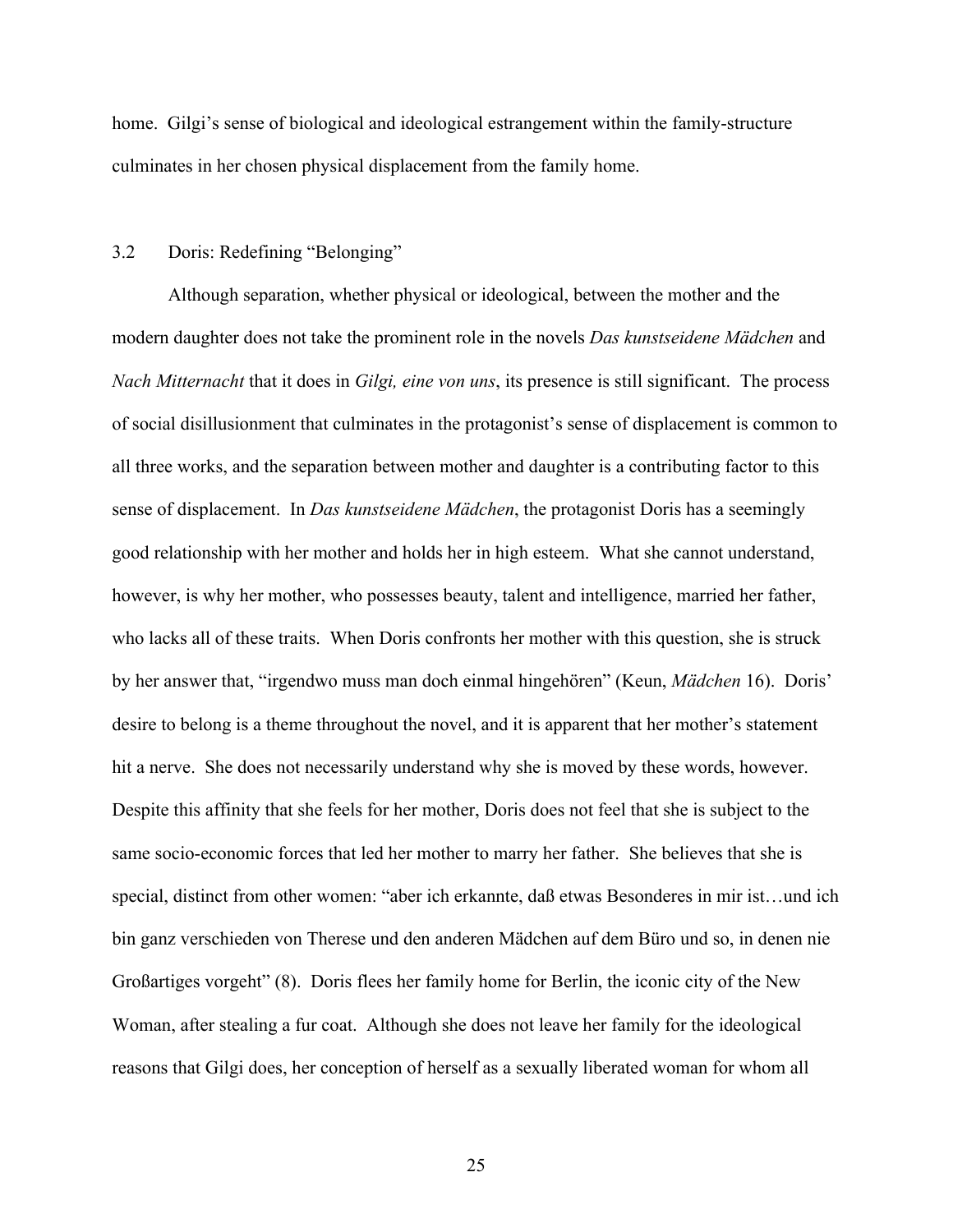home. Gilgi's sense of biological and ideological estrangement within the family-structure culminates in her chosen physical displacement from the family home.

#### 3.2 Doris: Redefining "Belonging"

Although separation, whether physical or ideological, between the mother and the modern daughter does not take the prominent role in the novels *Das kunstseidene Mädchen* and *Nach Mitternacht* that it does in *Gilgi, eine von uns*, its presence is still significant. The process of social disillusionment that culminates in the protagonist's sense of displacement is common to all three works, and the separation between mother and daughter is a contributing factor to this sense of displacement. In *Das kunstseidene Mädchen*, the protagonist Doris has a seemingly good relationship with her mother and holds her in high esteem. What she cannot understand, however, is why her mother, who possesses beauty, talent and intelligence, married her father, who lacks all of these traits. When Doris confronts her mother with this question, she is struck by her answer that, "irgendwo muss man doch einmal hingehören" (Keun, *Mädchen* 16). Doris' desire to belong is a theme throughout the novel, and it is apparent that her mother's statement hit a nerve. She does not necessarily understand why she is moved by these words, however. Despite this affinity that she feels for her mother, Doris does not feel that she is subject to the same socio-economic forces that led her mother to marry her father. She believes that she is special, distinct from other women: "aber ich erkannte, daß etwas Besonderes in mir ist…und ich bin ganz verschieden von Therese und den anderen Mädchen auf dem Büro und so, in denen nie Großartiges vorgeht" (8). Doris flees her family home for Berlin, the iconic city of the New Woman, after stealing a fur coat. Although she does not leave her family for the ideological reasons that Gilgi does, her conception of herself as a sexually liberated woman for whom all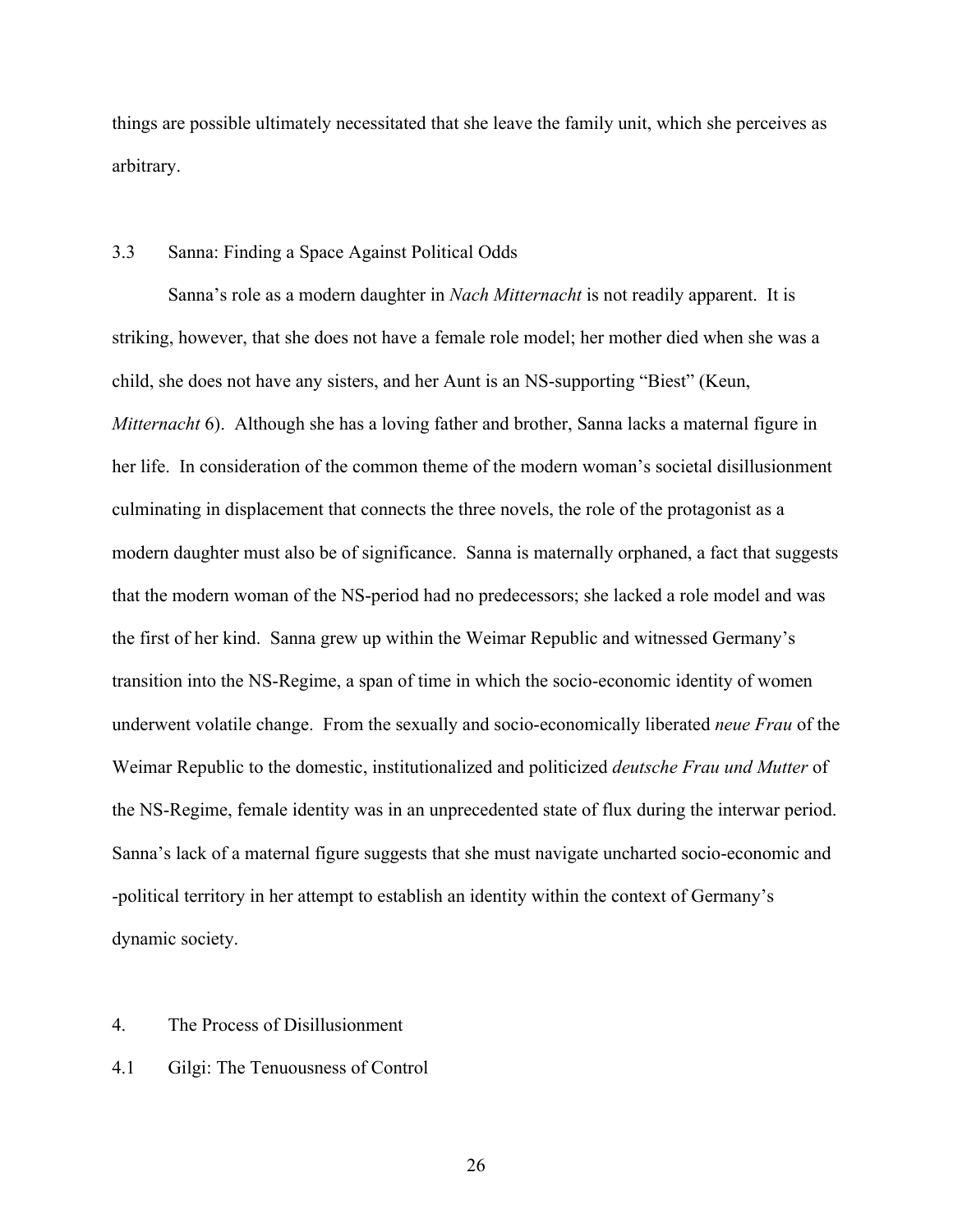things are possible ultimately necessitated that she leave the family unit, which she perceives as arbitrary.

# 3.3 Sanna: Finding a Space Against Political Odds

Sanna's role as a modern daughter in *Nach Mitternacht* is not readily apparent. It is striking, however, that she does not have a female role model; her mother died when she was a child, she does not have any sisters, and her Aunt is an NS-supporting "Biest" (Keun, *Mitternacht* 6). Although she has a loving father and brother, Sanna lacks a maternal figure in her life. In consideration of the common theme of the modern woman's societal disillusionment culminating in displacement that connects the three novels, the role of the protagonist as a modern daughter must also be of significance. Sanna is maternally orphaned, a fact that suggests that the modern woman of the NS-period had no predecessors; she lacked a role model and was the first of her kind. Sanna grew up within the Weimar Republic and witnessed Germany's transition into the NS-Regime, a span of time in which the socio-economic identity of women underwent volatile change. From the sexually and socio-economically liberated *neue Frau* of the Weimar Republic to the domestic, institutionalized and politicized *deutsche Frau und Mutter* of the NS-Regime, female identity was in an unprecedented state of flux during the interwar period. Sanna's lack of a maternal figure suggests that she must navigate uncharted socio-economic and -political territory in her attempt to establish an identity within the context of Germany's dynamic society.

## 4. The Process of Disillusionment

# 4.1 Gilgi: The Tenuousness of Control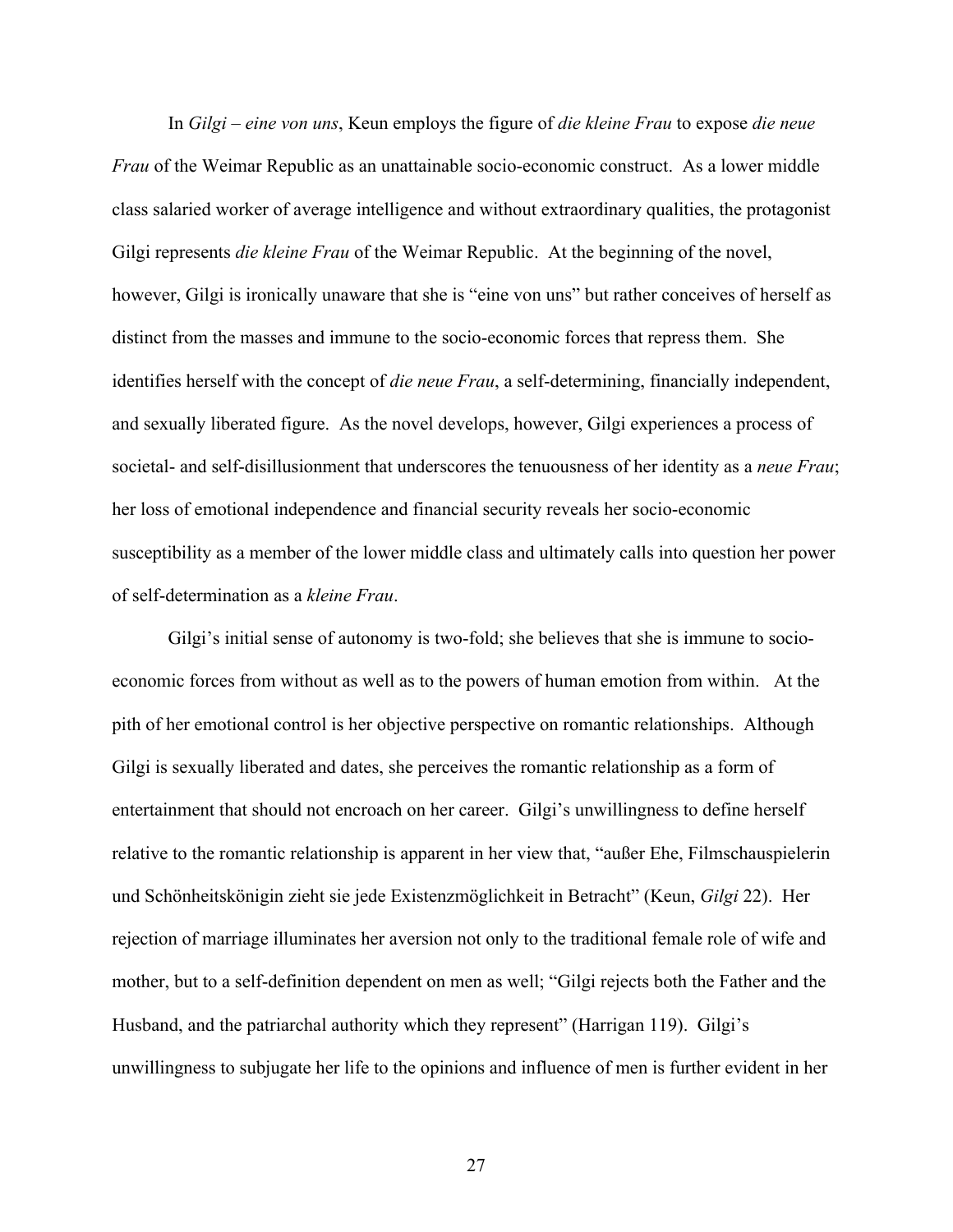In *Gilgi – eine von uns*, Keun employs the figure of *die kleine Frau* to expose *die neue Frau* of the Weimar Republic as an unattainable socio-economic construct. As a lower middle class salaried worker of average intelligence and without extraordinary qualities, the protagonist Gilgi represents *die kleine Frau* of the Weimar Republic. At the beginning of the novel, however, Gilgi is ironically unaware that she is "eine von uns" but rather conceives of herself as distinct from the masses and immune to the socio-economic forces that repress them. She identifies herself with the concept of *die neue Frau*, a self-determining, financially independent, and sexually liberated figure. As the novel develops, however, Gilgi experiences a process of societal- and self-disillusionment that underscores the tenuousness of her identity as a *neue Frau*; her loss of emotional independence and financial security reveals her socio-economic susceptibility as a member of the lower middle class and ultimately calls into question her power of self-determination as a *kleine Frau*.

Gilgi's initial sense of autonomy is two-fold; she believes that she is immune to socioeconomic forces from without as well as to the powers of human emotion from within. At the pith of her emotional control is her objective perspective on romantic relationships. Although Gilgi is sexually liberated and dates, she perceives the romantic relationship as a form of entertainment that should not encroach on her career. Gilgi's unwillingness to define herself relative to the romantic relationship is apparent in her view that, "außer Ehe, Filmschauspielerin und Schönheitskönigin zieht sie jede Existenzmöglichkeit in Betracht" (Keun, *Gilgi* 22). Her rejection of marriage illuminates her aversion not only to the traditional female role of wife and mother, but to a self-definition dependent on men as well; "Gilgi rejects both the Father and the Husband, and the patriarchal authority which they represent" (Harrigan 119). Gilgi's unwillingness to subjugate her life to the opinions and influence of men is further evident in her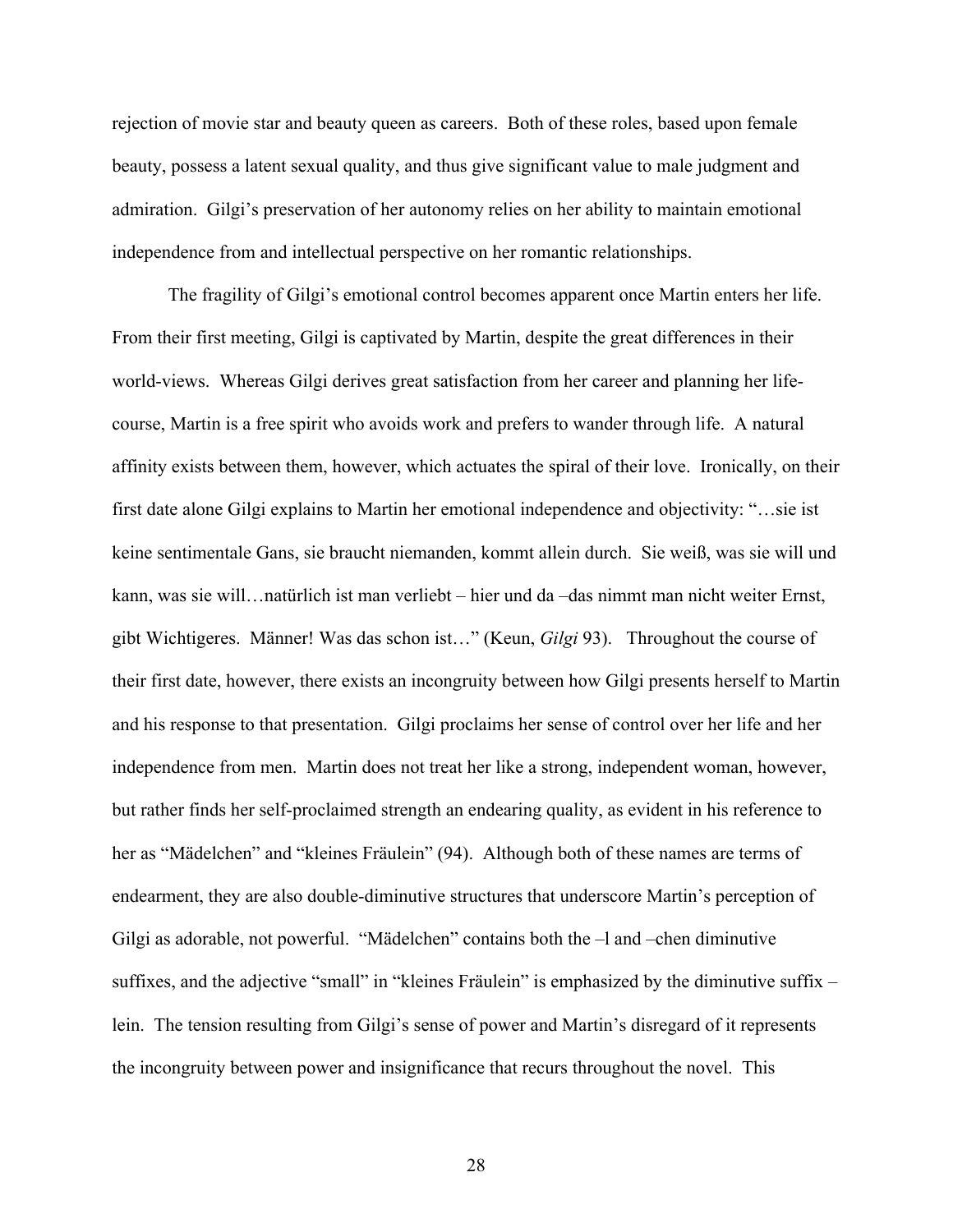rejection of movie star and beauty queen as careers. Both of these roles, based upon female beauty, possess a latent sexual quality, and thus give significant value to male judgment and admiration. Gilgi's preservation of her autonomy relies on her ability to maintain emotional independence from and intellectual perspective on her romantic relationships.

The fragility of Gilgi's emotional control becomes apparent once Martin enters her life. From their first meeting, Gilgi is captivated by Martin, despite the great differences in their world-views. Whereas Gilgi derives great satisfaction from her career and planning her lifecourse, Martin is a free spirit who avoids work and prefers to wander through life. A natural affinity exists between them, however, which actuates the spiral of their love. Ironically, on their first date alone Gilgi explains to Martin her emotional independence and objectivity: "…sie ist keine sentimentale Gans, sie braucht niemanden, kommt allein durch. Sie weiß, was sie will und kann, was sie will…natürlich ist man verliebt – hier und da –das nimmt man nicht weiter Ernst, gibt Wichtigeres. Männer! Was das schon ist…" (Keun, *Gilgi* 93). Throughout the course of their first date, however, there exists an incongruity between how Gilgi presents herself to Martin and his response to that presentation. Gilgi proclaims her sense of control over her life and her independence from men. Martin does not treat her like a strong, independent woman, however, but rather finds her self-proclaimed strength an endearing quality, as evident in his reference to her as "Mädelchen" and "kleines Fräulein" (94). Although both of these names are terms of endearment, they are also double-diminutive structures that underscore Martin's perception of Gilgi as adorable, not powerful. "Mädelchen" contains both the –l and –chen diminutive suffixes, and the adjective "small" in "kleines Fräulein" is emphasized by the diminutive suffix – lein. The tension resulting from Gilgi's sense of power and Martin's disregard of it represents the incongruity between power and insignificance that recurs throughout the novel. This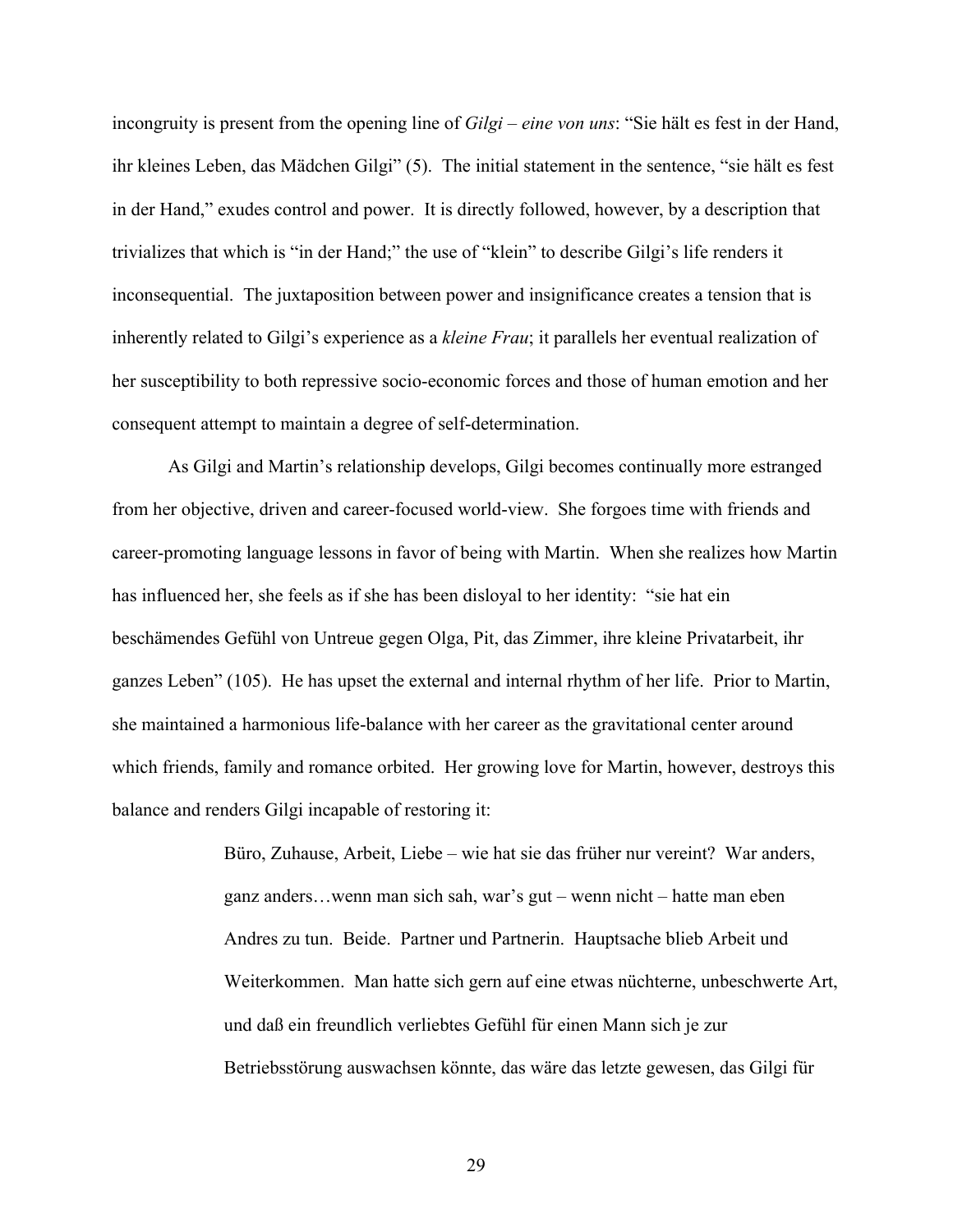incongruity is present from the opening line of *Gilgi – eine von uns*: "Sie hält es fest in der Hand, ihr kleines Leben, das Mädchen Gilgi" (5). The initial statement in the sentence, "sie hält es fest in der Hand," exudes control and power. It is directly followed, however, by a description that trivializes that which is "in der Hand;" the use of "klein" to describe Gilgi's life renders it inconsequential. The juxtaposition between power and insignificance creates a tension that is inherently related to Gilgi's experience as a *kleine Frau*; it parallels her eventual realization of her susceptibility to both repressive socio-economic forces and those of human emotion and her consequent attempt to maintain a degree of self-determination.

As Gilgi and Martin's relationship develops, Gilgi becomes continually more estranged from her objective, driven and career-focused world-view. She forgoes time with friends and career-promoting language lessons in favor of being with Martin. When she realizes how Martin has influenced her, she feels as if she has been disloyal to her identity: "sie hat ein beschämendes Gefühl von Untreue gegen Olga, Pit, das Zimmer, ihre kleine Privatarbeit, ihr ganzes Leben" (105). He has upset the external and internal rhythm of her life. Prior to Martin, she maintained a harmonious life-balance with her career as the gravitational center around which friends, family and romance orbited. Her growing love for Martin, however, destroys this balance and renders Gilgi incapable of restoring it:

> Büro, Zuhause, Arbeit, Liebe – wie hat sie das früher nur vereint? War anders, ganz anders…wenn man sich sah, war's gut – wenn nicht – hatte man eben Andres zu tun. Beide. Partner und Partnerin. Hauptsache blieb Arbeit und Weiterkommen. Man hatte sich gern auf eine etwas nüchterne, unbeschwerte Art, und daß ein freundlich verliebtes Gefühl für einen Mann sich je zur Betriebsstörung auswachsen könnte, das wäre das letzte gewesen, das Gilgi für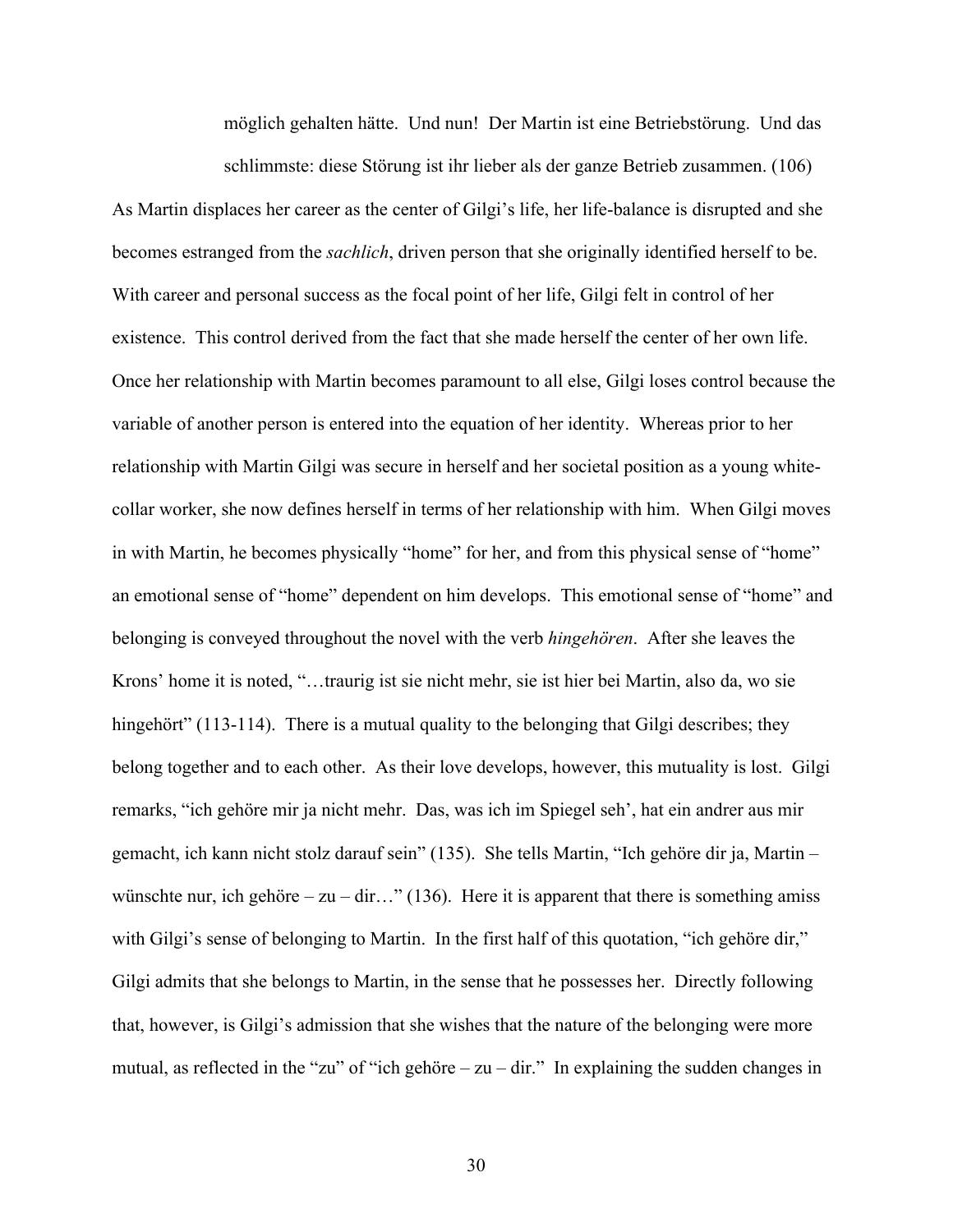möglich gehalten hätte. Und nun! Der Martin ist eine Betriebstörung. Und das schlimmste: diese Störung ist ihr lieber als der ganze Betrieb zusammen. (106)

As Martin displaces her career as the center of Gilgi's life, her life-balance is disrupted and she becomes estranged from the *sachlich*, driven person that she originally identified herself to be. With career and personal success as the focal point of her life, Gilgi felt in control of her existence. This control derived from the fact that she made herself the center of her own life. Once her relationship with Martin becomes paramount to all else, Gilgi loses control because the variable of another person is entered into the equation of her identity. Whereas prior to her relationship with Martin Gilgi was secure in herself and her societal position as a young whitecollar worker, she now defines herself in terms of her relationship with him. When Gilgi moves in with Martin, he becomes physically "home" for her, and from this physical sense of "home" an emotional sense of "home" dependent on him develops. This emotional sense of "home" and belonging is conveyed throughout the novel with the verb *hingehören*. After she leaves the Krons' home it is noted, "…traurig ist sie nicht mehr, sie ist hier bei Martin, also da, wo sie hingehört" (113-114). There is a mutual quality to the belonging that Gilgi describes; they belong together and to each other. As their love develops, however, this mutuality is lost. Gilgi remarks, "ich gehöre mir ja nicht mehr. Das, was ich im Spiegel seh', hat ein andrer aus mir gemacht, ich kann nicht stolz darauf sein" (135). She tells Martin, "Ich gehöre dir ja, Martin – wünschte nur, ich gehöre – zu – dir..." (136). Here it is apparent that there is something amiss with Gilgi's sense of belonging to Martin. In the first half of this quotation, "ich gehöre dir," Gilgi admits that she belongs to Martin, in the sense that he possesses her. Directly following that, however, is Gilgi's admission that she wishes that the nature of the belonging were more mutual, as reflected in the "zu" of "ich gehöre – zu – dir." In explaining the sudden changes in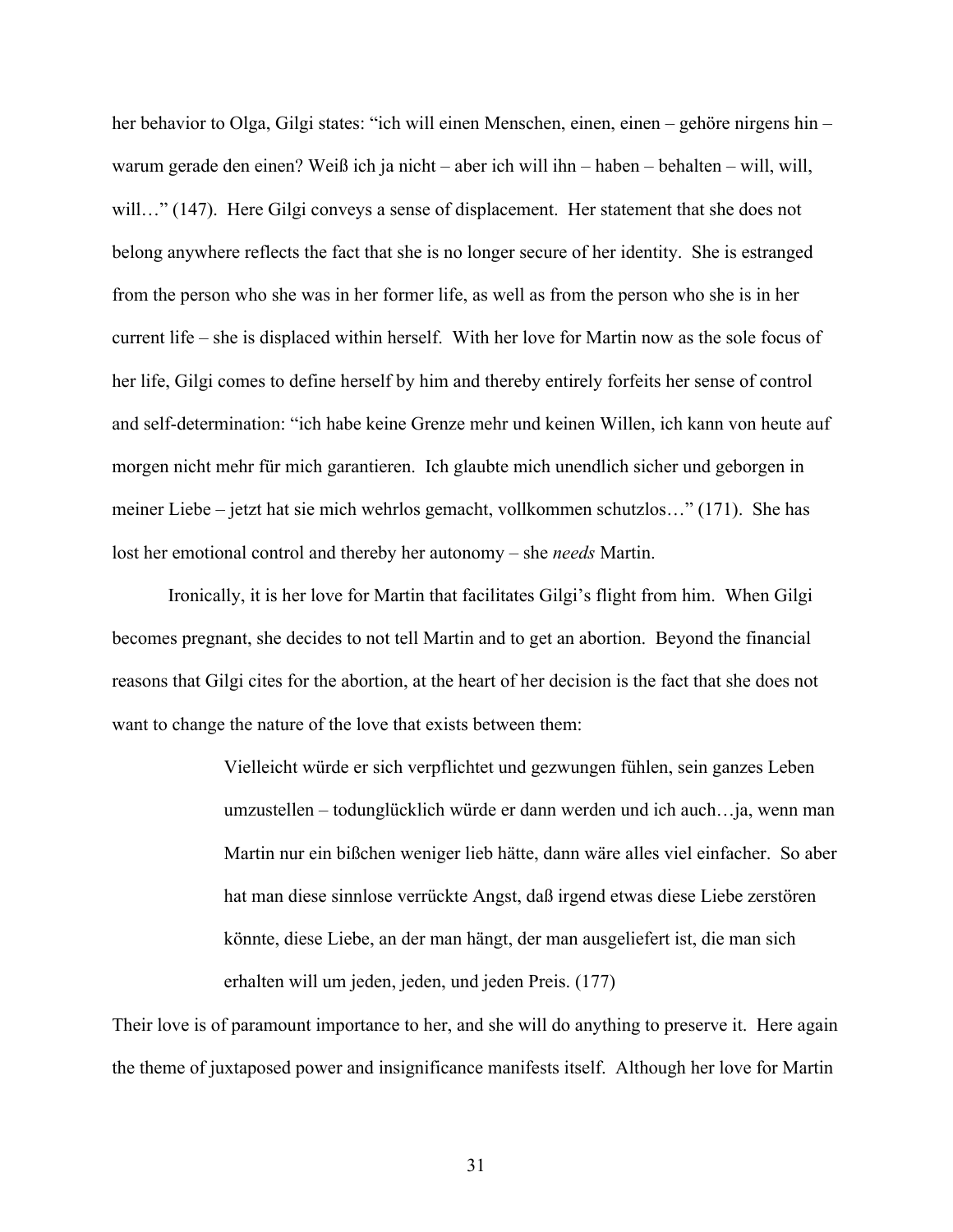her behavior to Olga, Gilgi states: "ich will einen Menschen, einen, einen – gehöre nirgens hin – warum gerade den einen? Weiß ich ja nicht – aber ich will ihn – haben – behalten – will, will, will..." (147). Here Gilgi conveys a sense of displacement. Her statement that she does not belong anywhere reflects the fact that she is no longer secure of her identity. She is estranged from the person who she was in her former life, as well as from the person who she is in her current life – she is displaced within herself. With her love for Martin now as the sole focus of her life, Gilgi comes to define herself by him and thereby entirely forfeits her sense of control and self-determination: "ich habe keine Grenze mehr und keinen Willen, ich kann von heute auf morgen nicht mehr für mich garantieren. Ich glaubte mich unendlich sicher und geborgen in meiner Liebe – jetzt hat sie mich wehrlos gemacht, vollkommen schutzlos…" (171). She has lost her emotional control and thereby her autonomy – she *needs* Martin.

Ironically, it is her love for Martin that facilitates Gilgi's flight from him. When Gilgi becomes pregnant, she decides to not tell Martin and to get an abortion. Beyond the financial reasons that Gilgi cites for the abortion, at the heart of her decision is the fact that she does not want to change the nature of the love that exists between them:

> Vielleicht würde er sich verpflichtet und gezwungen fühlen, sein ganzes Leben umzustellen – todunglücklich würde er dann werden und ich auch…ja, wenn man Martin nur ein bißchen weniger lieb hätte, dann wäre alles viel einfacher. So aber hat man diese sinnlose verrückte Angst, daß irgend etwas diese Liebe zerstören könnte, diese Liebe, an der man hängt, der man ausgeliefert ist, die man sich erhalten will um jeden, jeden, und jeden Preis. (177)

Their love is of paramount importance to her, and she will do anything to preserve it. Here again the theme of juxtaposed power and insignificance manifests itself. Although her love for Martin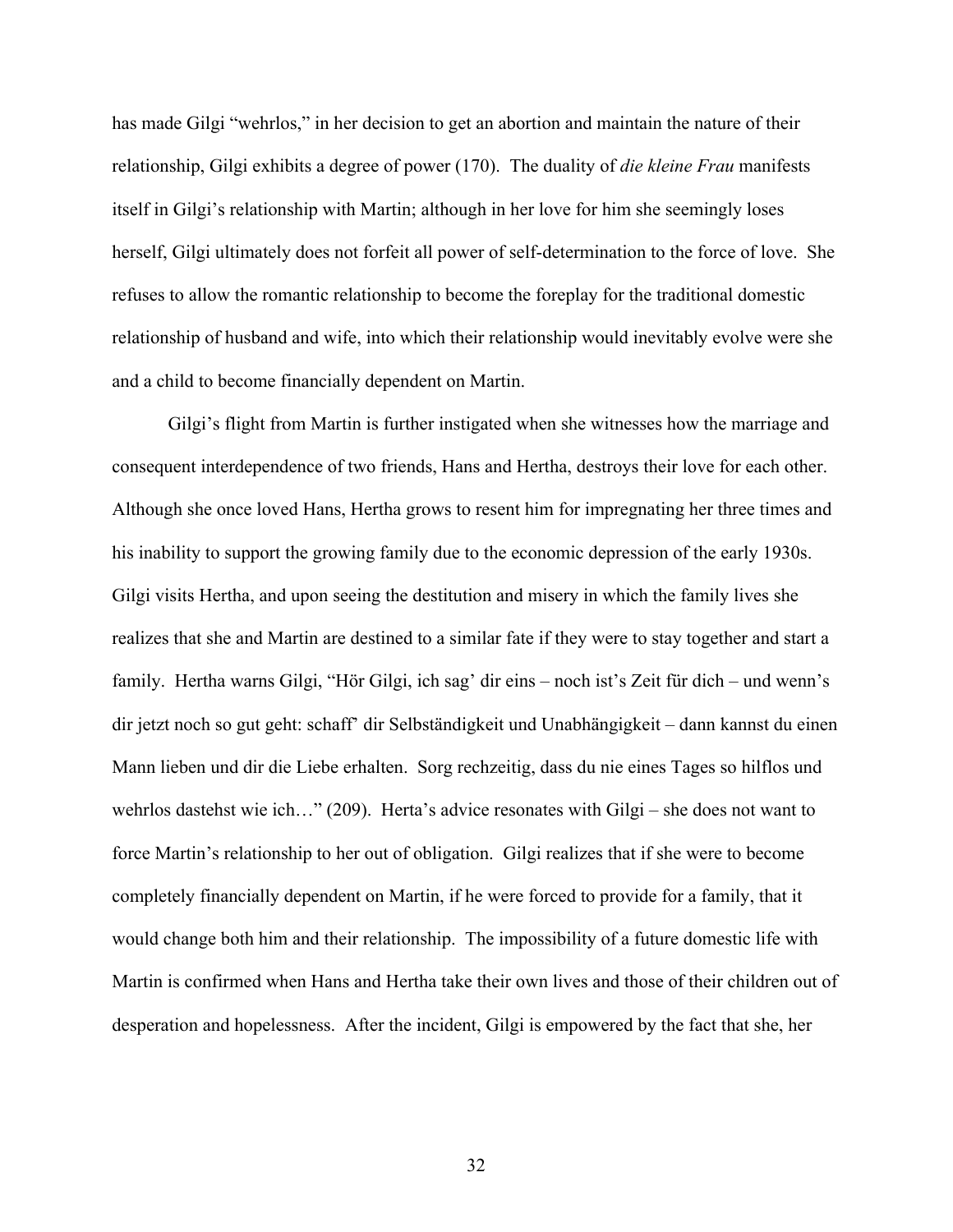has made Gilgi "wehrlos," in her decision to get an abortion and maintain the nature of their relationship, Gilgi exhibits a degree of power (170). The duality of *die kleine Frau* manifests itself in Gilgi's relationship with Martin; although in her love for him she seemingly loses herself, Gilgi ultimately does not forfeit all power of self-determination to the force of love. She refuses to allow the romantic relationship to become the foreplay for the traditional domestic relationship of husband and wife, into which their relationship would inevitably evolve were she and a child to become financially dependent on Martin.

Gilgi's flight from Martin is further instigated when she witnesses how the marriage and consequent interdependence of two friends, Hans and Hertha, destroys their love for each other. Although she once loved Hans, Hertha grows to resent him for impregnating her three times and his inability to support the growing family due to the economic depression of the early 1930s. Gilgi visits Hertha, and upon seeing the destitution and misery in which the family lives she realizes that she and Martin are destined to a similar fate if they were to stay together and start a family. Hertha warns Gilgi, "Hör Gilgi, ich sag' dir eins – noch ist's Zeit für dich – und wenn's dir jetzt noch so gut geht: schaff' dir Selbständigkeit und Unabhängigkeit – dann kannst du einen Mann lieben und dir die Liebe erhalten. Sorg rechzeitig, dass du nie eines Tages so hilflos und wehrlos dastehst wie ich…" (209). Herta's advice resonates with Gilgi – she does not want to force Martin's relationship to her out of obligation. Gilgi realizes that if she were to become completely financially dependent on Martin, if he were forced to provide for a family, that it would change both him and their relationship. The impossibility of a future domestic life with Martin is confirmed when Hans and Hertha take their own lives and those of their children out of desperation and hopelessness. After the incident, Gilgi is empowered by the fact that she, her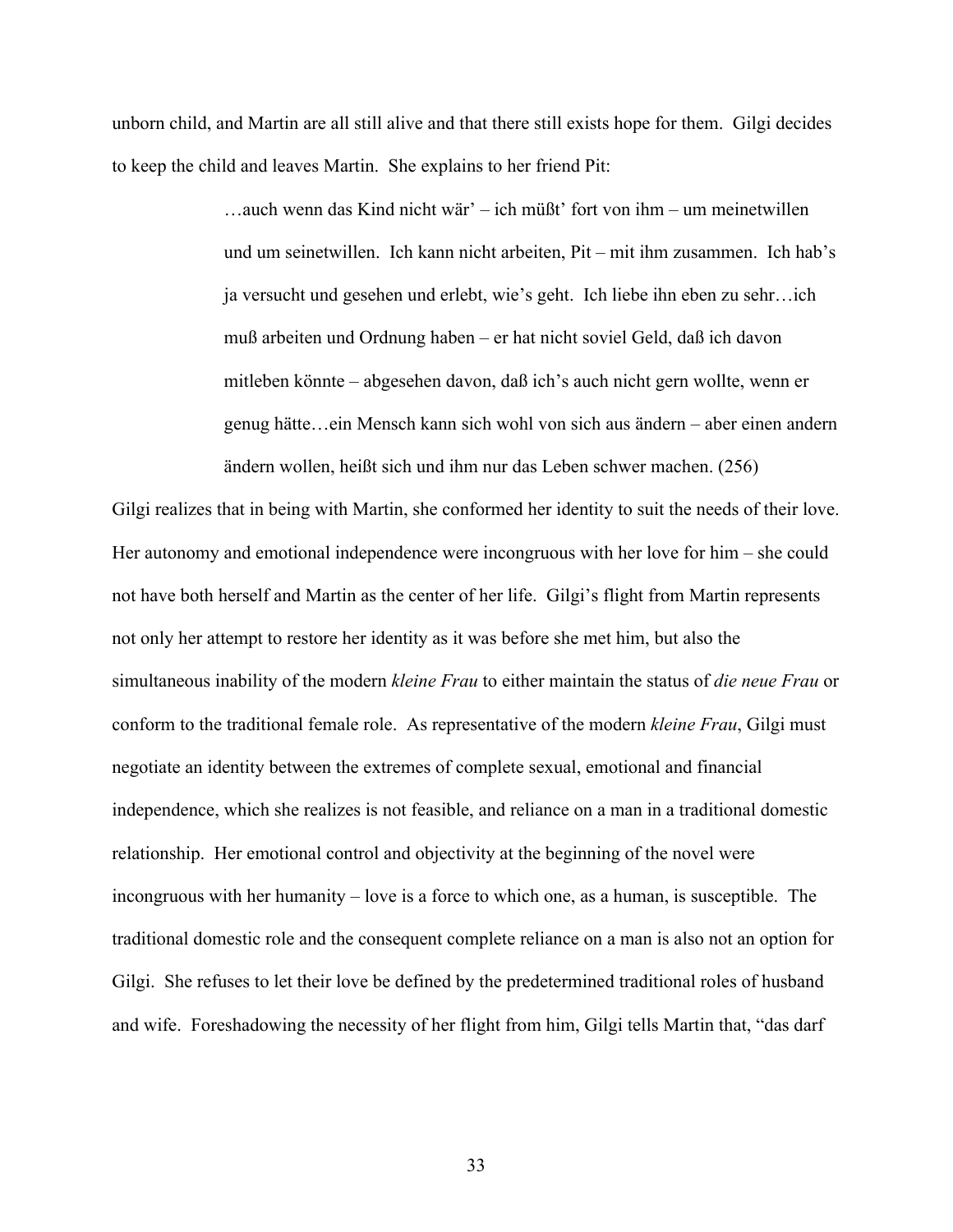unborn child, and Martin are all still alive and that there still exists hope for them. Gilgi decides to keep the child and leaves Martin. She explains to her friend Pit:

> …auch wenn das Kind nicht wär' – ich müßt' fort von ihm – um meinetwillen und um seinetwillen. Ich kann nicht arbeiten, Pit – mit ihm zusammen. Ich hab's ja versucht und gesehen und erlebt, wie's geht. Ich liebe ihn eben zu sehr…ich muß arbeiten und Ordnung haben – er hat nicht soviel Geld, daß ich davon mitleben könnte – abgesehen davon, daß ich's auch nicht gern wollte, wenn er genug hätte…ein Mensch kann sich wohl von sich aus ändern – aber einen andern ändern wollen, heißt sich und ihm nur das Leben schwer machen. (256)

Gilgi realizes that in being with Martin, she conformed her identity to suit the needs of their love. Her autonomy and emotional independence were incongruous with her love for him – she could not have both herself and Martin as the center of her life. Gilgi's flight from Martin represents not only her attempt to restore her identity as it was before she met him, but also the simultaneous inability of the modern *kleine Frau* to either maintain the status of *die neue Frau* or conform to the traditional female role. As representative of the modern *kleine Frau*, Gilgi must negotiate an identity between the extremes of complete sexual, emotional and financial independence, which she realizes is not feasible, and reliance on a man in a traditional domestic relationship. Her emotional control and objectivity at the beginning of the novel were incongruous with her humanity – love is a force to which one, as a human, is susceptible. The traditional domestic role and the consequent complete reliance on a man is also not an option for Gilgi. She refuses to let their love be defined by the predetermined traditional roles of husband and wife. Foreshadowing the necessity of her flight from him, Gilgi tells Martin that, "das darf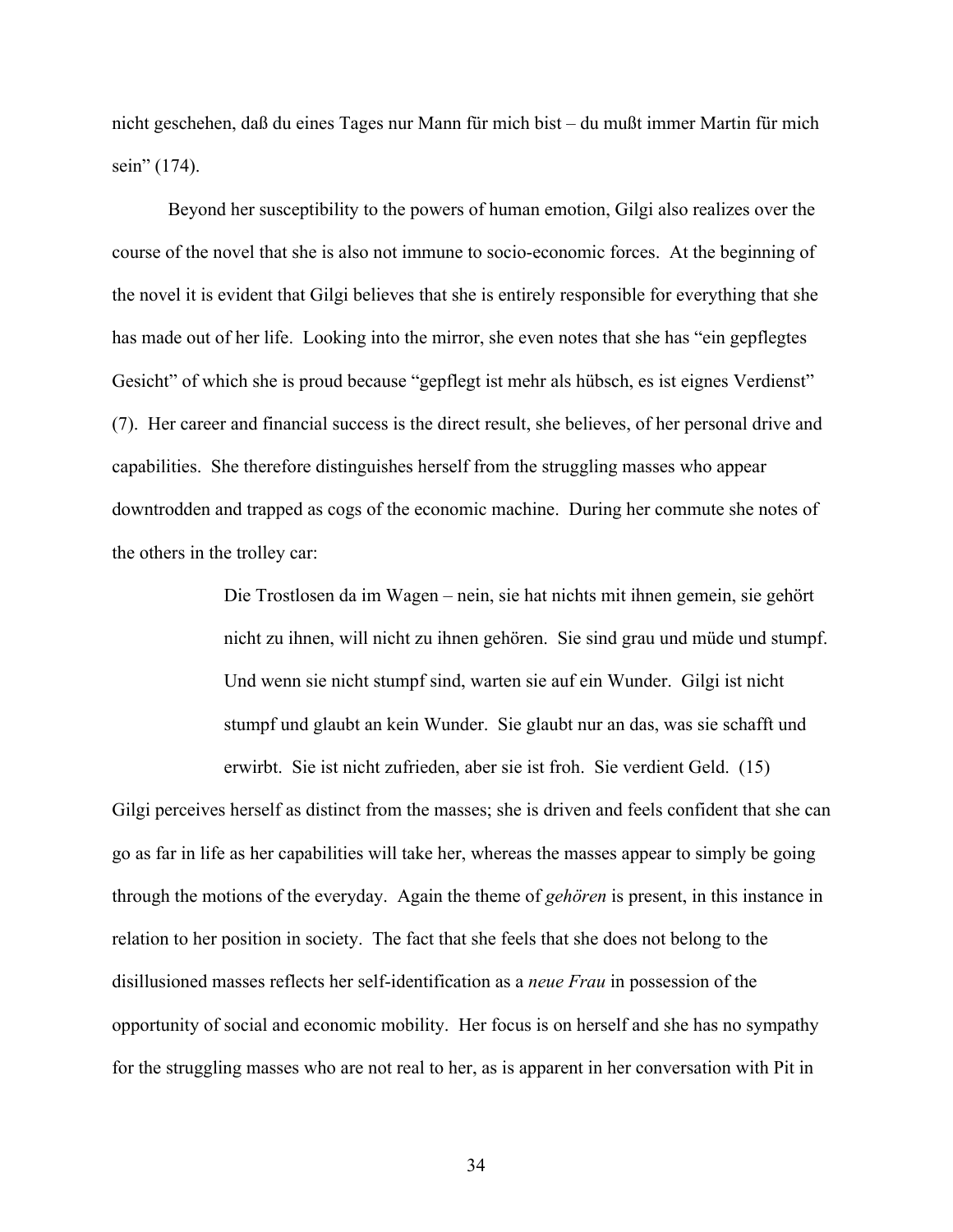nicht geschehen, daß du eines Tages nur Mann für mich bist – du mußt immer Martin für mich sein" (174).

Beyond her susceptibility to the powers of human emotion, Gilgi also realizes over the course of the novel that she is also not immune to socio-economic forces. At the beginning of the novel it is evident that Gilgi believes that she is entirely responsible for everything that she has made out of her life. Looking into the mirror, she even notes that she has "ein gepflegtes Gesicht" of which she is proud because "gepflegt ist mehr als hübsch, es ist eignes Verdienst" (7). Her career and financial success is the direct result, she believes, of her personal drive and capabilities. She therefore distinguishes herself from the struggling masses who appear downtrodden and trapped as cogs of the economic machine. During her commute she notes of the others in the trolley car:

> Die Trostlosen da im Wagen – nein, sie hat nichts mit ihnen gemein, sie gehört nicht zu ihnen, will nicht zu ihnen gehören. Sie sind grau und müde und stumpf. Und wenn sie nicht stumpf sind, warten sie auf ein Wunder. Gilgi ist nicht stumpf und glaubt an kein Wunder. Sie glaubt nur an das, was sie schafft und erwirbt. Sie ist nicht zufrieden, aber sie ist froh. Sie verdient Geld. (15)

Gilgi perceives herself as distinct from the masses; she is driven and feels confident that she can go as far in life as her capabilities will take her, whereas the masses appear to simply be going through the motions of the everyday. Again the theme of *gehören* is present, in this instance in relation to her position in society. The fact that she feels that she does not belong to the disillusioned masses reflects her self-identification as a *neue Frau* in possession of the opportunity of social and economic mobility. Her focus is on herself and she has no sympathy for the struggling masses who are not real to her, as is apparent in her conversation with Pit in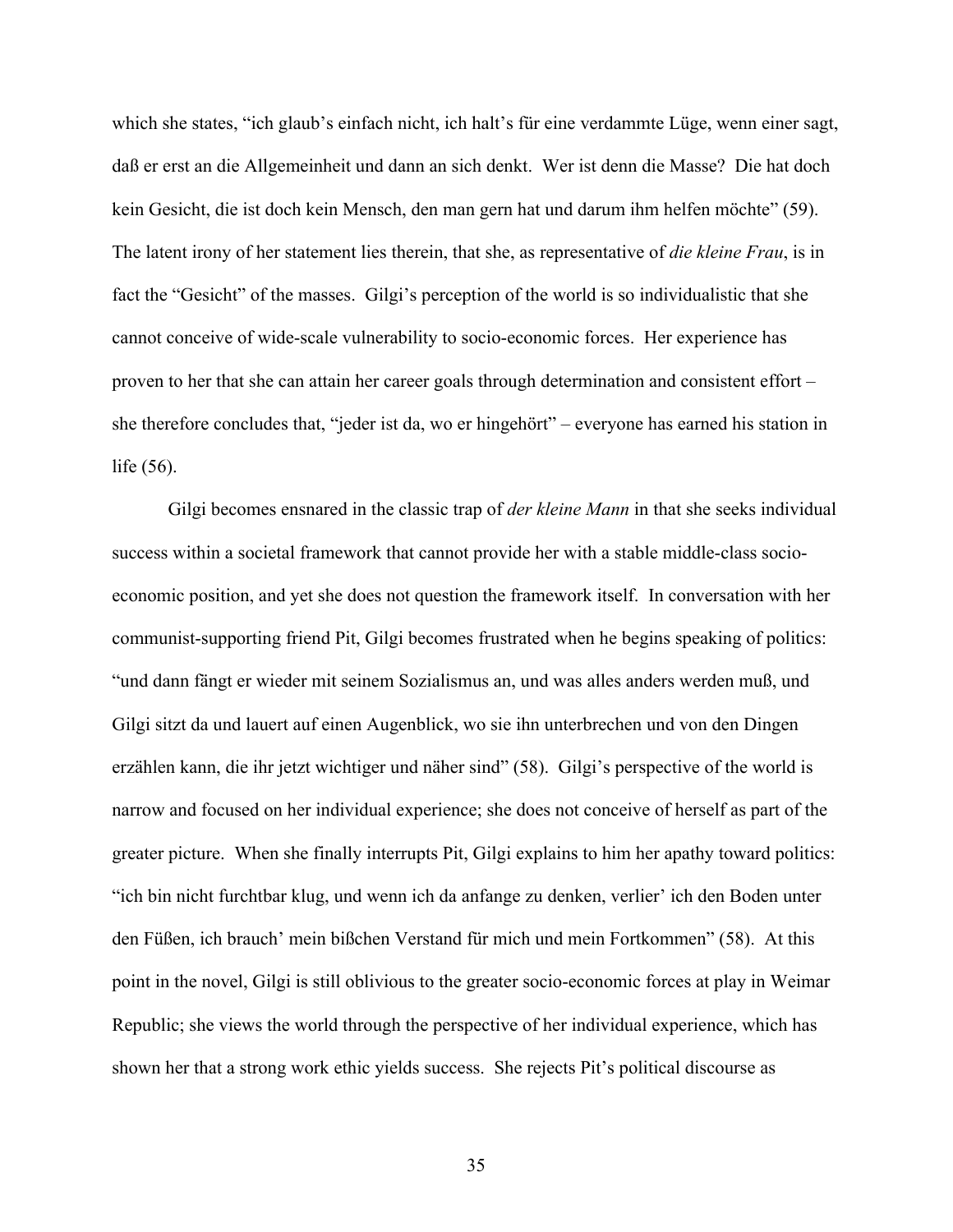which she states, "ich glaub's einfach nicht, ich halt's für eine verdammte Lüge, wenn einer sagt, daß er erst an die Allgemeinheit und dann an sich denkt. Wer ist denn die Masse? Die hat doch kein Gesicht, die ist doch kein Mensch, den man gern hat und darum ihm helfen möchte" (59). The latent irony of her statement lies therein, that she, as representative of *die kleine Frau*, is in fact the "Gesicht" of the masses. Gilgi's perception of the world is so individualistic that she cannot conceive of wide-scale vulnerability to socio-economic forces. Her experience has proven to her that she can attain her career goals through determination and consistent effort – she therefore concludes that, "jeder ist da, wo er hingehört" – everyone has earned his station in life (56).

Gilgi becomes ensnared in the classic trap of *der kleine Mann* in that she seeks individual success within a societal framework that cannot provide her with a stable middle-class socioeconomic position, and yet she does not question the framework itself. In conversation with her communist-supporting friend Pit, Gilgi becomes frustrated when he begins speaking of politics: "und dann fängt er wieder mit seinem Sozialismus an, und was alles anders werden muß, und Gilgi sitzt da und lauert auf einen Augenblick, wo sie ihn unterbrechen und von den Dingen erzählen kann, die ihr jetzt wichtiger und näher sind" (58). Gilgi's perspective of the world is narrow and focused on her individual experience; she does not conceive of herself as part of the greater picture. When she finally interrupts Pit, Gilgi explains to him her apathy toward politics: "ich bin nicht furchtbar klug, und wenn ich da anfange zu denken, verlier' ich den Boden unter den Füßen, ich brauch' mein bißchen Verstand für mich und mein Fortkommen" (58). At this point in the novel, Gilgi is still oblivious to the greater socio-economic forces at play in Weimar Republic; she views the world through the perspective of her individual experience, which has shown her that a strong work ethic yields success. She rejects Pit's political discourse as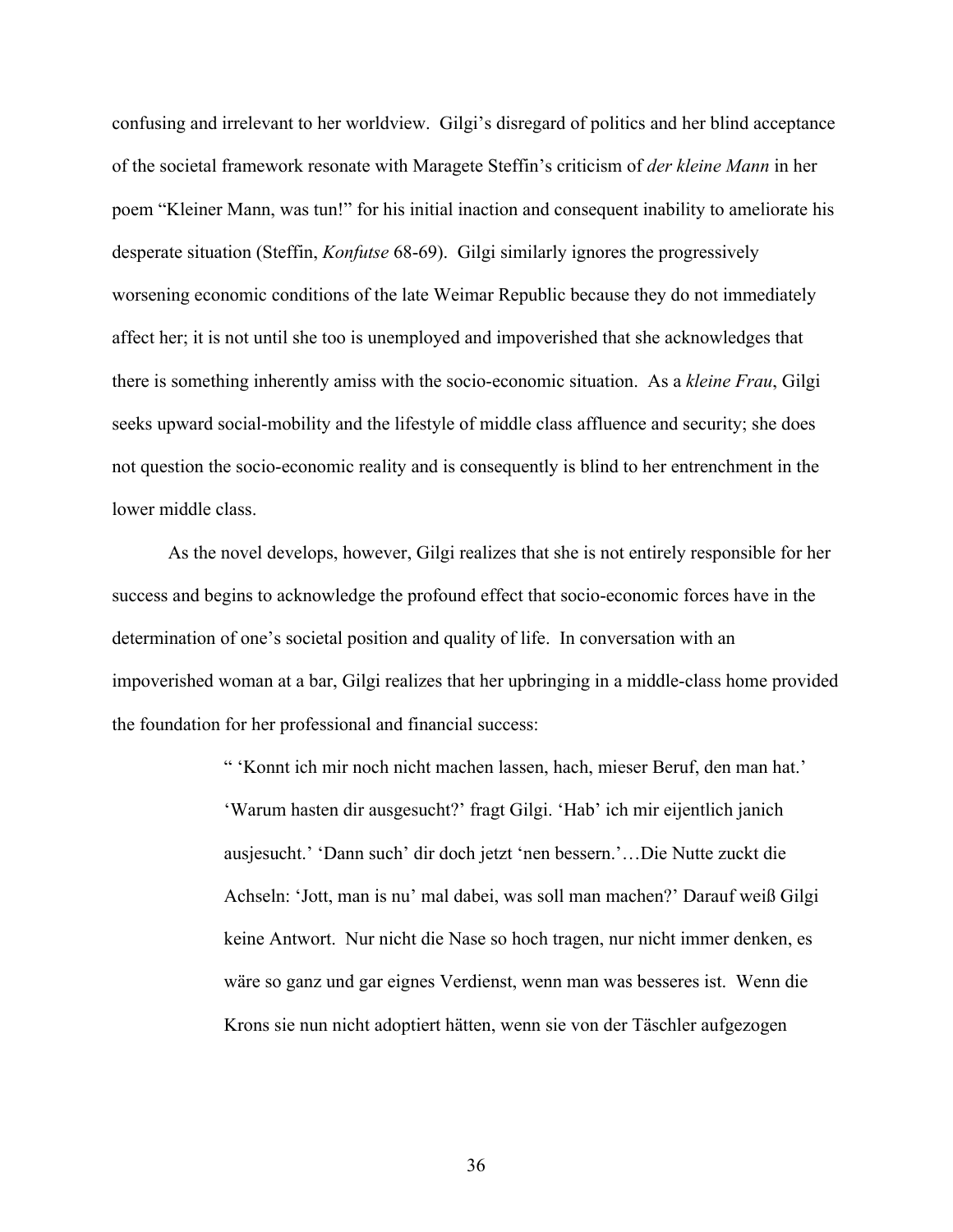confusing and irrelevant to her worldview. Gilgi's disregard of politics and her blind acceptance of the societal framework resonate with Maragete Steffin's criticism of *der kleine Mann* in her poem "Kleiner Mann, was tun!" for his initial inaction and consequent inability to ameliorate his desperate situation (Steffin, *Konfutse* 68-69). Gilgi similarly ignores the progressively worsening economic conditions of the late Weimar Republic because they do not immediately affect her; it is not until she too is unemployed and impoverished that she acknowledges that there is something inherently amiss with the socio-economic situation. As a *kleine Frau*, Gilgi seeks upward social-mobility and the lifestyle of middle class affluence and security; she does not question the socio-economic reality and is consequently is blind to her entrenchment in the lower middle class.

As the novel develops, however, Gilgi realizes that she is not entirely responsible for her success and begins to acknowledge the profound effect that socio-economic forces have in the determination of one's societal position and quality of life. In conversation with an impoverished woman at a bar, Gilgi realizes that her upbringing in a middle-class home provided the foundation for her professional and financial success:

> " 'Konnt ich mir noch nicht machen lassen, hach, mieser Beruf, den man hat.' 'Warum hasten dir ausgesucht?' fragt Gilgi. 'Hab' ich mir eijentlich janich ausjesucht.' 'Dann such' dir doch jetzt 'nen bessern.'…Die Nutte zuckt die Achseln: 'Jott, man is nu' mal dabei, was soll man machen?' Darauf weiß Gilgi keine Antwort. Nur nicht die Nase so hoch tragen, nur nicht immer denken, es wäre so ganz und gar eignes Verdienst, wenn man was besseres ist. Wenn die Krons sie nun nicht adoptiert hätten, wenn sie von der Täschler aufgezogen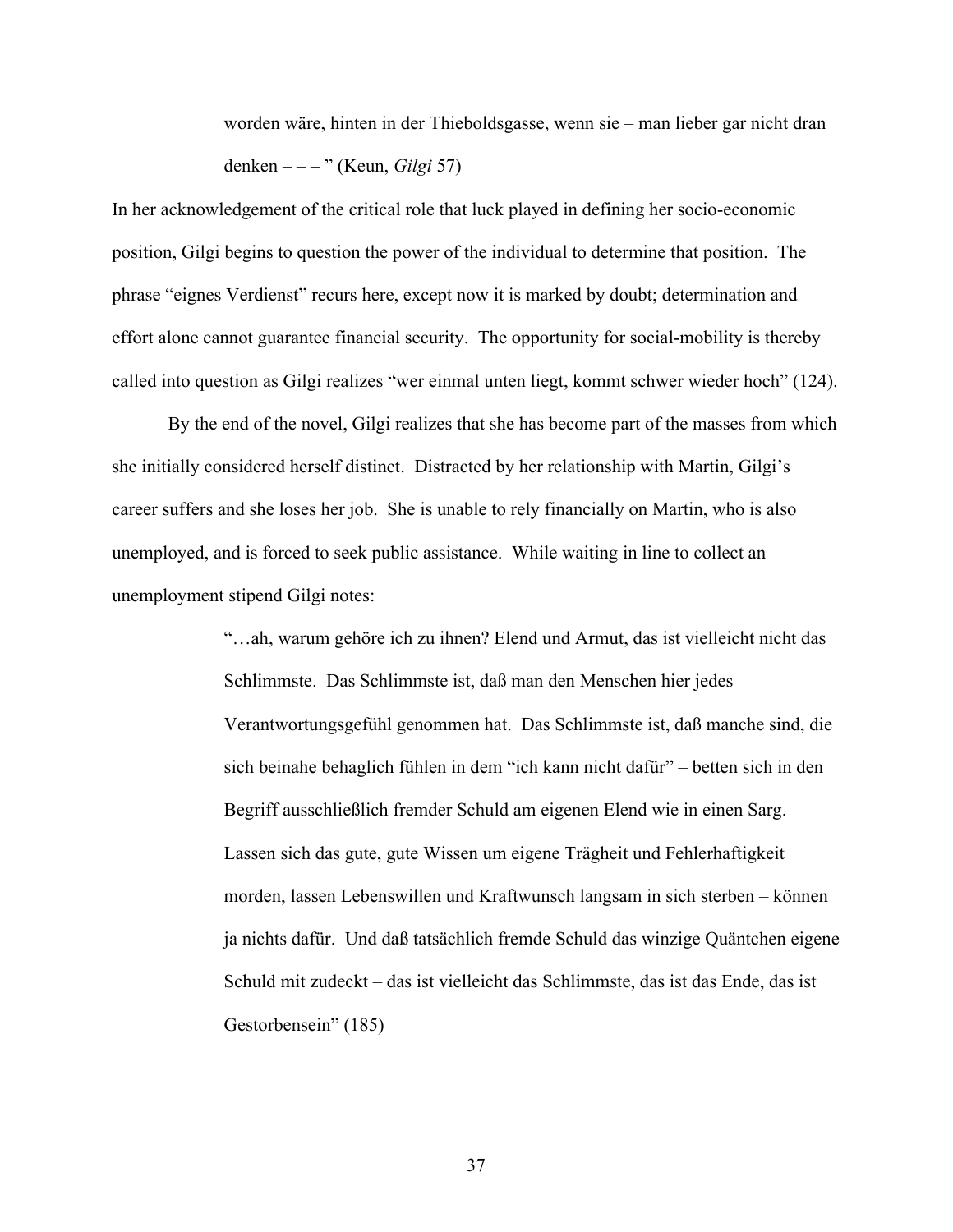worden wäre, hinten in der Thieboldsgasse, wenn sie – man lieber gar nicht dran denken – – – " (Keun, *Gilgi* 57)

In her acknowledgement of the critical role that luck played in defining her socio-economic position, Gilgi begins to question the power of the individual to determine that position. The phrase "eignes Verdienst" recurs here, except now it is marked by doubt; determination and effort alone cannot guarantee financial security. The opportunity for social-mobility is thereby called into question as Gilgi realizes "wer einmal unten liegt, kommt schwer wieder hoch" (124).

By the end of the novel, Gilgi realizes that she has become part of the masses from which she initially considered herself distinct. Distracted by her relationship with Martin, Gilgi's career suffers and she loses her job. She is unable to rely financially on Martin, who is also unemployed, and is forced to seek public assistance. While waiting in line to collect an unemployment stipend Gilgi notes:

> "…ah, warum gehöre ich zu ihnen? Elend und Armut, das ist vielleicht nicht das Schlimmste. Das Schlimmste ist, daß man den Menschen hier jedes Verantwortungsgefühl genommen hat. Das Schlimmste ist, daß manche sind, die sich beinahe behaglich fühlen in dem "ich kann nicht dafür" – betten sich in den Begriff ausschließlich fremder Schuld am eigenen Elend wie in einen Sarg. Lassen sich das gute, gute Wissen um eigene Trägheit und Fehlerhaftigkeit morden, lassen Lebenswillen und Kraftwunsch langsam in sich sterben – können ja nichts dafür. Und daß tatsächlich fremde Schuld das winzige Quäntchen eigene Schuld mit zudeckt – das ist vielleicht das Schlimmste, das ist das Ende, das ist Gestorbensein" (185)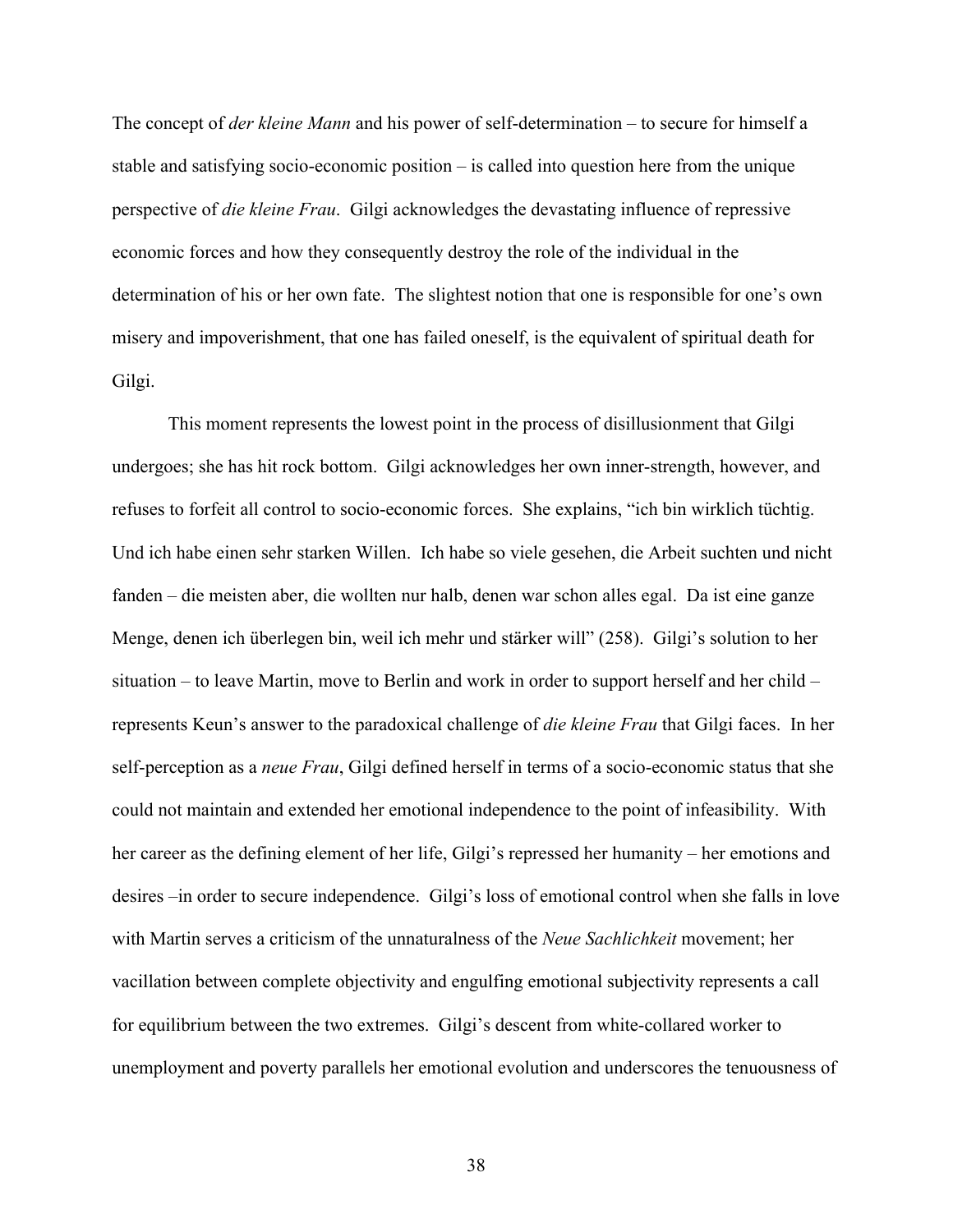The concept of *der kleine Mann* and his power of self-determination – to secure for himself a stable and satisfying socio-economic position – is called into question here from the unique perspective of *die kleine Frau*. Gilgi acknowledges the devastating influence of repressive economic forces and how they consequently destroy the role of the individual in the determination of his or her own fate. The slightest notion that one is responsible for one's own misery and impoverishment, that one has failed oneself, is the equivalent of spiritual death for Gilgi.

This moment represents the lowest point in the process of disillusionment that Gilgi undergoes; she has hit rock bottom. Gilgi acknowledges her own inner-strength, however, and refuses to forfeit all control to socio-economic forces. She explains, "ich bin wirklich tüchtig. Und ich habe einen sehr starken Willen. Ich habe so viele gesehen, die Arbeit suchten und nicht fanden – die meisten aber, die wollten nur halb, denen war schon alles egal. Da ist eine ganze Menge, denen ich überlegen bin, weil ich mehr und stärker will" (258). Gilgi's solution to her situation – to leave Martin, move to Berlin and work in order to support herself and her child – represents Keun's answer to the paradoxical challenge of *die kleine Frau* that Gilgi faces. In her self-perception as a *neue Frau*, Gilgi defined herself in terms of a socio-economic status that she could not maintain and extended her emotional independence to the point of infeasibility. With her career as the defining element of her life, Gilgi's repressed her humanity – her emotions and desires –in order to secure independence. Gilgi's loss of emotional control when she falls in love with Martin serves a criticism of the unnaturalness of the *Neue Sachlichkeit* movement; her vacillation between complete objectivity and engulfing emotional subjectivity represents a call for equilibrium between the two extremes. Gilgi's descent from white-collared worker to unemployment and poverty parallels her emotional evolution and underscores the tenuousness of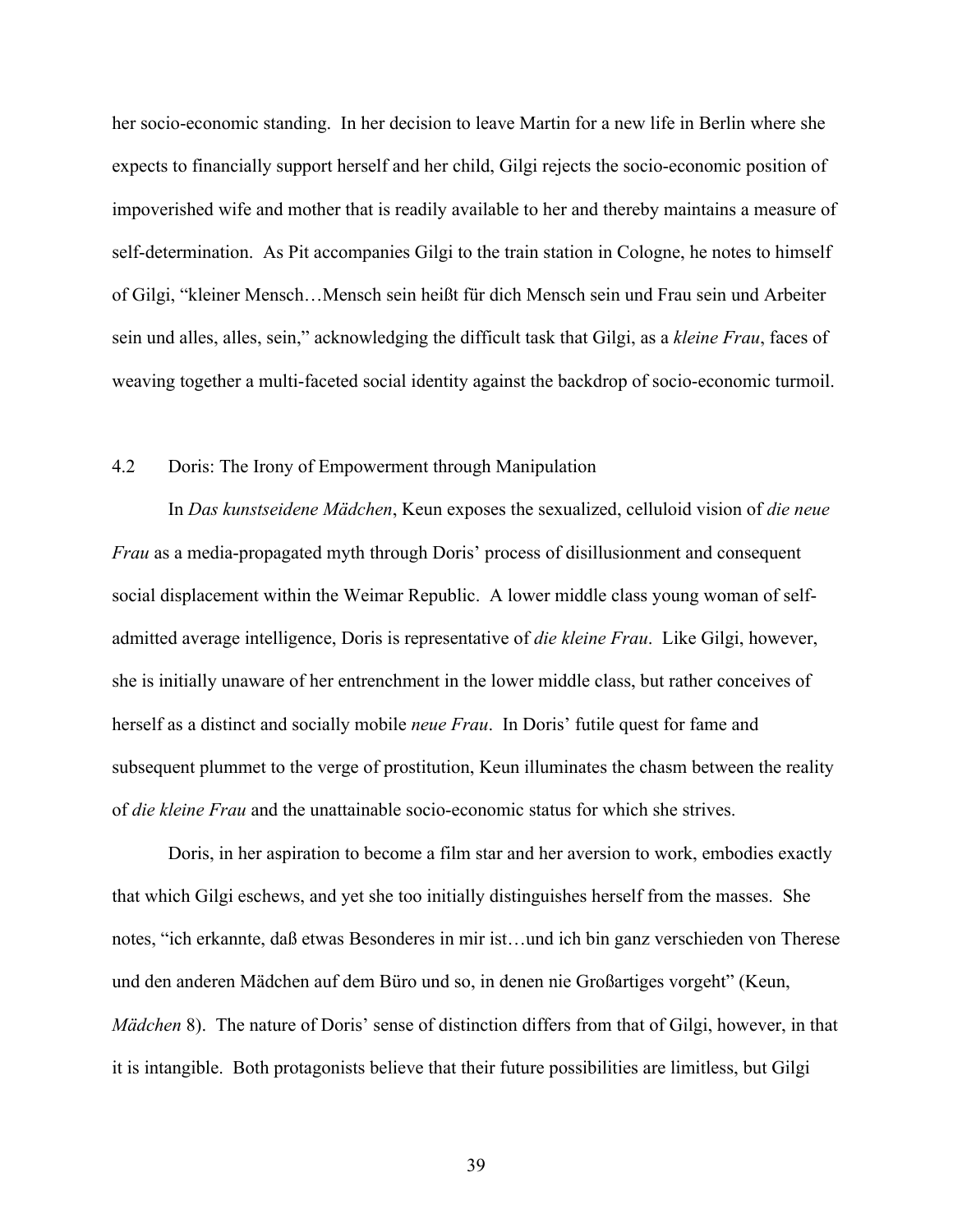her socio-economic standing. In her decision to leave Martin for a new life in Berlin where she expects to financially support herself and her child, Gilgi rejects the socio-economic position of impoverished wife and mother that is readily available to her and thereby maintains a measure of self-determination. As Pit accompanies Gilgi to the train station in Cologne, he notes to himself of Gilgi, "kleiner Mensch…Mensch sein heißt für dich Mensch sein und Frau sein und Arbeiter sein und alles, alles, sein," acknowledging the difficult task that Gilgi, as a *kleine Frau*, faces of weaving together a multi-faceted social identity against the backdrop of socio-economic turmoil.

# 4.2 Doris: The Irony of Empowerment through Manipulation

In *Das kunstseidene Mädchen*, Keun exposes the sexualized, celluloid vision of *die neue Frau* as a media-propagated myth through Doris' process of disillusionment and consequent social displacement within the Weimar Republic. A lower middle class young woman of selfadmitted average intelligence, Doris is representative of *die kleine Frau*. Like Gilgi, however, she is initially unaware of her entrenchment in the lower middle class, but rather conceives of herself as a distinct and socially mobile *neue Frau*. In Doris' futile quest for fame and subsequent plummet to the verge of prostitution, Keun illuminates the chasm between the reality of *die kleine Frau* and the unattainable socio-economic status for which she strives.

Doris, in her aspiration to become a film star and her aversion to work, embodies exactly that which Gilgi eschews, and yet she too initially distinguishes herself from the masses. She notes, "ich erkannte, daß etwas Besonderes in mir ist…und ich bin ganz verschieden von Therese und den anderen Mädchen auf dem Büro und so, in denen nie Großartiges vorgeht" (Keun, *Mädchen* 8). The nature of Doris' sense of distinction differs from that of Gilgi, however, in that it is intangible. Both protagonists believe that their future possibilities are limitless, but Gilgi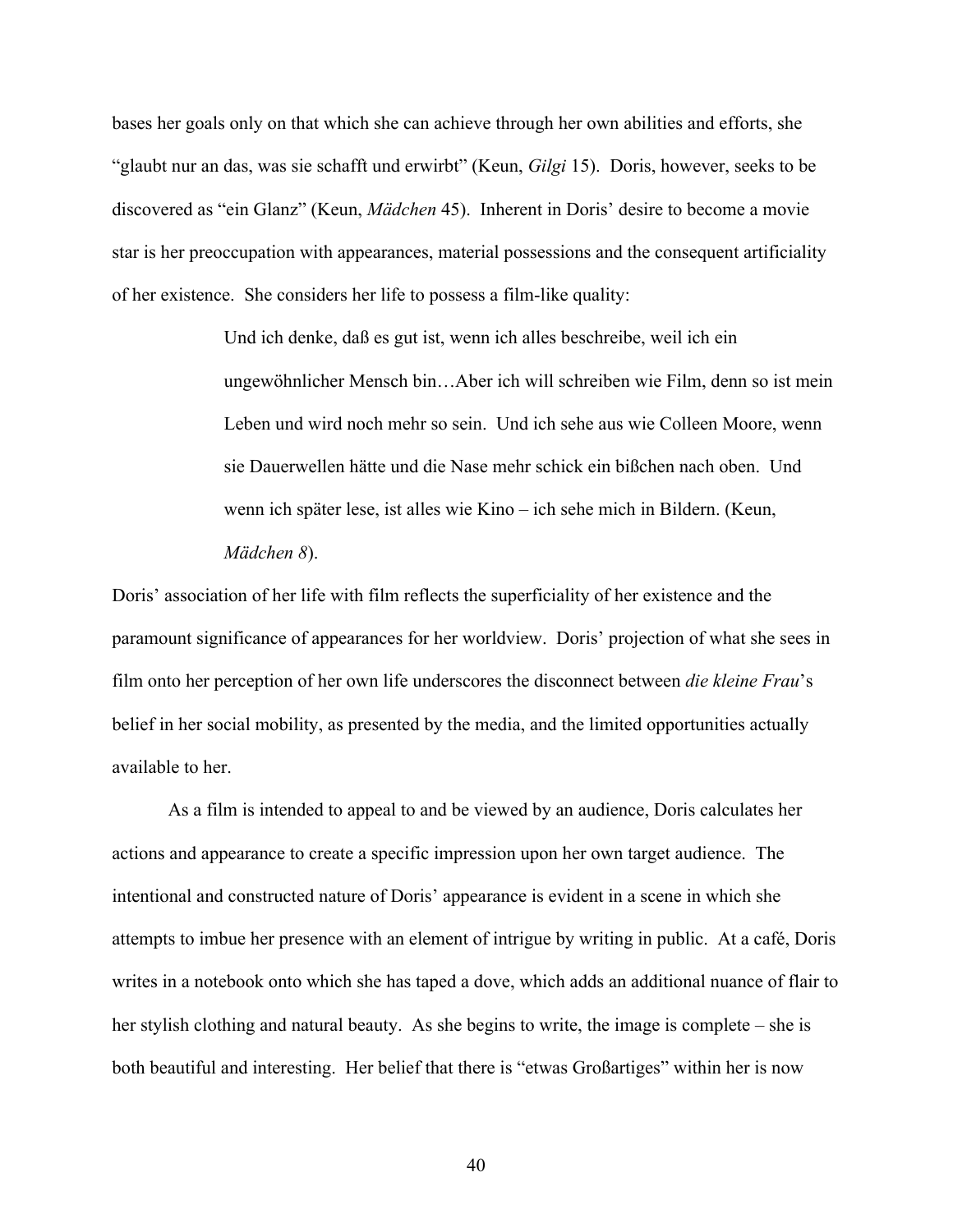bases her goals only on that which she can achieve through her own abilities and efforts, she "glaubt nur an das, was sie schafft und erwirbt" (Keun, *Gilgi* 15). Doris, however, seeks to be discovered as "ein Glanz" (Keun, *Mädchen* 45). Inherent in Doris' desire to become a movie star is her preoccupation with appearances, material possessions and the consequent artificiality of her existence. She considers her life to possess a film-like quality:

> Und ich denke, daß es gut ist, wenn ich alles beschreibe, weil ich ein ungewöhnlicher Mensch bin…Aber ich will schreiben wie Film, denn so ist mein Leben und wird noch mehr so sein. Und ich sehe aus wie Colleen Moore, wenn sie Dauerwellen hätte und die Nase mehr schick ein bißchen nach oben. Und wenn ich später lese, ist alles wie Kino – ich sehe mich in Bildern. (Keun, *Mädchen 8*).

Doris' association of her life with film reflects the superficiality of her existence and the paramount significance of appearances for her worldview. Doris' projection of what she sees in film onto her perception of her own life underscores the disconnect between *die kleine Frau*'s belief in her social mobility, as presented by the media, and the limited opportunities actually available to her.

As a film is intended to appeal to and be viewed by an audience, Doris calculates her actions and appearance to create a specific impression upon her own target audience. The intentional and constructed nature of Doris' appearance is evident in a scene in which she attempts to imbue her presence with an element of intrigue by writing in public. At a café, Doris writes in a notebook onto which she has taped a dove, which adds an additional nuance of flair to her stylish clothing and natural beauty. As she begins to write, the image is complete – she is both beautiful and interesting. Her belief that there is "etwas Großartiges" within her is now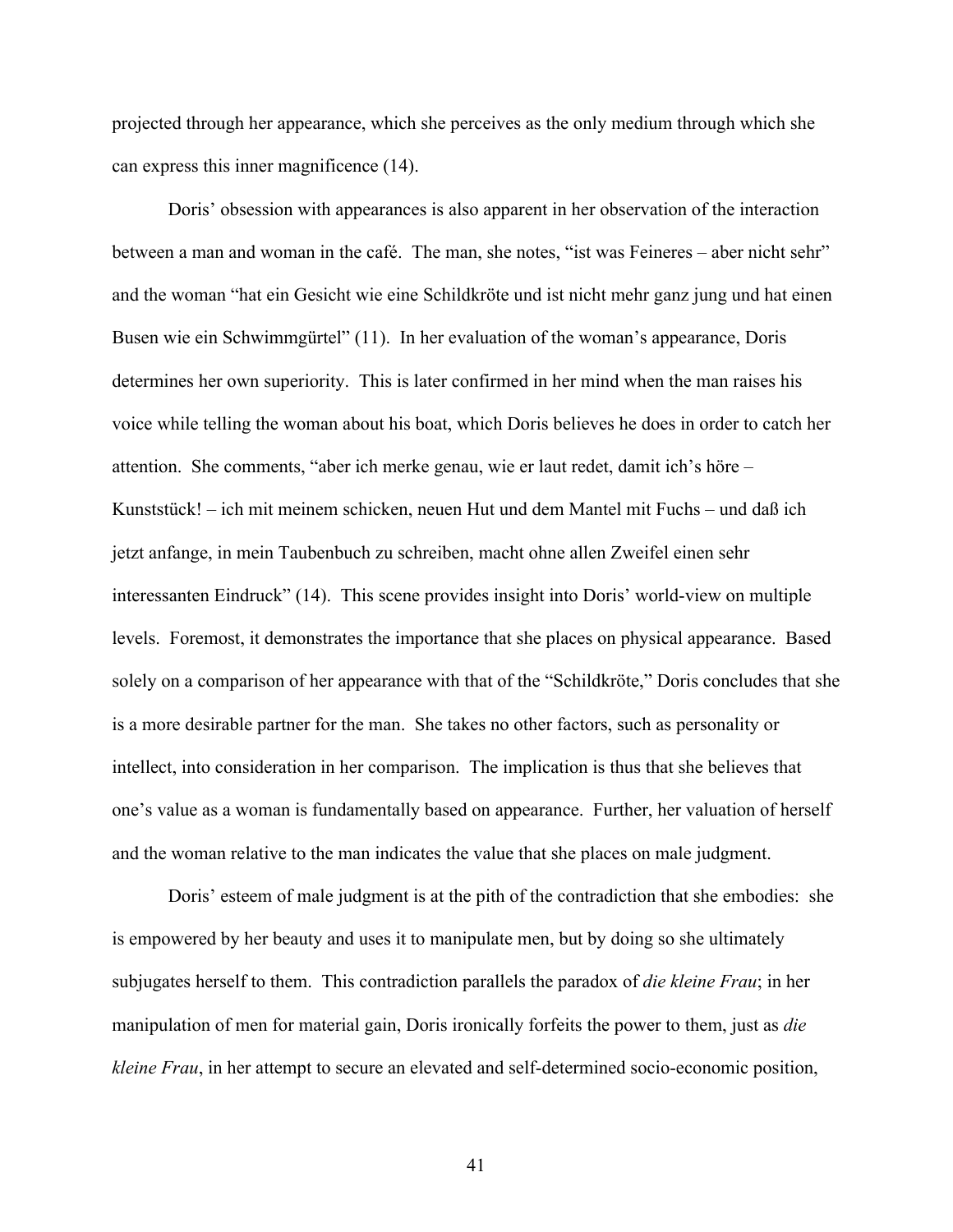projected through her appearance, which she perceives as the only medium through which she can express this inner magnificence (14).

Doris' obsession with appearances is also apparent in her observation of the interaction between a man and woman in the café. The man, she notes, "ist was Feineres – aber nicht sehr" and the woman "hat ein Gesicht wie eine Schildkröte und ist nicht mehr ganz jung und hat einen Busen wie ein Schwimmgürtel" (11). In her evaluation of the woman's appearance, Doris determines her own superiority. This is later confirmed in her mind when the man raises his voice while telling the woman about his boat, which Doris believes he does in order to catch her attention. She comments, "aber ich merke genau, wie er laut redet, damit ich's höre – Kunststück! – ich mit meinem schicken, neuen Hut und dem Mantel mit Fuchs – und daß ich jetzt anfange, in mein Taubenbuch zu schreiben, macht ohne allen Zweifel einen sehr interessanten Eindruck" (14). This scene provides insight into Doris' world-view on multiple levels. Foremost, it demonstrates the importance that she places on physical appearance. Based solely on a comparison of her appearance with that of the "Schildkröte," Doris concludes that she is a more desirable partner for the man. She takes no other factors, such as personality or intellect, into consideration in her comparison. The implication is thus that she believes that one's value as a woman is fundamentally based on appearance. Further, her valuation of herself and the woman relative to the man indicates the value that she places on male judgment.

Doris' esteem of male judgment is at the pith of the contradiction that she embodies: she is empowered by her beauty and uses it to manipulate men, but by doing so she ultimately subjugates herself to them. This contradiction parallels the paradox of *die kleine Frau*; in her manipulation of men for material gain, Doris ironically forfeits the power to them, just as *die kleine Frau*, in her attempt to secure an elevated and self-determined socio-economic position,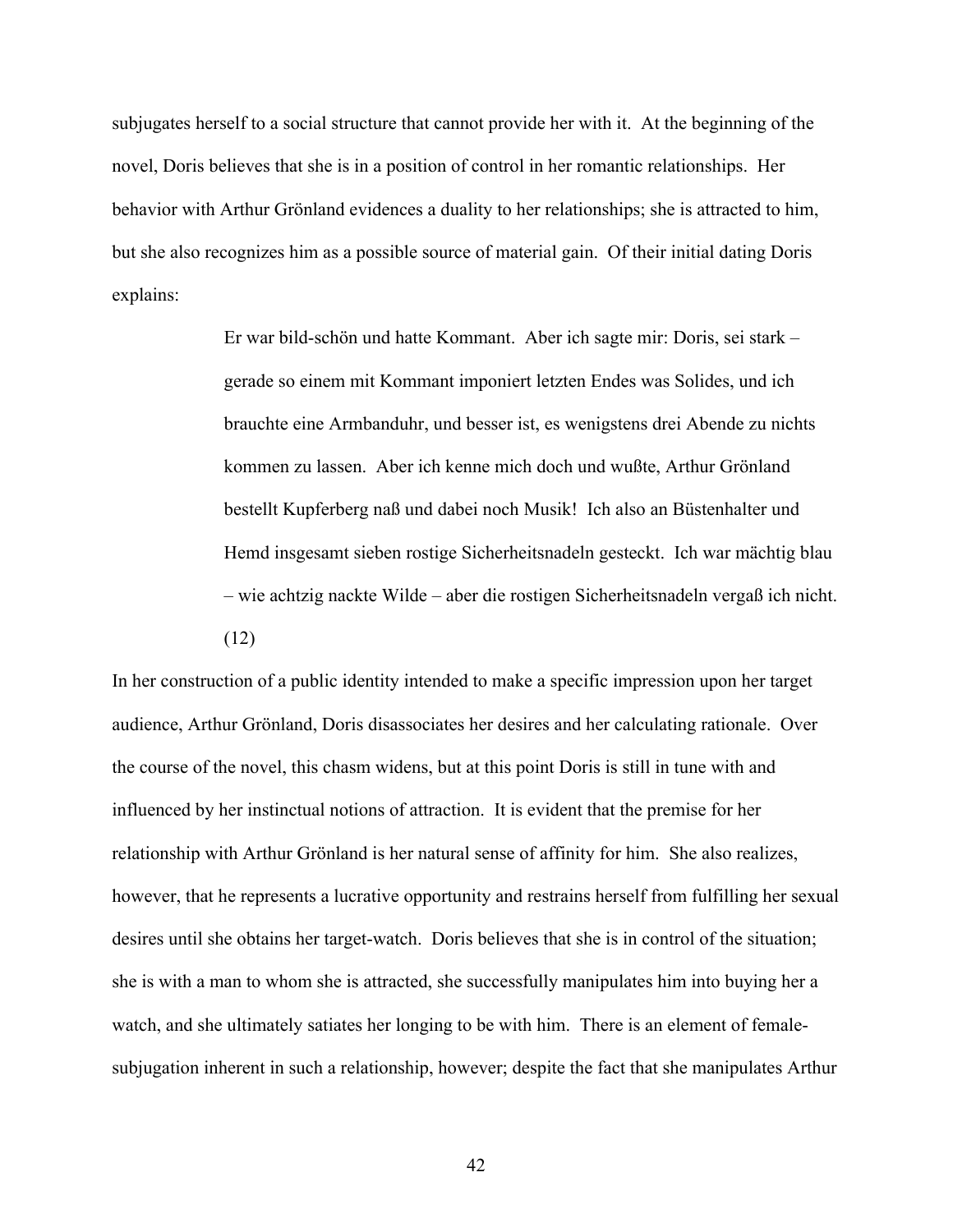subjugates herself to a social structure that cannot provide her with it. At the beginning of the novel, Doris believes that she is in a position of control in her romantic relationships. Her behavior with Arthur Grönland evidences a duality to her relationships; she is attracted to him, but she also recognizes him as a possible source of material gain. Of their initial dating Doris explains:

> Er war bild-schön und hatte Kommant. Aber ich sagte mir: Doris, sei stark – gerade so einem mit Kommant imponiert letzten Endes was Solides, und ich brauchte eine Armbanduhr, und besser ist, es wenigstens drei Abende zu nichts kommen zu lassen. Aber ich kenne mich doch und wußte, Arthur Grönland bestellt Kupferberg naß und dabei noch Musik! Ich also an Büstenhalter und Hemd insgesamt sieben rostige Sicherheitsnadeln gesteckt. Ich war mächtig blau – wie achtzig nackte Wilde – aber die rostigen Sicherheitsnadeln vergaß ich nicht. (12)

In her construction of a public identity intended to make a specific impression upon her target audience, Arthur Grönland, Doris disassociates her desires and her calculating rationale. Over the course of the novel, this chasm widens, but at this point Doris is still in tune with and influenced by her instinctual notions of attraction. It is evident that the premise for her relationship with Arthur Grönland is her natural sense of affinity for him. She also realizes, however, that he represents a lucrative opportunity and restrains herself from fulfilling her sexual desires until she obtains her target-watch. Doris believes that she is in control of the situation; she is with a man to whom she is attracted, she successfully manipulates him into buying her a watch, and she ultimately satiates her longing to be with him. There is an element of femalesubjugation inherent in such a relationship, however; despite the fact that she manipulates Arthur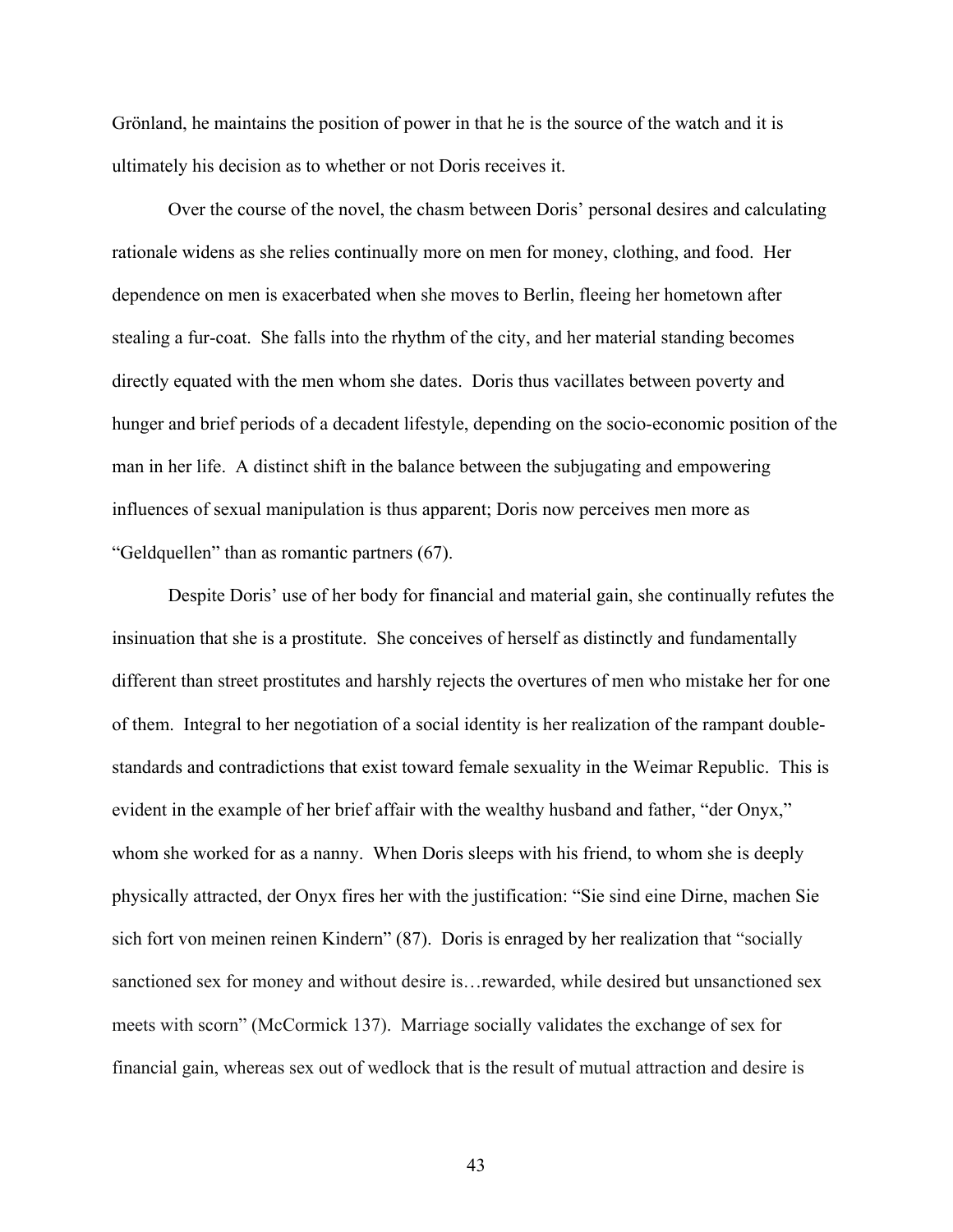Grönland, he maintains the position of power in that he is the source of the watch and it is ultimately his decision as to whether or not Doris receives it.

Over the course of the novel, the chasm between Doris' personal desires and calculating rationale widens as she relies continually more on men for money, clothing, and food. Her dependence on men is exacerbated when she moves to Berlin, fleeing her hometown after stealing a fur-coat. She falls into the rhythm of the city, and her material standing becomes directly equated with the men whom she dates. Doris thus vacillates between poverty and hunger and brief periods of a decadent lifestyle, depending on the socio-economic position of the man in her life. A distinct shift in the balance between the subjugating and empowering influences of sexual manipulation is thus apparent; Doris now perceives men more as "Geldquellen" than as romantic partners (67).

Despite Doris' use of her body for financial and material gain, she continually refutes the insinuation that she is a prostitute. She conceives of herself as distinctly and fundamentally different than street prostitutes and harshly rejects the overtures of men who mistake her for one of them. Integral to her negotiation of a social identity is her realization of the rampant doublestandards and contradictions that exist toward female sexuality in the Weimar Republic. This is evident in the example of her brief affair with the wealthy husband and father, "der Onyx," whom she worked for as a nanny. When Doris sleeps with his friend, to whom she is deeply physically attracted, der Onyx fires her with the justification: "Sie sind eine Dirne, machen Sie sich fort von meinen reinen Kindern" (87). Doris is enraged by her realization that "socially sanctioned sex for money and without desire is…rewarded, while desired but unsanctioned sex meets with scorn" (McCormick 137). Marriage socially validates the exchange of sex for financial gain, whereas sex out of wedlock that is the result of mutual attraction and desire is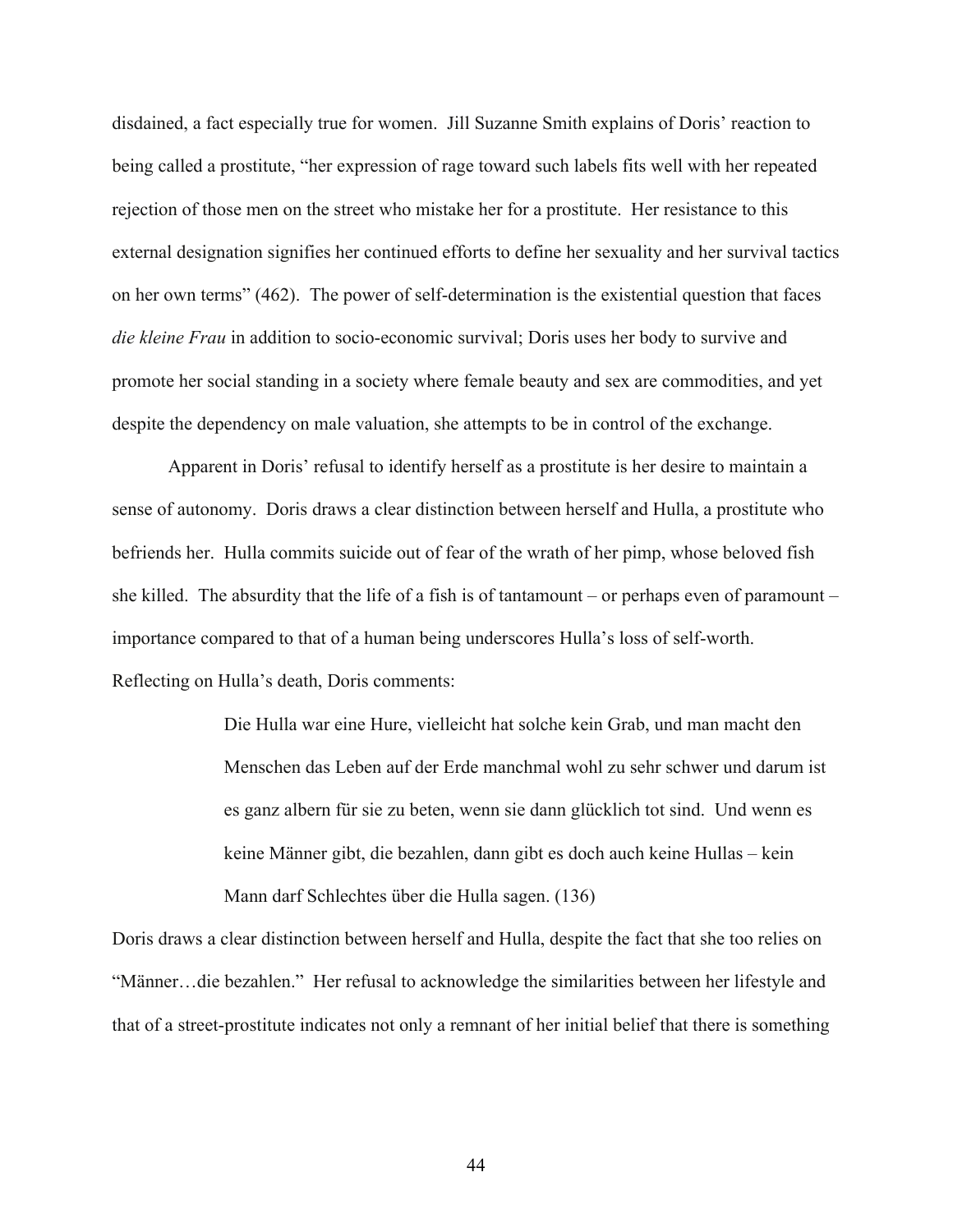disdained, a fact especially true for women. Jill Suzanne Smith explains of Doris' reaction to being called a prostitute, "her expression of rage toward such labels fits well with her repeated rejection of those men on the street who mistake her for a prostitute. Her resistance to this external designation signifies her continued efforts to define her sexuality and her survival tactics on her own terms" (462). The power of self-determination is the existential question that faces *die kleine Frau* in addition to socio-economic survival; Doris uses her body to survive and promote her social standing in a society where female beauty and sex are commodities, and yet despite the dependency on male valuation, she attempts to be in control of the exchange.

Apparent in Doris' refusal to identify herself as a prostitute is her desire to maintain a sense of autonomy. Doris draws a clear distinction between herself and Hulla, a prostitute who befriends her. Hulla commits suicide out of fear of the wrath of her pimp, whose beloved fish she killed. The absurdity that the life of a fish is of tantamount – or perhaps even of paramount – importance compared to that of a human being underscores Hulla's loss of self-worth. Reflecting on Hulla's death, Doris comments:

> Die Hulla war eine Hure, vielleicht hat solche kein Grab, und man macht den Menschen das Leben auf der Erde manchmal wohl zu sehr schwer und darum ist es ganz albern für sie zu beten, wenn sie dann glücklich tot sind. Und wenn es keine Männer gibt, die bezahlen, dann gibt es doch auch keine Hullas – kein Mann darf Schlechtes über die Hulla sagen. (136)

Doris draws a clear distinction between herself and Hulla, despite the fact that she too relies on "Männer…die bezahlen." Her refusal to acknowledge the similarities between her lifestyle and that of a street-prostitute indicates not only a remnant of her initial belief that there is something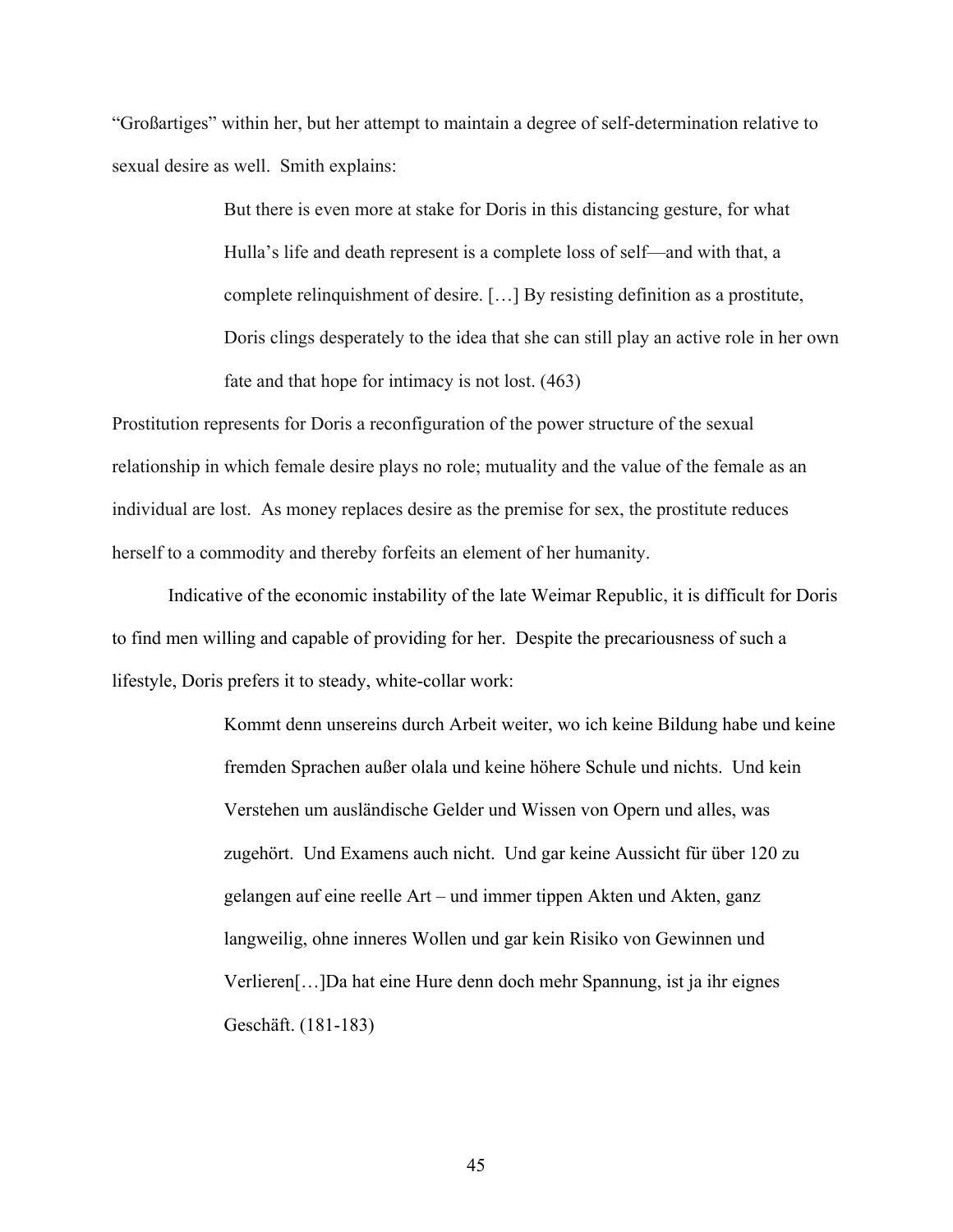"Großartiges" within her, but her attempt to maintain a degree of self-determination relative to sexual desire as well. Smith explains:

> But there is even more at stake for Doris in this distancing gesture, for what Hulla's life and death represent is a complete loss of self—and with that, a complete relinquishment of desire. […] By resisting definition as a prostitute, Doris clings desperately to the idea that she can still play an active role in her own fate and that hope for intimacy is not lost. (463)

Prostitution represents for Doris a reconfiguration of the power structure of the sexual relationship in which female desire plays no role; mutuality and the value of the female as an individual are lost. As money replaces desire as the premise for sex, the prostitute reduces herself to a commodity and thereby forfeits an element of her humanity.

Indicative of the economic instability of the late Weimar Republic, it is difficult for Doris to find men willing and capable of providing for her. Despite the precariousness of such a lifestyle, Doris prefers it to steady, white-collar work:

> Kommt denn unsereins durch Arbeit weiter, wo ich keine Bildung habe und keine fremden Sprachen außer olala und keine höhere Schule und nichts. Und kein Verstehen um ausländische Gelder und Wissen von Opern und alles, was zugehört. Und Examens auch nicht. Und gar keine Aussicht für über 120 zu gelangen auf eine reelle Art – und immer tippen Akten und Akten, ganz langweilig, ohne inneres Wollen und gar kein Risiko von Gewinnen und Verlieren[…]Da hat eine Hure denn doch mehr Spannung, ist ja ihr eignes Geschäft. (181-183)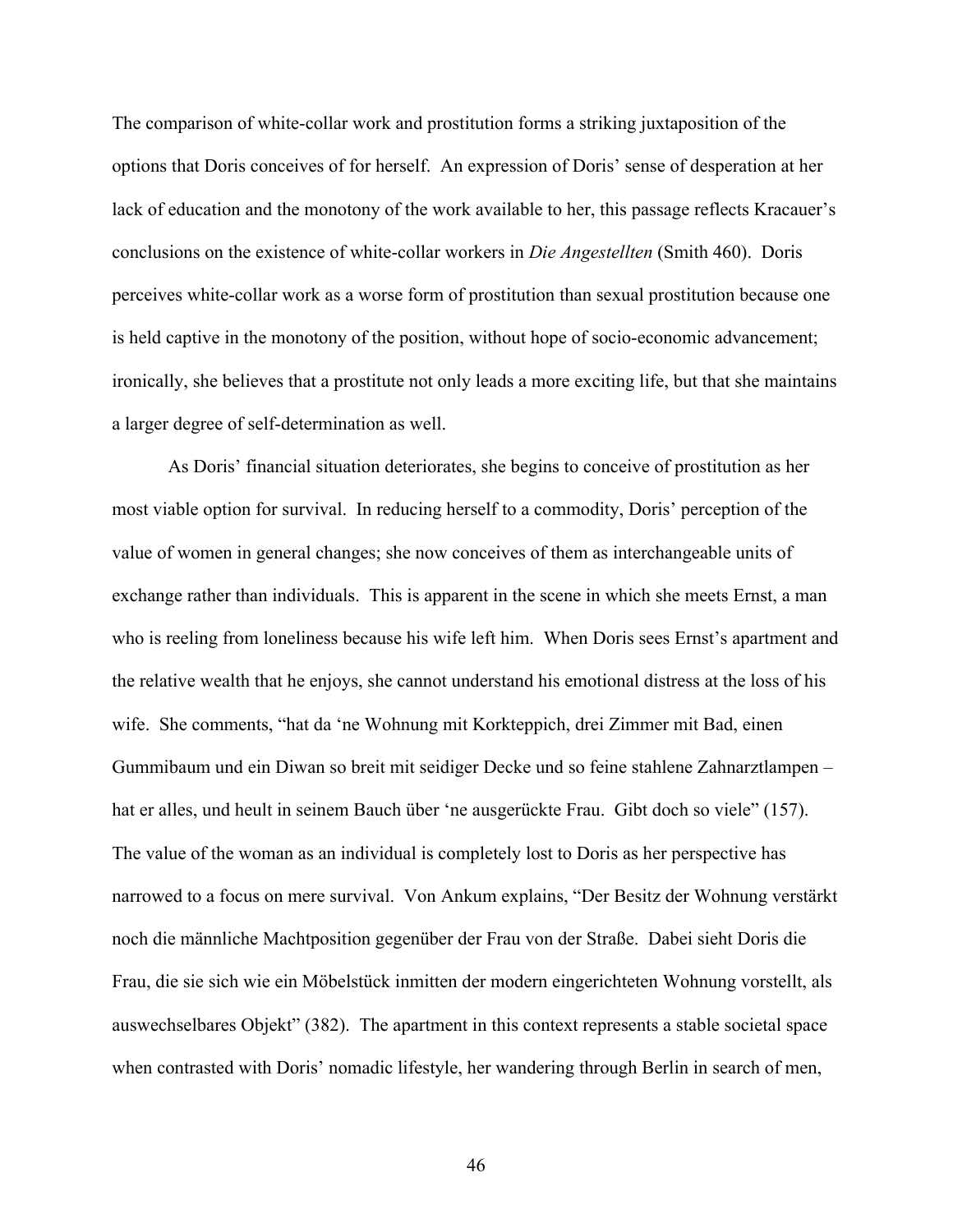The comparison of white-collar work and prostitution forms a striking juxtaposition of the options that Doris conceives of for herself. An expression of Doris' sense of desperation at her lack of education and the monotony of the work available to her, this passage reflects Kracauer's conclusions on the existence of white-collar workers in *Die Angestellten* (Smith 460). Doris perceives white-collar work as a worse form of prostitution than sexual prostitution because one is held captive in the monotony of the position, without hope of socio-economic advancement; ironically, she believes that a prostitute not only leads a more exciting life, but that she maintains a larger degree of self-determination as well.

As Doris' financial situation deteriorates, she begins to conceive of prostitution as her most viable option for survival. In reducing herself to a commodity, Doris' perception of the value of women in general changes; she now conceives of them as interchangeable units of exchange rather than individuals. This is apparent in the scene in which she meets Ernst, a man who is reeling from loneliness because his wife left him. When Doris sees Ernst's apartment and the relative wealth that he enjoys, she cannot understand his emotional distress at the loss of his wife. She comments, "hat da 'ne Wohnung mit Korkteppich, drei Zimmer mit Bad, einen Gummibaum und ein Diwan so breit mit seidiger Decke und so feine stahlene Zahnarztlampen – hat er alles, und heult in seinem Bauch über 'ne ausgerückte Frau. Gibt doch so viele" (157). The value of the woman as an individual is completely lost to Doris as her perspective has narrowed to a focus on mere survival. Von Ankum explains, "Der Besitz der Wohnung verstärkt noch die männliche Machtposition gegenüber der Frau von der Straße. Dabei sieht Doris die Frau, die sie sich wie ein Möbelstück inmitten der modern eingerichteten Wohnung vorstellt, als auswechselbares Objekt" (382). The apartment in this context represents a stable societal space when contrasted with Doris' nomadic lifestyle, her wandering through Berlin in search of men,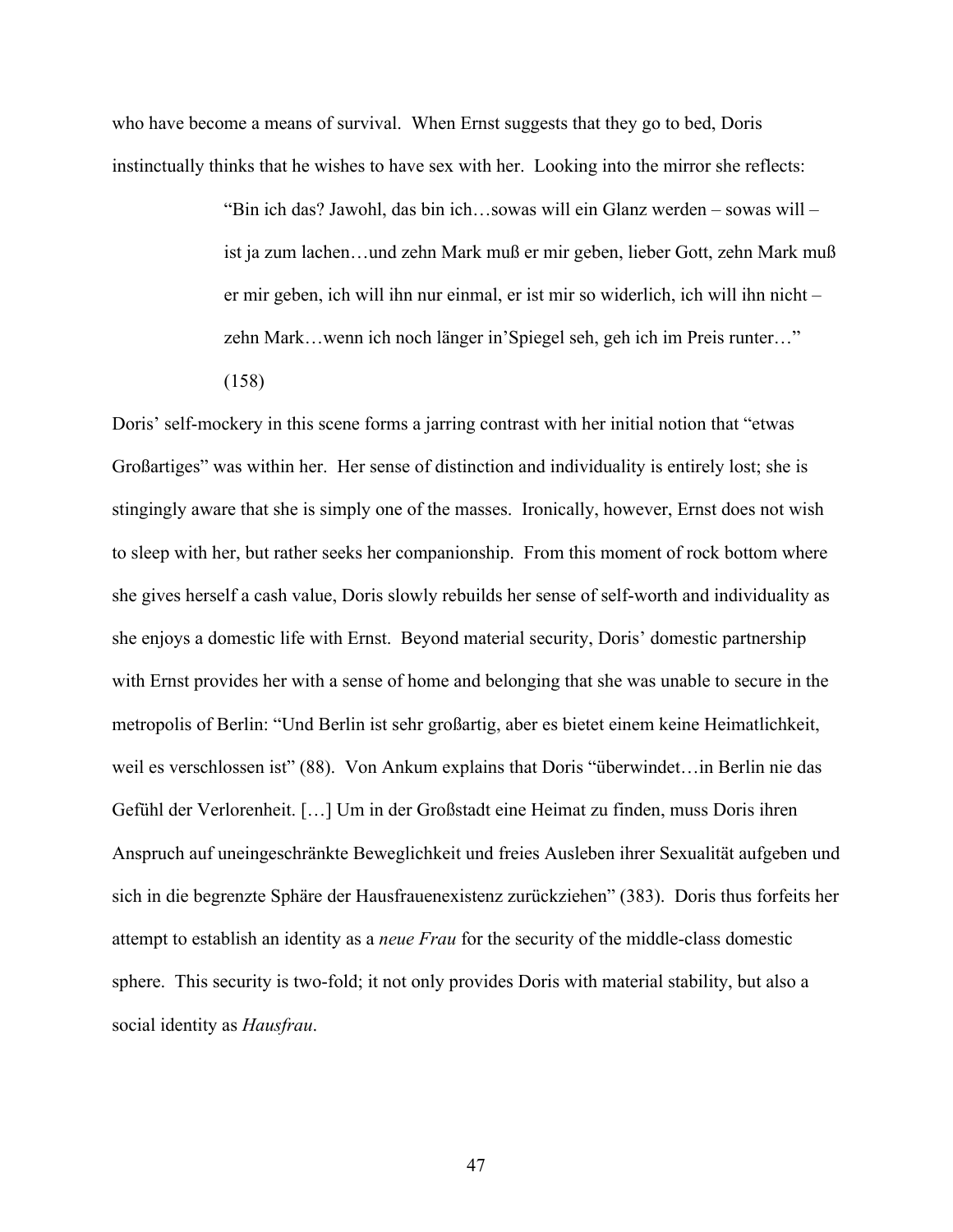who have become a means of survival. When Ernst suggests that they go to bed, Doris instinctually thinks that he wishes to have sex with her. Looking into the mirror she reflects:

> "Bin ich das? Jawohl, das bin ich…sowas will ein Glanz werden – sowas will – ist ja zum lachen…und zehn Mark muß er mir geben, lieber Gott, zehn Mark muß er mir geben, ich will ihn nur einmal, er ist mir so widerlich, ich will ihn nicht – zehn Mark…wenn ich noch länger in'Spiegel seh, geh ich im Preis runter…"

(158)

Doris' self-mockery in this scene forms a jarring contrast with her initial notion that "etwas Großartiges" was within her. Her sense of distinction and individuality is entirely lost; she is stingingly aware that she is simply one of the masses. Ironically, however, Ernst does not wish to sleep with her, but rather seeks her companionship. From this moment of rock bottom where she gives herself a cash value, Doris slowly rebuilds her sense of self-worth and individuality as she enjoys a domestic life with Ernst. Beyond material security, Doris' domestic partnership with Ernst provides her with a sense of home and belonging that she was unable to secure in the metropolis of Berlin: "Und Berlin ist sehr großartig, aber es bietet einem keine Heimatlichkeit, weil es verschlossen ist" (88). Von Ankum explains that Doris "überwindet…in Berlin nie das Gefühl der Verlorenheit. […] Um in der Großstadt eine Heimat zu finden, muss Doris ihren Anspruch auf uneingeschränkte Beweglichkeit und freies Ausleben ihrer Sexualität aufgeben und sich in die begrenzte Sphäre der Hausfrauenexistenz zurückziehen" (383). Doris thus forfeits her attempt to establish an identity as a *neue Frau* for the security of the middle-class domestic sphere. This security is two-fold; it not only provides Doris with material stability, but also a social identity as *Hausfrau*.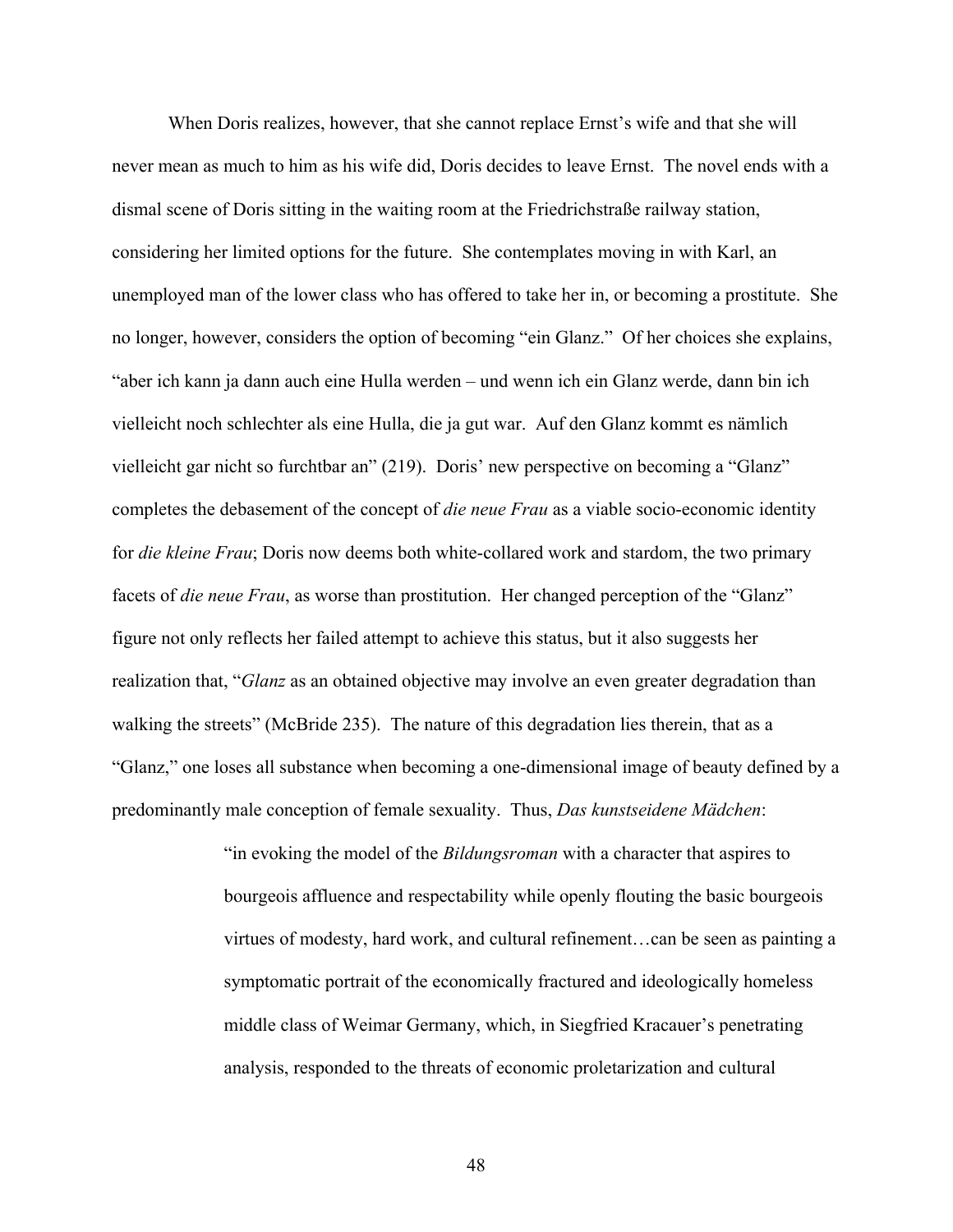When Doris realizes, however, that she cannot replace Ernst's wife and that she will never mean as much to him as his wife did, Doris decides to leave Ernst. The novel ends with a dismal scene of Doris sitting in the waiting room at the Friedrichstraße railway station, considering her limited options for the future. She contemplates moving in with Karl, an unemployed man of the lower class who has offered to take her in, or becoming a prostitute. She no longer, however, considers the option of becoming "ein Glanz." Of her choices she explains, "aber ich kann ja dann auch eine Hulla werden – und wenn ich ein Glanz werde, dann bin ich vielleicht noch schlechter als eine Hulla, die ja gut war. Auf den Glanz kommt es nämlich vielleicht gar nicht so furchtbar an" (219). Doris' new perspective on becoming a "Glanz" completes the debasement of the concept of *die neue Frau* as a viable socio-economic identity for *die kleine Frau*; Doris now deems both white-collared work and stardom, the two primary facets of *die neue Frau*, as worse than prostitution. Her changed perception of the "Glanz" figure not only reflects her failed attempt to achieve this status, but it also suggests her realization that, "*Glanz* as an obtained objective may involve an even greater degradation than walking the streets" (McBride 235). The nature of this degradation lies therein, that as a "Glanz," one loses all substance when becoming a one-dimensional image of beauty defined by a predominantly male conception of female sexuality. Thus, *Das kunstseidene Mädchen*:

> "in evoking the model of the *Bildungsroman* with a character that aspires to bourgeois affluence and respectability while openly flouting the basic bourgeois virtues of modesty, hard work, and cultural refinement…can be seen as painting a symptomatic portrait of the economically fractured and ideologically homeless middle class of Weimar Germany, which, in Siegfried Kracauer's penetrating analysis, responded to the threats of economic proletarization and cultural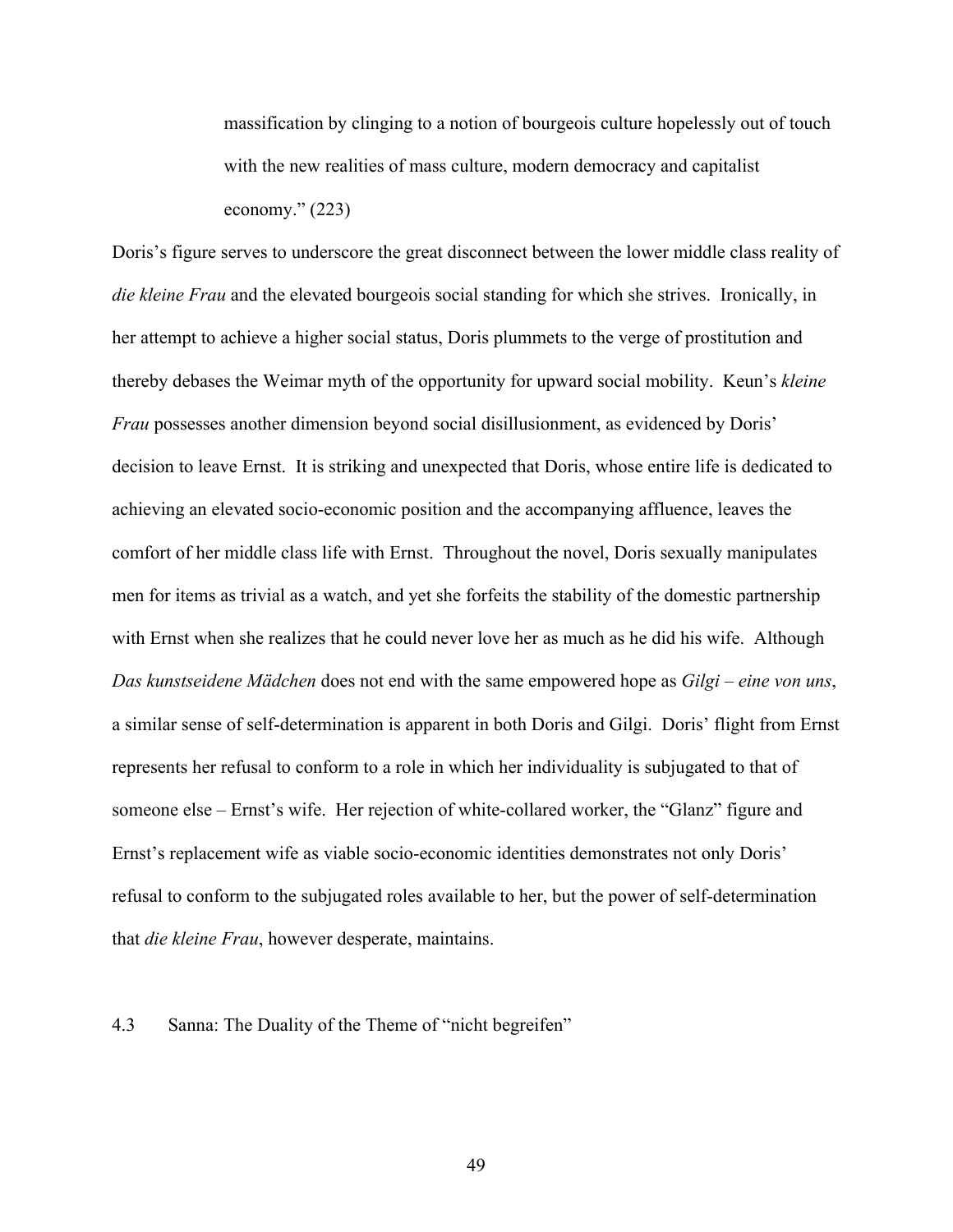massification by clinging to a notion of bourgeois culture hopelessly out of touch with the new realities of mass culture, modern democracy and capitalist economy." (223)

Doris's figure serves to underscore the great disconnect between the lower middle class reality of *die kleine Frau* and the elevated bourgeois social standing for which she strives. Ironically, in her attempt to achieve a higher social status, Doris plummets to the verge of prostitution and thereby debases the Weimar myth of the opportunity for upward social mobility. Keun's *kleine Frau* possesses another dimension beyond social disillusionment, as evidenced by Doris' decision to leave Ernst. It is striking and unexpected that Doris, whose entire life is dedicated to achieving an elevated socio-economic position and the accompanying affluence, leaves the comfort of her middle class life with Ernst. Throughout the novel, Doris sexually manipulates men for items as trivial as a watch, and yet she forfeits the stability of the domestic partnership with Ernst when she realizes that he could never love her as much as he did his wife. Although *Das kunstseidene Mädchen* does not end with the same empowered hope as *Gilgi – eine von uns*, a similar sense of self-determination is apparent in both Doris and Gilgi. Doris' flight from Ernst represents her refusal to conform to a role in which her individuality is subjugated to that of someone else – Ernst's wife. Her rejection of white-collared worker, the "Glanz" figure and Ernst's replacement wife as viable socio-economic identities demonstrates not only Doris' refusal to conform to the subjugated roles available to her, but the power of self-determination that *die kleine Frau*, however desperate, maintains.

#### 4.3 Sanna: The Duality of the Theme of "nicht begreifen"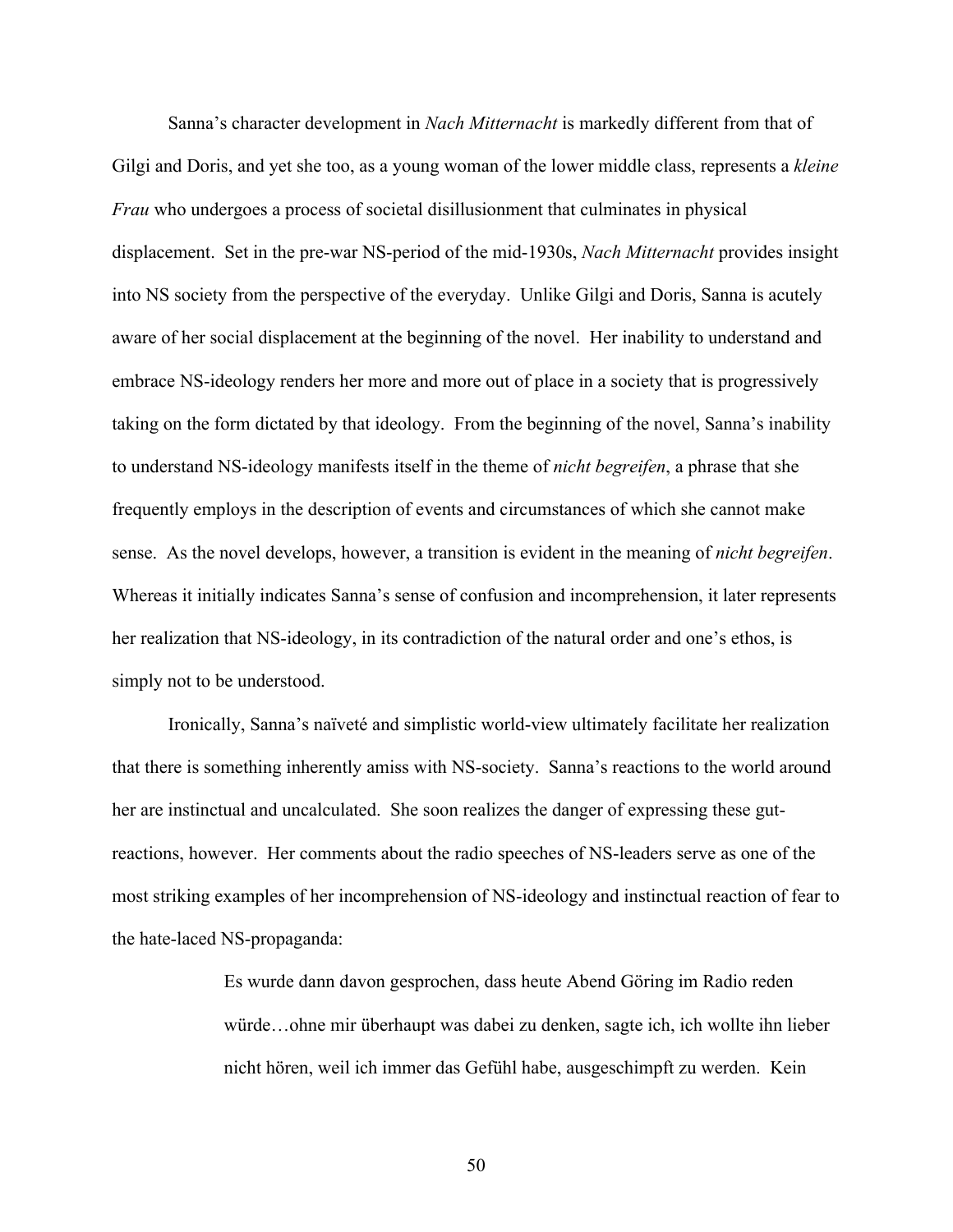Sanna's character development in *Nach Mitternacht* is markedly different from that of Gilgi and Doris, and yet she too, as a young woman of the lower middle class, represents a *kleine Frau* who undergoes a process of societal disillusionment that culminates in physical displacement. Set in the pre-war NS-period of the mid-1930s, *Nach Mitternacht* provides insight into NS society from the perspective of the everyday. Unlike Gilgi and Doris, Sanna is acutely aware of her social displacement at the beginning of the novel. Her inability to understand and embrace NS-ideology renders her more and more out of place in a society that is progressively taking on the form dictated by that ideology. From the beginning of the novel, Sanna's inability to understand NS-ideology manifests itself in the theme of *nicht begreifen*, a phrase that she frequently employs in the description of events and circumstances of which she cannot make sense. As the novel develops, however, a transition is evident in the meaning of *nicht begreifen*. Whereas it initially indicates Sanna's sense of confusion and incomprehension, it later represents her realization that NS-ideology, in its contradiction of the natural order and one's ethos, is simply not to be understood.

Ironically, Sanna's naïveté and simplistic world-view ultimately facilitate her realization that there is something inherently amiss with NS-society. Sanna's reactions to the world around her are instinctual and uncalculated. She soon realizes the danger of expressing these gutreactions, however. Her comments about the radio speeches of NS-leaders serve as one of the most striking examples of her incomprehension of NS-ideology and instinctual reaction of fear to the hate-laced NS-propaganda:

> Es wurde dann davon gesprochen, dass heute Abend Göring im Radio reden würde…ohne mir überhaupt was dabei zu denken, sagte ich, ich wollte ihn lieber nicht hören, weil ich immer das Gefühl habe, ausgeschimpft zu werden. Kein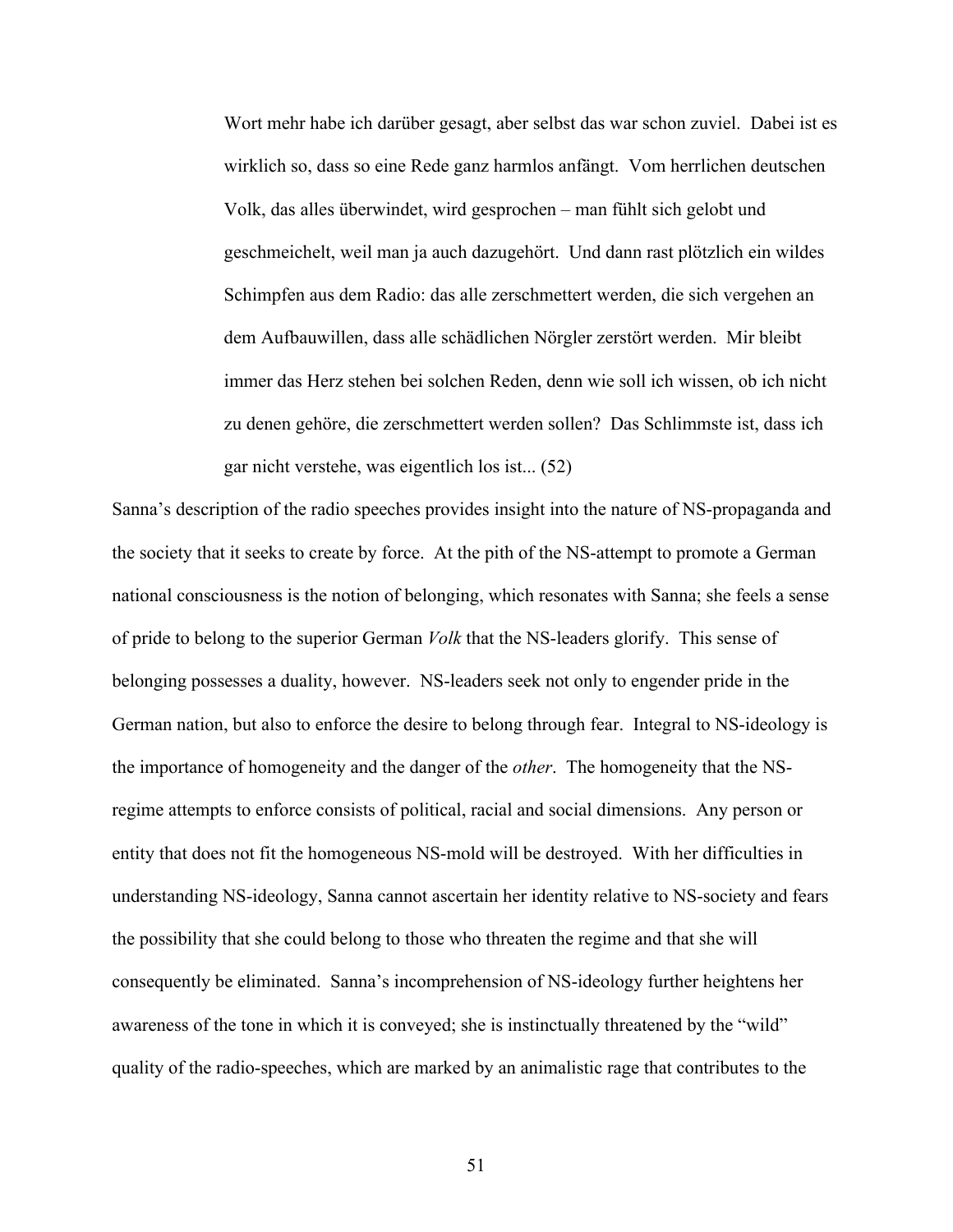Wort mehr habe ich darüber gesagt, aber selbst das war schon zuviel. Dabei ist es wirklich so, dass so eine Rede ganz harmlos anfängt. Vom herrlichen deutschen Volk, das alles überwindet, wird gesprochen – man fühlt sich gelobt und geschmeichelt, weil man ja auch dazugehört. Und dann rast plötzlich ein wildes Schimpfen aus dem Radio: das alle zerschmettert werden, die sich vergehen an dem Aufbauwillen, dass alle schädlichen Nörgler zerstört werden. Mir bleibt immer das Herz stehen bei solchen Reden, denn wie soll ich wissen, ob ich nicht zu denen gehöre, die zerschmettert werden sollen? Das Schlimmste ist, dass ich gar nicht verstehe, was eigentlich los ist... (52)

Sanna's description of the radio speeches provides insight into the nature of NS-propaganda and the society that it seeks to create by force. At the pith of the NS-attempt to promote a German national consciousness is the notion of belonging, which resonates with Sanna; she feels a sense of pride to belong to the superior German *Volk* that the NS-leaders glorify. This sense of belonging possesses a duality, however. NS-leaders seek not only to engender pride in the German nation, but also to enforce the desire to belong through fear. Integral to NS-ideology is the importance of homogeneity and the danger of the *other*. The homogeneity that the NSregime attempts to enforce consists of political, racial and social dimensions. Any person or entity that does not fit the homogeneous NS-mold will be destroyed. With her difficulties in understanding NS-ideology, Sanna cannot ascertain her identity relative to NS-society and fears the possibility that she could belong to those who threaten the regime and that she will consequently be eliminated. Sanna's incomprehension of NS-ideology further heightens her awareness of the tone in which it is conveyed; she is instinctually threatened by the "wild" quality of the radio-speeches, which are marked by an animalistic rage that contributes to the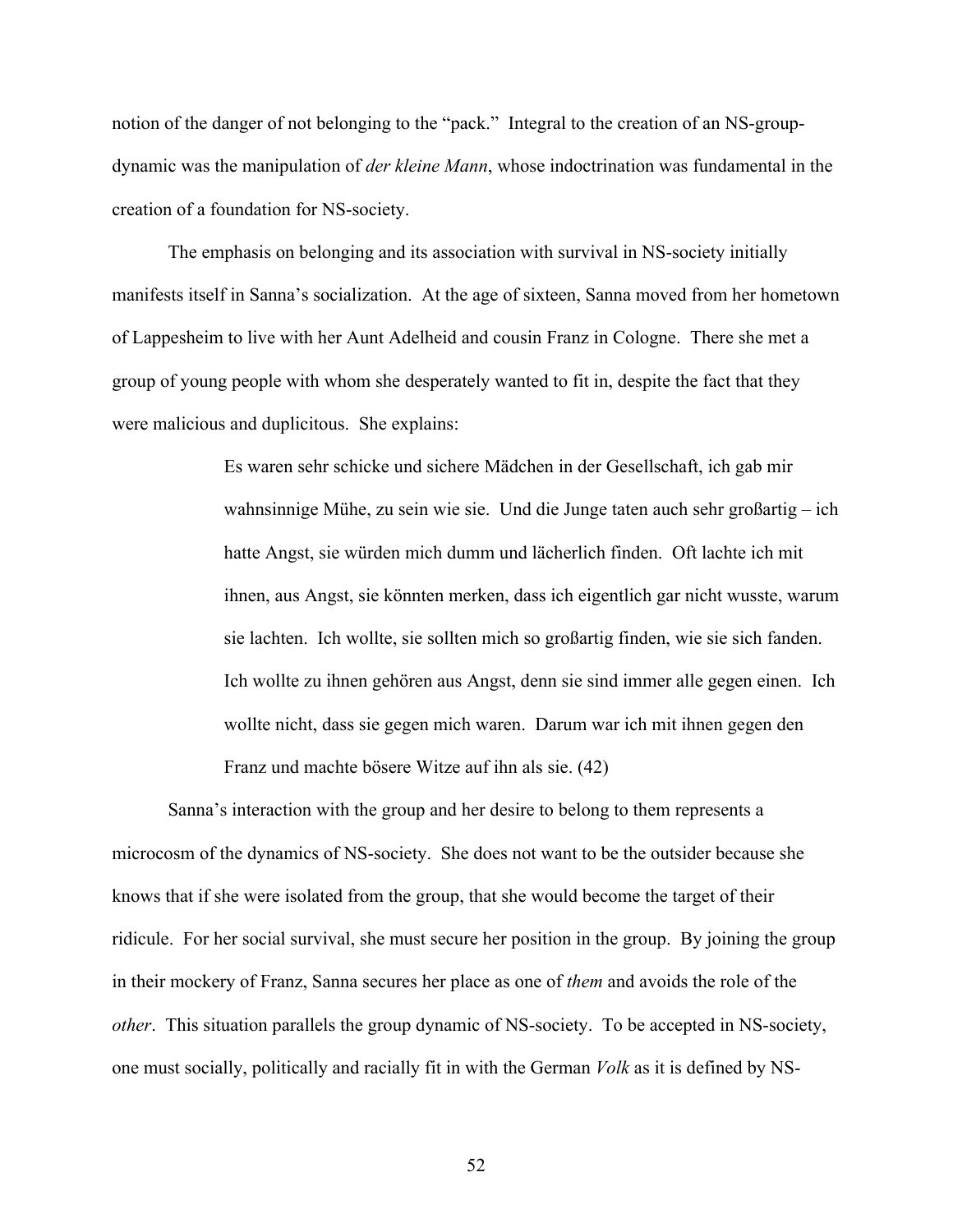notion of the danger of not belonging to the "pack." Integral to the creation of an NS-groupdynamic was the manipulation of *der kleine Mann*, whose indoctrination was fundamental in the creation of a foundation for NS-society.

The emphasis on belonging and its association with survival in NS-society initially manifests itself in Sanna's socialization. At the age of sixteen, Sanna moved from her hometown of Lappesheim to live with her Aunt Adelheid and cousin Franz in Cologne. There she met a group of young people with whom she desperately wanted to fit in, despite the fact that they were malicious and duplicitous. She explains:

> Es waren sehr schicke und sichere Mädchen in der Gesellschaft, ich gab mir wahnsinnige Mühe, zu sein wie sie. Und die Junge taten auch sehr großartig – ich hatte Angst, sie würden mich dumm und lächerlich finden. Oft lachte ich mit ihnen, aus Angst, sie könnten merken, dass ich eigentlich gar nicht wusste, warum sie lachten. Ich wollte, sie sollten mich so großartig finden, wie sie sich fanden. Ich wollte zu ihnen gehören aus Angst, denn sie sind immer alle gegen einen. Ich wollte nicht, dass sie gegen mich waren. Darum war ich mit ihnen gegen den Franz und machte bösere Witze auf ihn als sie. (42)

Sanna's interaction with the group and her desire to belong to them represents a microcosm of the dynamics of NS-society. She does not want to be the outsider because she knows that if she were isolated from the group, that she would become the target of their ridicule. For her social survival, she must secure her position in the group. By joining the group in their mockery of Franz, Sanna secures her place as one of *them* and avoids the role of the *other*. This situation parallels the group dynamic of NS-society. To be accepted in NS-society, one must socially, politically and racially fit in with the German *Volk* as it is defined by NS-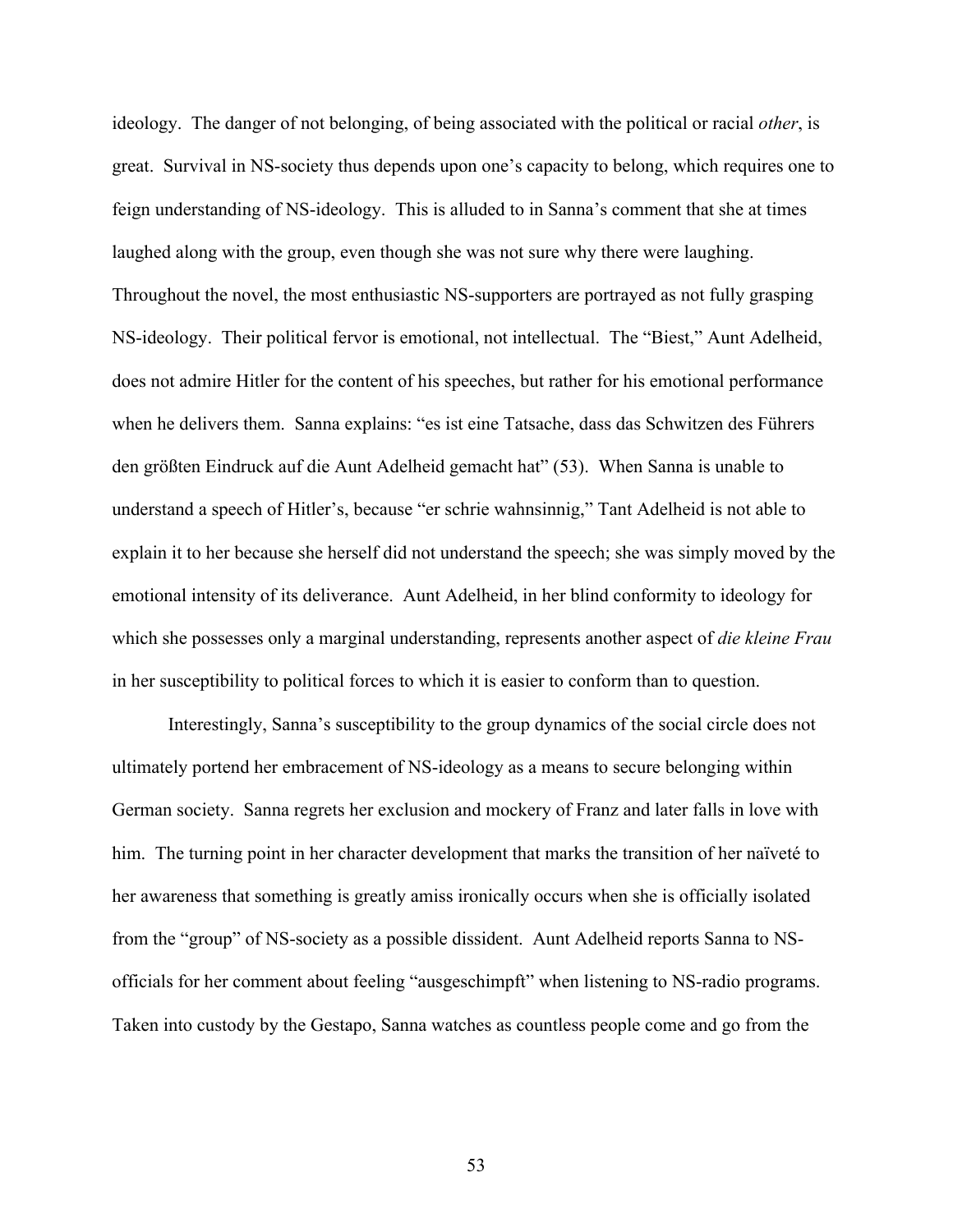ideology. The danger of not belonging, of being associated with the political or racial *other*, is great. Survival in NS-society thus depends upon one's capacity to belong, which requires one to feign understanding of NS-ideology. This is alluded to in Sanna's comment that she at times laughed along with the group, even though she was not sure why there were laughing. Throughout the novel, the most enthusiastic NS-supporters are portrayed as not fully grasping NS-ideology. Their political fervor is emotional, not intellectual. The "Biest," Aunt Adelheid, does not admire Hitler for the content of his speeches, but rather for his emotional performance when he delivers them. Sanna explains: "es ist eine Tatsache, dass das Schwitzen des Führers den größten Eindruck auf die Aunt Adelheid gemacht hat" (53). When Sanna is unable to understand a speech of Hitler's, because "er schrie wahnsinnig," Tant Adelheid is not able to explain it to her because she herself did not understand the speech; she was simply moved by the emotional intensity of its deliverance. Aunt Adelheid, in her blind conformity to ideology for which she possesses only a marginal understanding, represents another aspect of *die kleine Frau* in her susceptibility to political forces to which it is easier to conform than to question.

Interestingly, Sanna's susceptibility to the group dynamics of the social circle does not ultimately portend her embracement of NS-ideology as a means to secure belonging within German society. Sanna regrets her exclusion and mockery of Franz and later falls in love with him. The turning point in her character development that marks the transition of her naïveté to her awareness that something is greatly amiss ironically occurs when she is officially isolated from the "group" of NS-society as a possible dissident. Aunt Adelheid reports Sanna to NSofficials for her comment about feeling "ausgeschimpft" when listening to NS-radio programs. Taken into custody by the Gestapo, Sanna watches as countless people come and go from the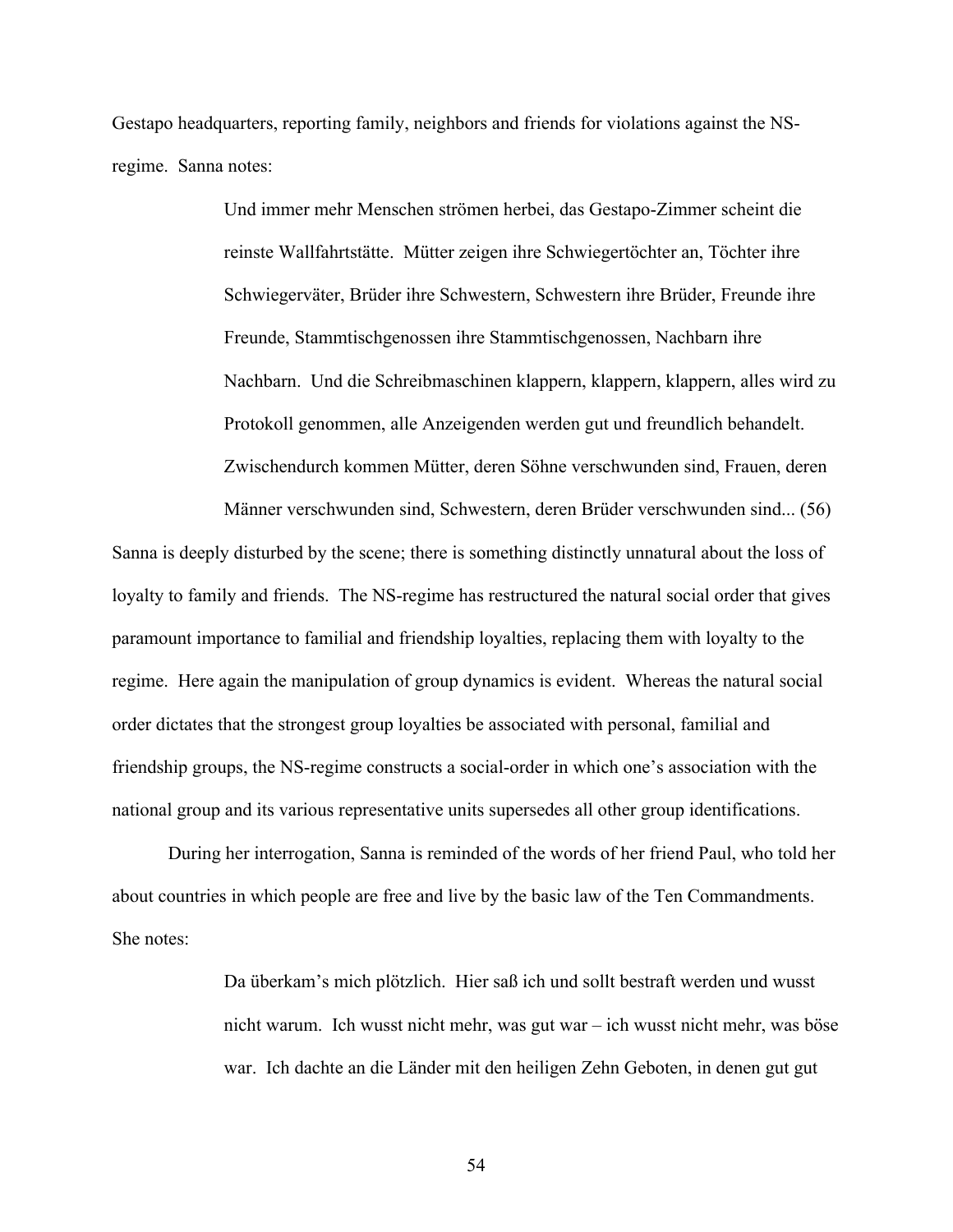Gestapo headquarters, reporting family, neighbors and friends for violations against the NSregime. Sanna notes:

> Und immer mehr Menschen strömen herbei, das Gestapo-Zimmer scheint die reinste Wallfahrtstätte. Mütter zeigen ihre Schwiegertöchter an, Töchter ihre Schwiegerväter, Brüder ihre Schwestern, Schwestern ihre Brüder, Freunde ihre Freunde, Stammtischgenossen ihre Stammtischgenossen, Nachbarn ihre Nachbarn. Und die Schreibmaschinen klappern, klappern, klappern, alles wird zu Protokoll genommen, alle Anzeigenden werden gut und freundlich behandelt. Zwischendurch kommen Mütter, deren Söhne verschwunden sind, Frauen, deren

> Männer verschwunden sind, Schwestern, deren Brüder verschwunden sind... (56)

Sanna is deeply disturbed by the scene; there is something distinctly unnatural about the loss of loyalty to family and friends. The NS-regime has restructured the natural social order that gives paramount importance to familial and friendship loyalties, replacing them with loyalty to the regime. Here again the manipulation of group dynamics is evident. Whereas the natural social order dictates that the strongest group loyalties be associated with personal, familial and friendship groups, the NS-regime constructs a social-order in which one's association with the national group and its various representative units supersedes all other group identifications.

During her interrogation, Sanna is reminded of the words of her friend Paul, who told her about countries in which people are free and live by the basic law of the Ten Commandments. She notes:

> Da überkam's mich plötzlich. Hier saß ich und sollt bestraft werden und wusst nicht warum. Ich wusst nicht mehr, was gut war – ich wusst nicht mehr, was böse war. Ich dachte an die Länder mit den heiligen Zehn Geboten, in denen gut gut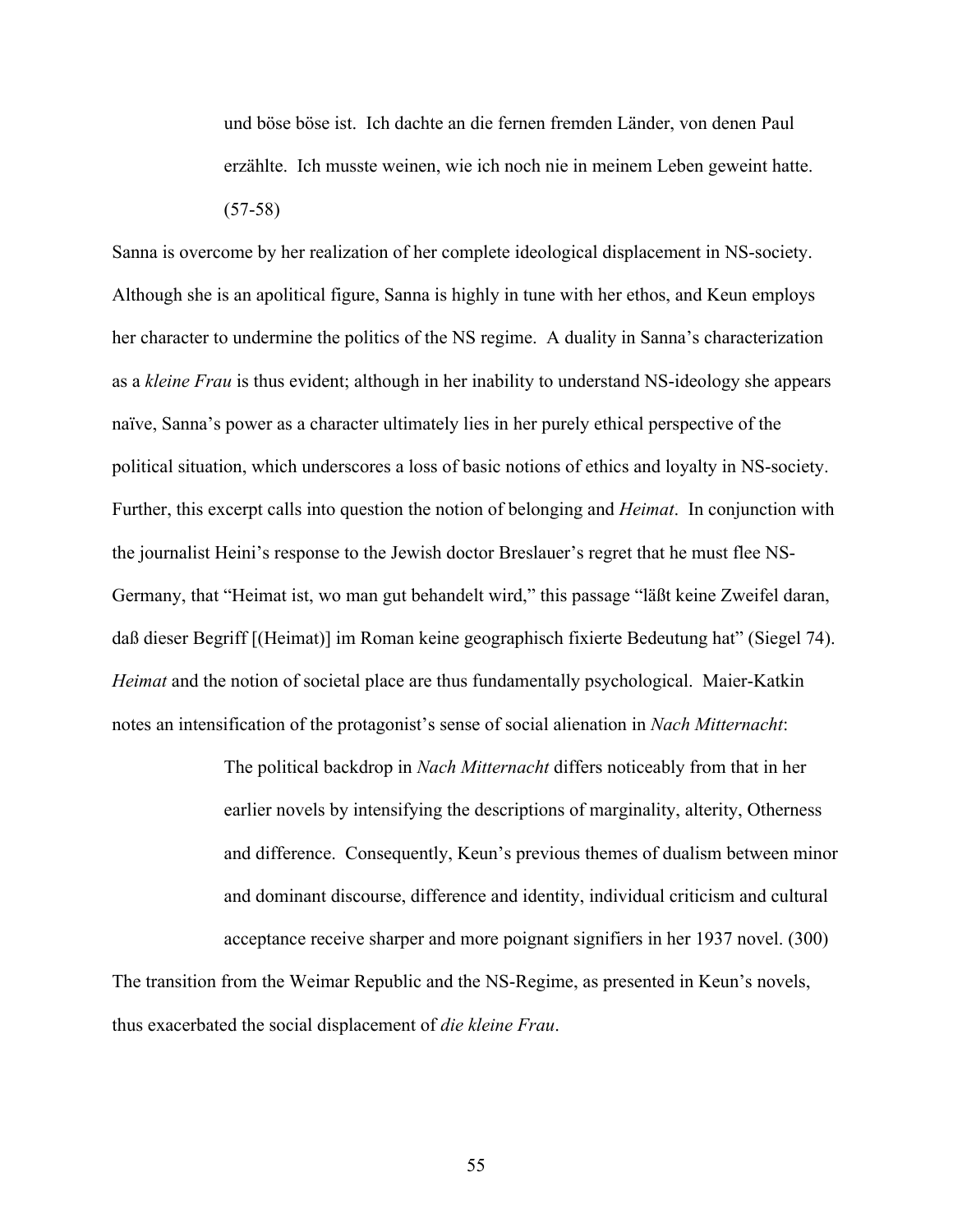und böse böse ist. Ich dachte an die fernen fremden Länder, von denen Paul erzählte. Ich musste weinen, wie ich noch nie in meinem Leben geweint hatte. (57-58)

Sanna is overcome by her realization of her complete ideological displacement in NS-society. Although she is an apolitical figure, Sanna is highly in tune with her ethos, and Keun employs her character to undermine the politics of the NS regime. A duality in Sanna's characterization as a *kleine Frau* is thus evident; although in her inability to understand NS-ideology she appears naïve, Sanna's power as a character ultimately lies in her purely ethical perspective of the political situation, which underscores a loss of basic notions of ethics and loyalty in NS-society. Further, this excerpt calls into question the notion of belonging and *Heimat*. In conjunction with the journalist Heini's response to the Jewish doctor Breslauer's regret that he must flee NS-Germany, that "Heimat ist, wo man gut behandelt wird," this passage "läßt keine Zweifel daran, daß dieser Begriff [(Heimat)] im Roman keine geographisch fixierte Bedeutung hat" (Siegel 74). *Heimat* and the notion of societal place are thus fundamentally psychological. Maier-Katkin notes an intensification of the protagonist's sense of social alienation in *Nach Mitternacht*:

> The political backdrop in *Nach Mitternacht* differs noticeably from that in her earlier novels by intensifying the descriptions of marginality, alterity, Otherness and difference. Consequently, Keun's previous themes of dualism between minor and dominant discourse, difference and identity, individual criticism and cultural acceptance receive sharper and more poignant signifiers in her 1937 novel. (300)

The transition from the Weimar Republic and the NS-Regime, as presented in Keun's novels, thus exacerbated the social displacement of *die kleine Frau*.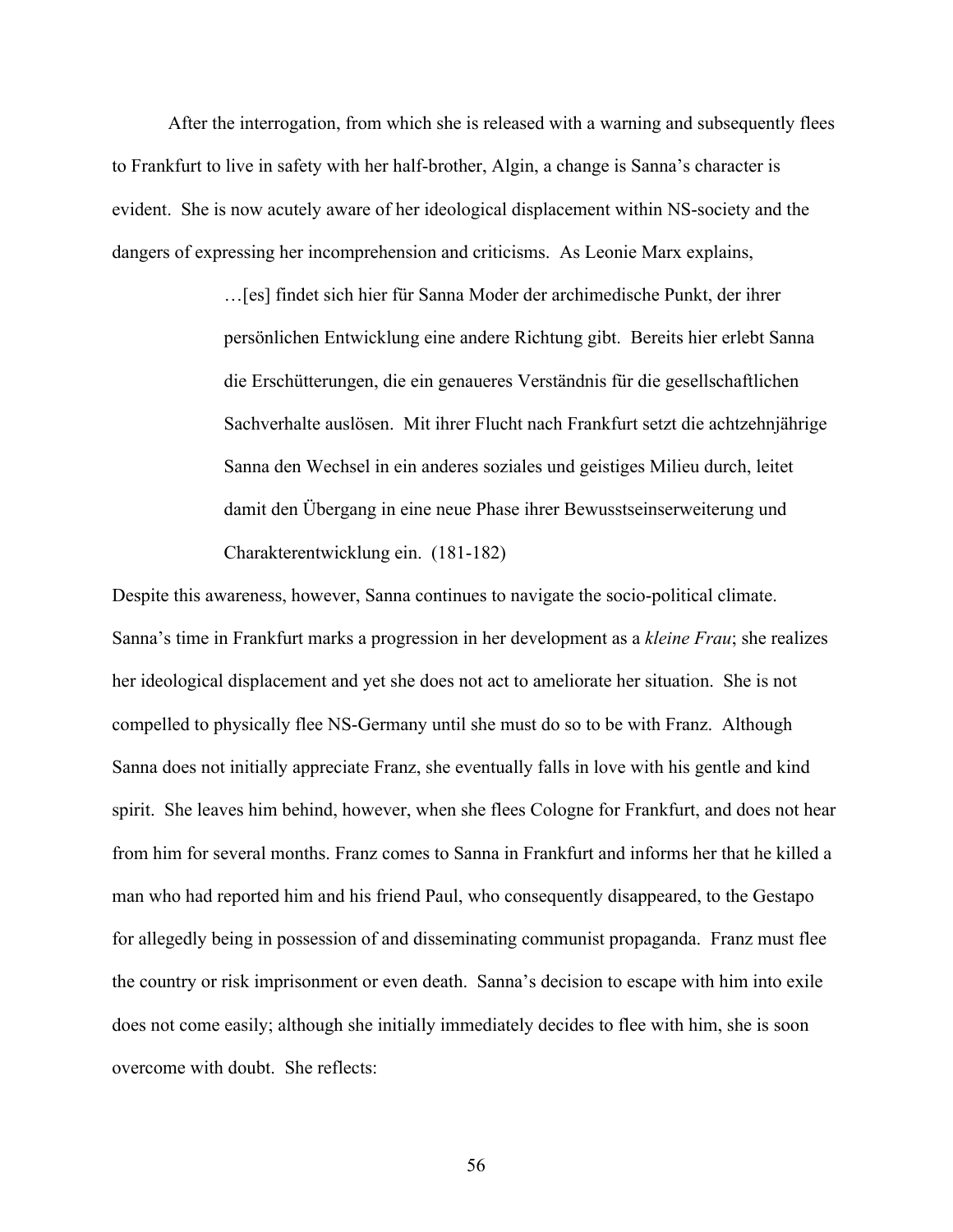After the interrogation, from which she is released with a warning and subsequently flees to Frankfurt to live in safety with her half-brother, Algin, a change is Sanna's character is evident. She is now acutely aware of her ideological displacement within NS-society and the dangers of expressing her incomprehension and criticisms. As Leonie Marx explains,

> …[es] findet sich hier für Sanna Moder der archimedische Punkt, der ihrer persönlichen Entwicklung eine andere Richtung gibt. Bereits hier erlebt Sanna die Erschütterungen, die ein genaueres Verständnis für die gesellschaftlichen Sachverhalte auslösen. Mit ihrer Flucht nach Frankfurt setzt die achtzehnjährige Sanna den Wechsel in ein anderes soziales und geistiges Milieu durch, leitet damit den Übergang in eine neue Phase ihrer Bewusstseinserweiterung und Charakterentwicklung ein. (181-182)

Despite this awareness, however, Sanna continues to navigate the socio-political climate. Sanna's time in Frankfurt marks a progression in her development as a *kleine Frau*; she realizes her ideological displacement and yet she does not act to ameliorate her situation. She is not compelled to physically flee NS-Germany until she must do so to be with Franz. Although Sanna does not initially appreciate Franz, she eventually falls in love with his gentle and kind spirit. She leaves him behind, however, when she flees Cologne for Frankfurt, and does not hear from him for several months. Franz comes to Sanna in Frankfurt and informs her that he killed a man who had reported him and his friend Paul, who consequently disappeared, to the Gestapo for allegedly being in possession of and disseminating communist propaganda. Franz must flee the country or risk imprisonment or even death. Sanna's decision to escape with him into exile does not come easily; although she initially immediately decides to flee with him, she is soon overcome with doubt. She reflects: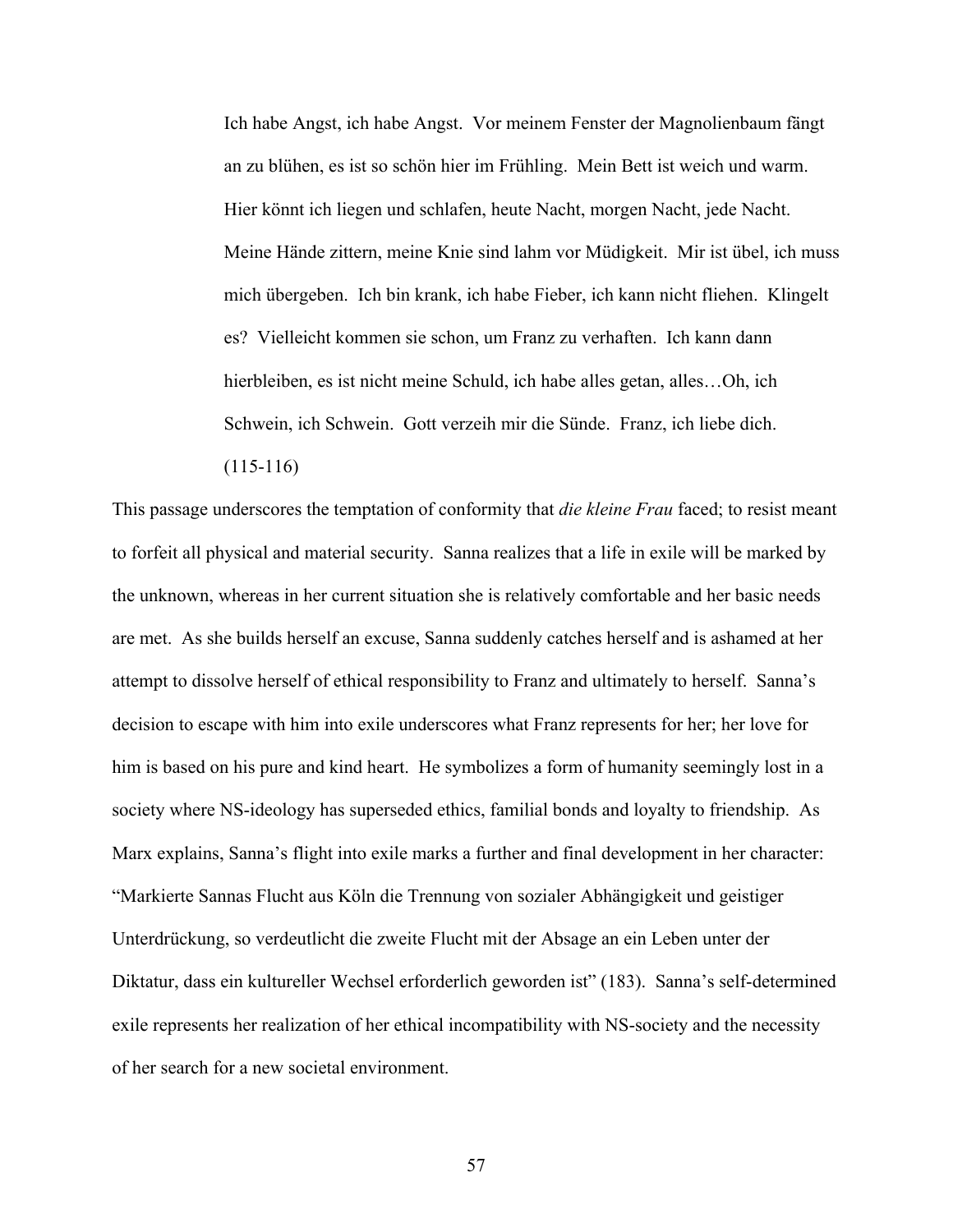Ich habe Angst, ich habe Angst. Vor meinem Fenster der Magnolienbaum fängt an zu blühen, es ist so schön hier im Frühling. Mein Bett ist weich und warm. Hier könnt ich liegen und schlafen, heute Nacht, morgen Nacht, jede Nacht. Meine Hände zittern, meine Knie sind lahm vor Müdigkeit. Mir ist übel, ich muss mich übergeben. Ich bin krank, ich habe Fieber, ich kann nicht fliehen. Klingelt es? Vielleicht kommen sie schon, um Franz zu verhaften. Ich kann dann hierbleiben, es ist nicht meine Schuld, ich habe alles getan, alles...Oh, ich Schwein, ich Schwein. Gott verzeih mir die Sünde. Franz, ich liebe dich. (115-116)

This passage underscores the temptation of conformity that *die kleine Frau* faced; to resist meant to forfeit all physical and material security. Sanna realizes that a life in exile will be marked by the unknown, whereas in her current situation she is relatively comfortable and her basic needs are met. As she builds herself an excuse, Sanna suddenly catches herself and is ashamed at her attempt to dissolve herself of ethical responsibility to Franz and ultimately to herself. Sanna's decision to escape with him into exile underscores what Franz represents for her; her love for him is based on his pure and kind heart. He symbolizes a form of humanity seemingly lost in a society where NS-ideology has superseded ethics, familial bonds and loyalty to friendship. As Marx explains, Sanna's flight into exile marks a further and final development in her character: "Markierte Sannas Flucht aus Köln die Trennung von sozialer Abhängigkeit und geistiger Unterdrückung, so verdeutlicht die zweite Flucht mit der Absage an ein Leben unter der Diktatur, dass ein kultureller Wechsel erforderlich geworden ist" (183). Sanna's self-determined exile represents her realization of her ethical incompatibility with NS-society and the necessity of her search for a new societal environment.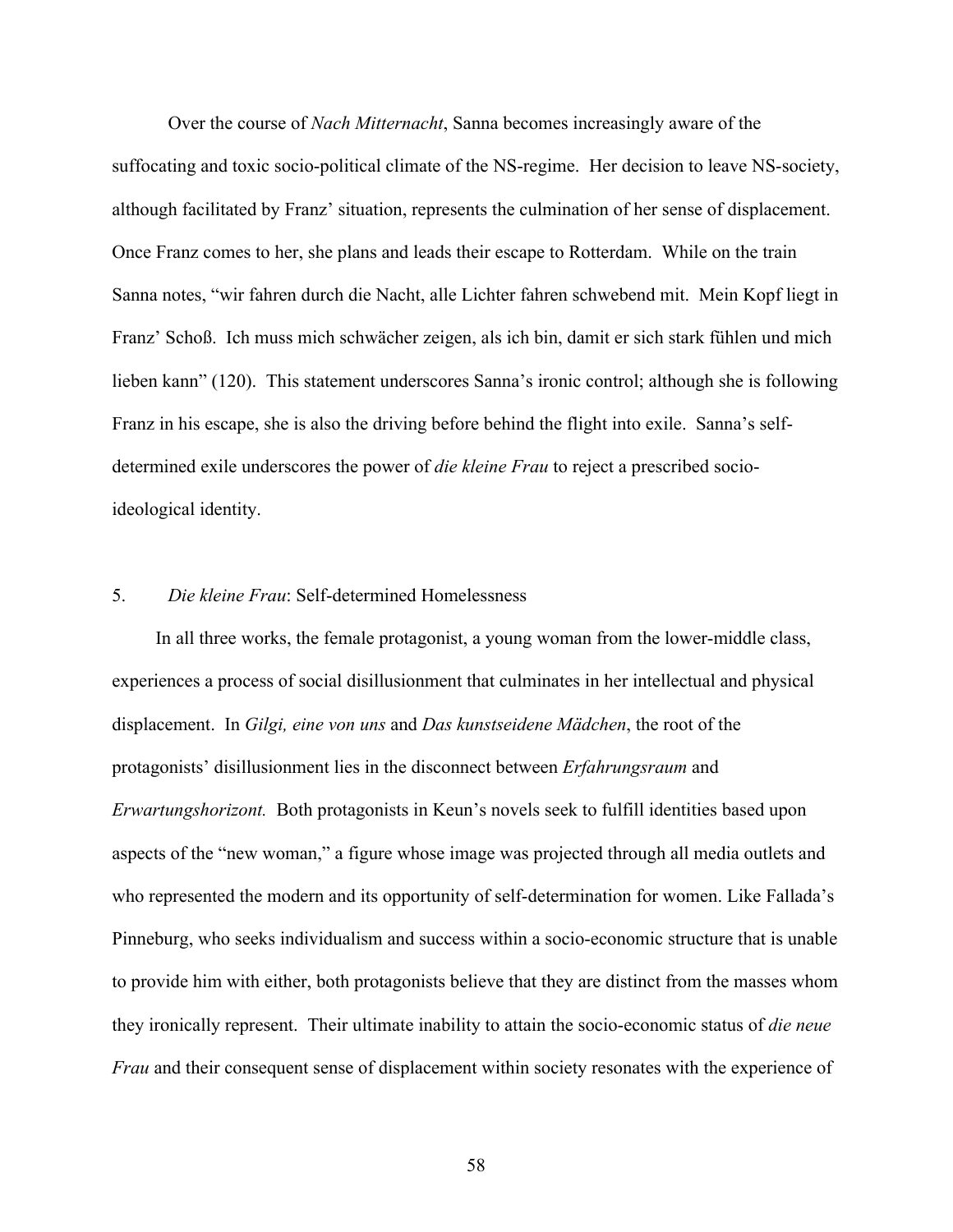Over the course of *Nach Mitternacht*, Sanna becomes increasingly aware of the suffocating and toxic socio-political climate of the NS-regime. Her decision to leave NS-society, although facilitated by Franz' situation, represents the culmination of her sense of displacement. Once Franz comes to her, she plans and leads their escape to Rotterdam. While on the train Sanna notes, "wir fahren durch die Nacht, alle Lichter fahren schwebend mit. Mein Kopf liegt in Franz' Schoß. Ich muss mich schwächer zeigen, als ich bin, damit er sich stark fühlen und mich lieben kann" (120). This statement underscores Sanna's ironic control; although she is following Franz in his escape, she is also the driving before behind the flight into exile. Sanna's selfdetermined exile underscores the power of *die kleine Frau* to reject a prescribed socioideological identity.

#### 5. *Die kleine Frau*: Self-determined Homelessness

In all three works, the female protagonist, a young woman from the lower-middle class, experiences a process of social disillusionment that culminates in her intellectual and physical displacement. In *Gilgi, eine von uns* and *Das kunstseidene Mädchen*, the root of the protagonists' disillusionment lies in the disconnect between *Erfahrungsraum* and *Erwartungshorizont.* Both protagonists in Keun's novels seek to fulfill identities based upon aspects of the "new woman," a figure whose image was projected through all media outlets and who represented the modern and its opportunity of self-determination for women. Like Fallada's Pinneburg, who seeks individualism and success within a socio-economic structure that is unable to provide him with either, both protagonists believe that they are distinct from the masses whom they ironically represent. Their ultimate inability to attain the socio-economic status of *die neue Frau* and their consequent sense of displacement within society resonates with the experience of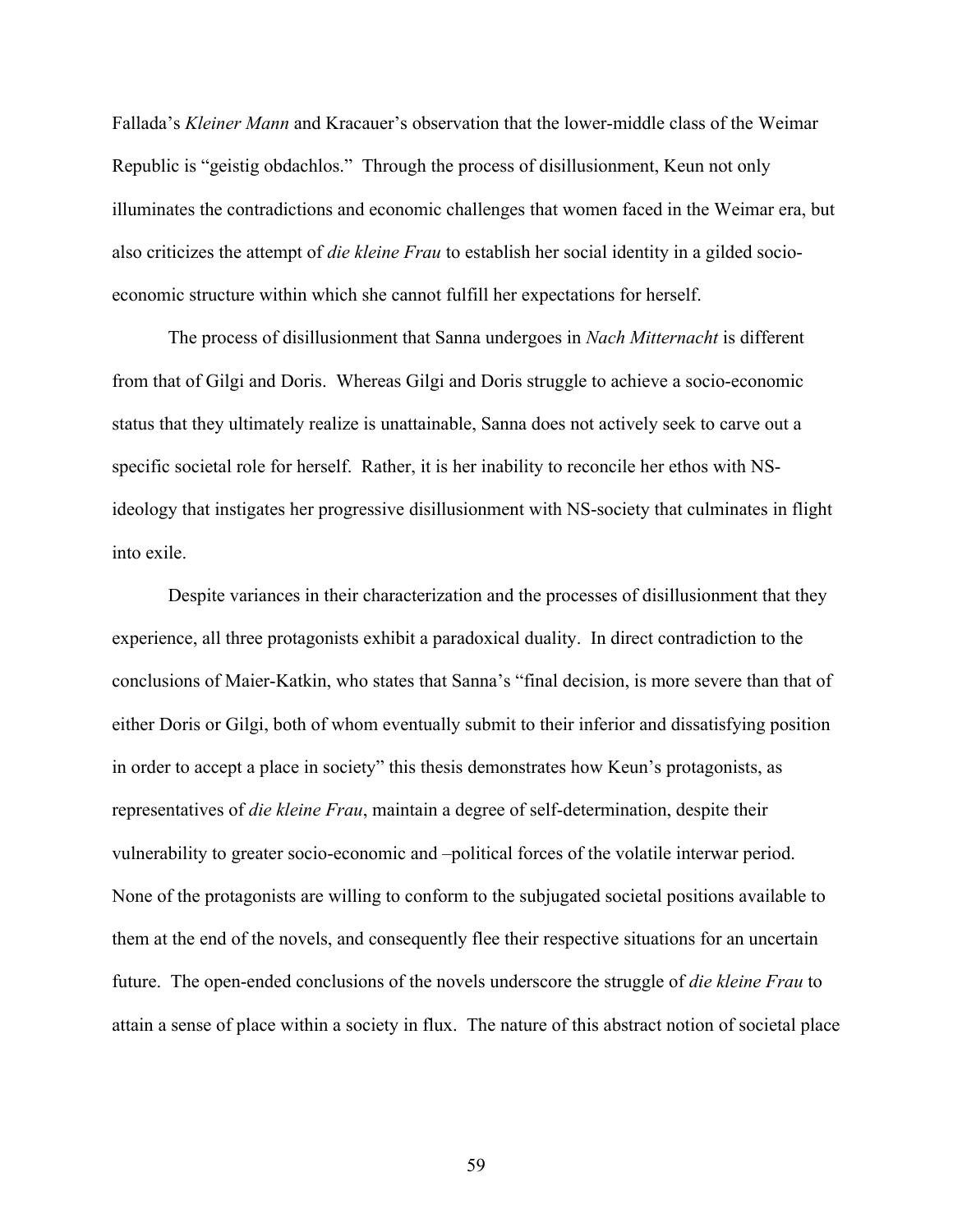Fallada's *Kleiner Mann* and Kracauer's observation that the lower-middle class of the Weimar Republic is "geistig obdachlos." Through the process of disillusionment, Keun not only illuminates the contradictions and economic challenges that women faced in the Weimar era, but also criticizes the attempt of *die kleine Frau* to establish her social identity in a gilded socioeconomic structure within which she cannot fulfill her expectations for herself.

The process of disillusionment that Sanna undergoes in *Nach Mitternacht* is different from that of Gilgi and Doris. Whereas Gilgi and Doris struggle to achieve a socio-economic status that they ultimately realize is unattainable, Sanna does not actively seek to carve out a specific societal role for herself. Rather, it is her inability to reconcile her ethos with NSideology that instigates her progressive disillusionment with NS-society that culminates in flight into exile.

Despite variances in their characterization and the processes of disillusionment that they experience, all three protagonists exhibit a paradoxical duality. In direct contradiction to the conclusions of Maier-Katkin, who states that Sanna's "final decision, is more severe than that of either Doris or Gilgi, both of whom eventually submit to their inferior and dissatisfying position in order to accept a place in society" this thesis demonstrates how Keun's protagonists, as representatives of *die kleine Frau*, maintain a degree of self-determination, despite their vulnerability to greater socio-economic and –political forces of the volatile interwar period. None of the protagonists are willing to conform to the subjugated societal positions available to them at the end of the novels, and consequently flee their respective situations for an uncertain future. The open-ended conclusions of the novels underscore the struggle of *die kleine Frau* to attain a sense of place within a society in flux. The nature of this abstract notion of societal place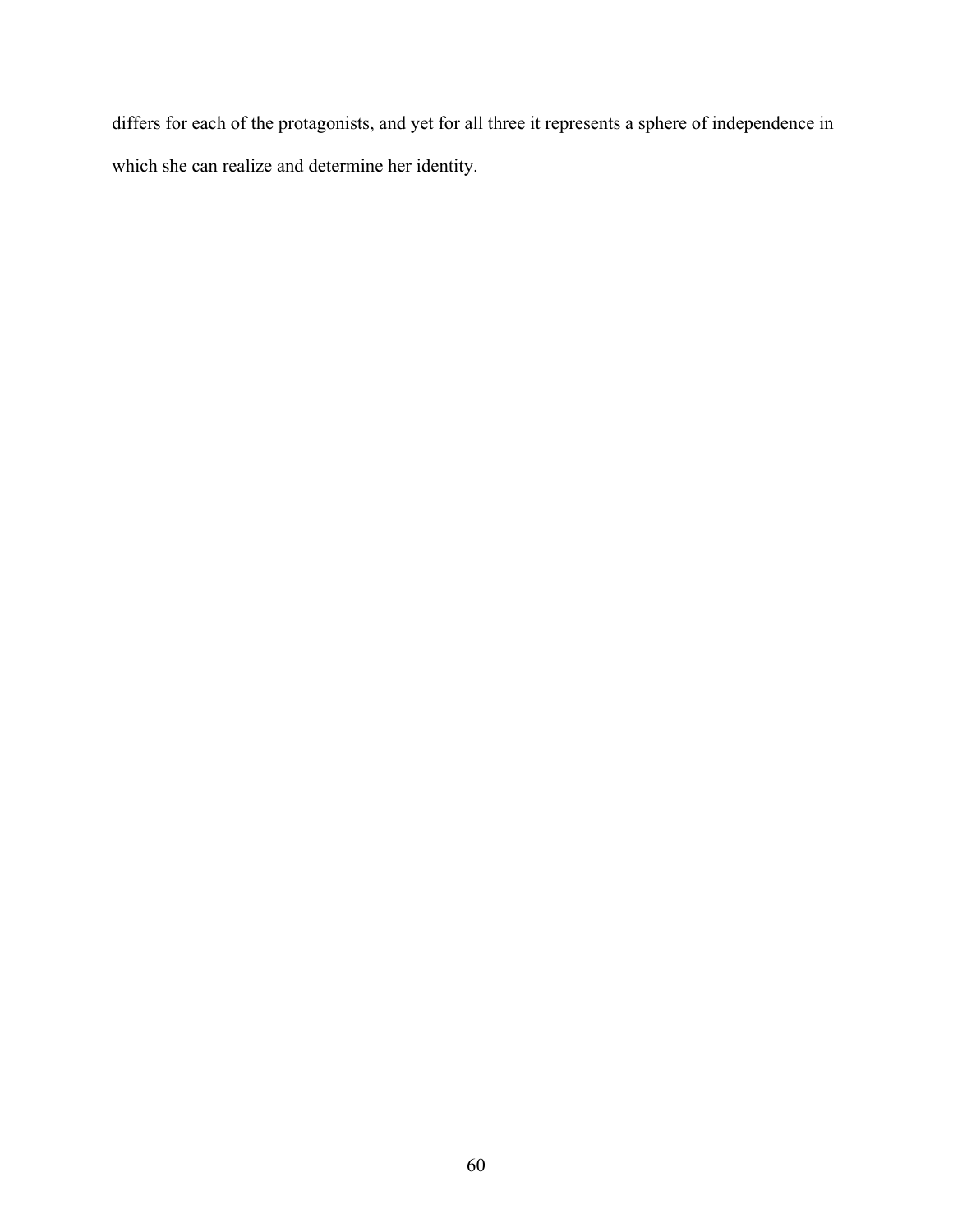differs for each of the protagonists, and yet for all three it represents a sphere of independence in which she can realize and determine her identity.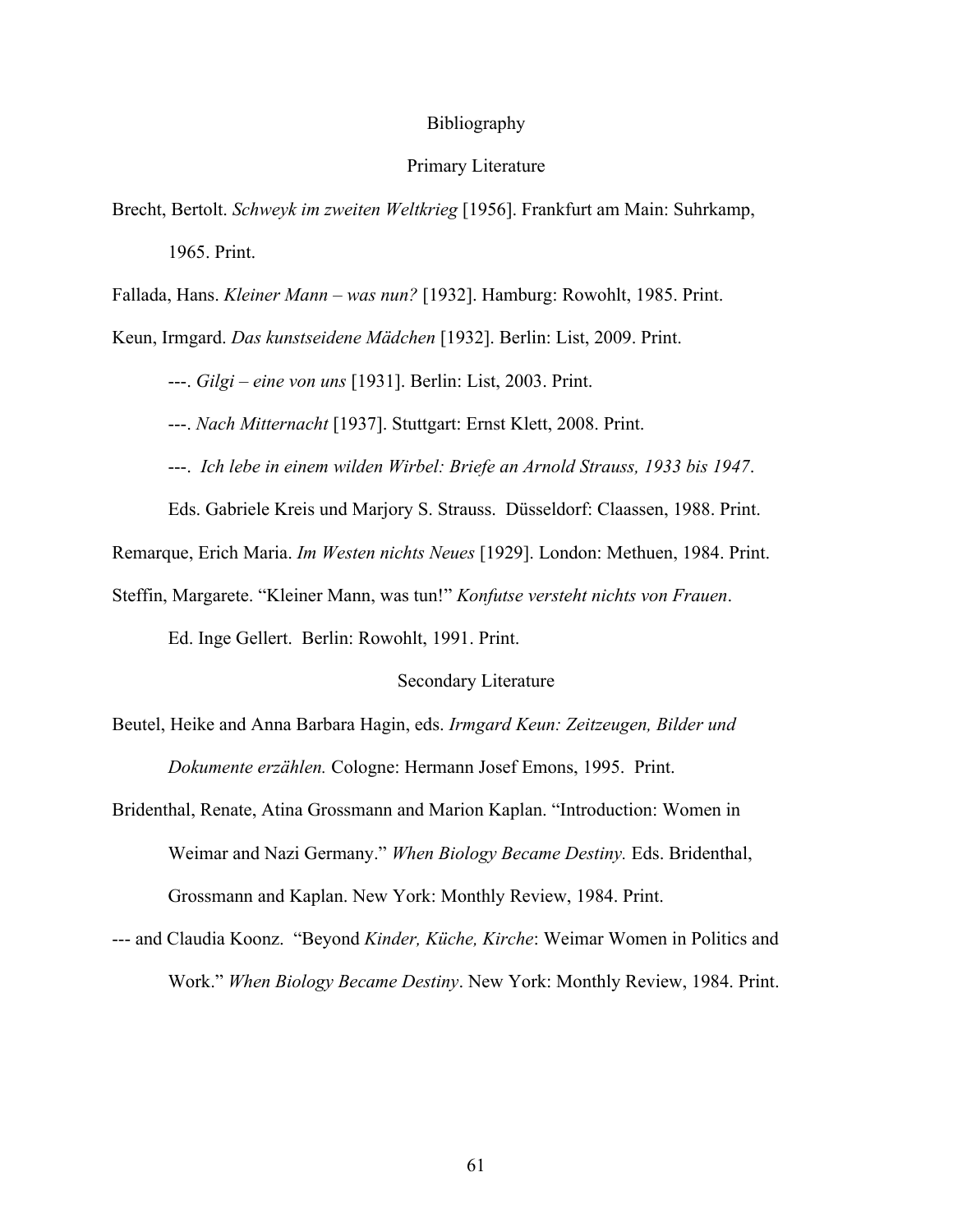#### Bibliography

# Primary Literature

Brecht, Bertolt. *Schweyk im zweiten Weltkrieg* [1956]. Frankfurt am Main: Suhrkamp, 1965. Print.

Fallada, Hans. *Kleiner Mann – was nun?* [1932]. Hamburg: Rowohlt, 1985. Print.

Keun, Irmgard. *Das kunstseidene Mädchen* [1932]. Berlin: List, 2009. Print.

---. *Gilgi – eine von uns* [1931]. Berlin: List, 2003. Print.

---. *Nach Mitternacht* [1937]. Stuttgart: Ernst Klett, 2008. Print.

---. *Ich lebe in einem wilden Wirbel: Briefe an Arnold Strauss, 1933 bis 1947*.

Eds. Gabriele Kreis und Marjory S. Strauss. Düsseldorf: Claassen, 1988. Print.

Remarque, Erich Maria. *Im Westen nichts Neues* [1929]. London: Methuen, 1984. Print.

Steffin, Margarete. "Kleiner Mann, was tun!" *Konfutse versteht nichts von Frauen*.

Ed. Inge Gellert. Berlin: Rowohlt, 1991. Print.

#### Secondary Literature

Beutel, Heike and Anna Barbara Hagin, eds. *Irmgard Keun: Zeitzeugen, Bilder und Dokumente erzählen.* Cologne: Hermann Josef Emons, 1995. Print.

- Bridenthal, Renate, Atina Grossmann and Marion Kaplan. "Introduction: Women in Weimar and Nazi Germany." *When Biology Became Destiny.* Eds. Bridenthal, Grossmann and Kaplan. New York: Monthly Review, 1984. Print.
- --- and Claudia Koonz. "Beyond *Kinder, Küche, Kirche*: Weimar Women in Politics and Work." *When Biology Became Destiny*. New York: Monthly Review, 1984. Print.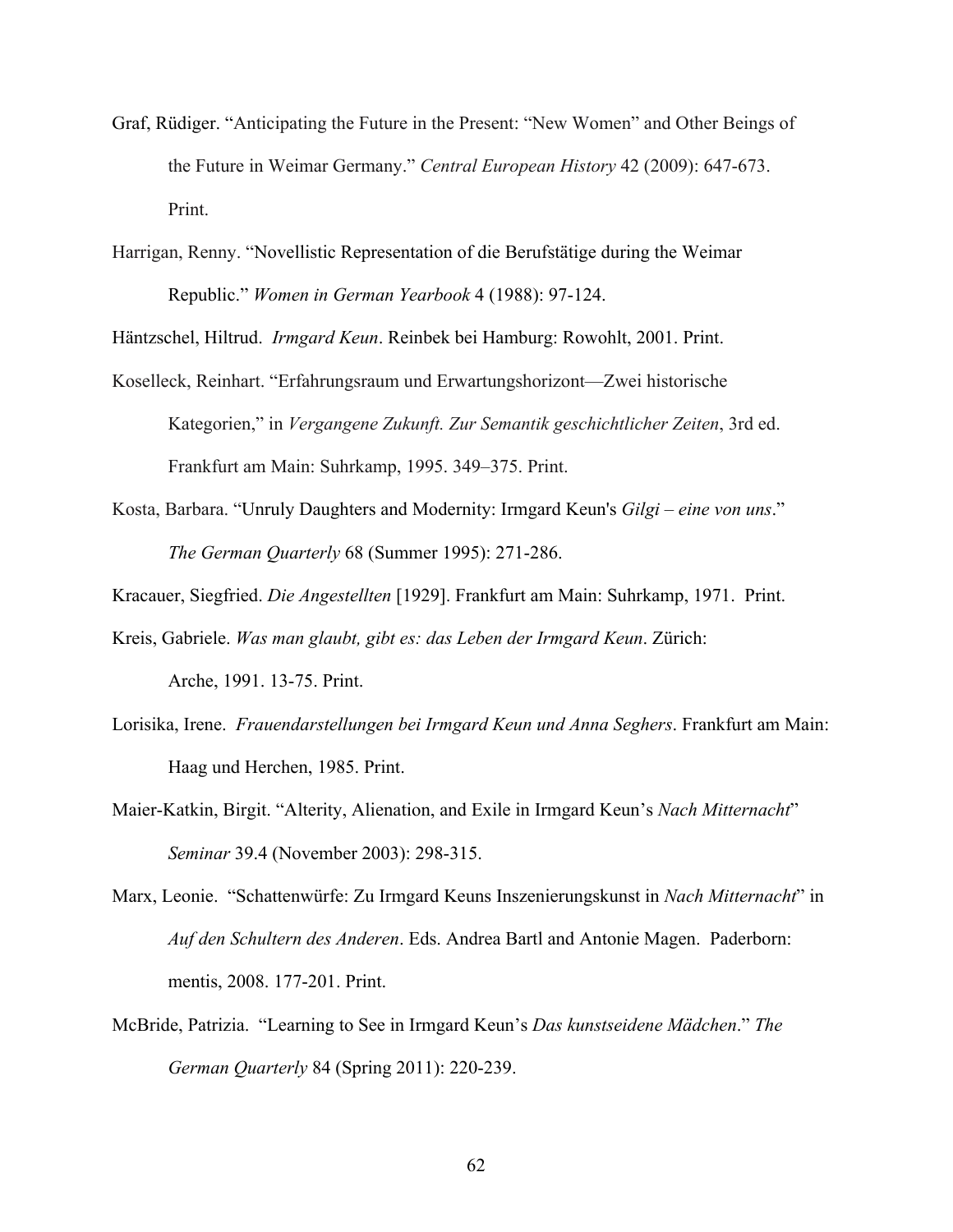- Graf, Rüdiger. "Anticipating the Future in the Present: "New Women" and Other Beings of the Future in Weimar Germany." *Central European History* 42 (2009): 647-673. Print.
- Harrigan, Renny. "Novellistic Representation of die Berufstätige during the Weimar Republic." *Women in German Yearbook* 4 (1988): 97-124.

Häntzschel, Hiltrud. *Irmgard Keun*. Reinbek bei Hamburg: Rowohlt, 2001. Print.

- Koselleck, Reinhart. "Erfahrungsraum und Erwartungshorizont—Zwei historische Kategorien," in *Vergangene Zukunft. Zur Semantik geschichtlicher Zeiten*, 3rd ed. Frankfurt am Main: Suhrkamp, 1995. 349–375. Print.
- Kosta, Barbara. "Unruly Daughters and Modernity: Irmgard Keun's *Gilgi eine von uns*." *The German Quarterly* 68 (Summer 1995): 271-286.

Kracauer, Siegfried. *Die Angestellten* [1929]. Frankfurt am Main: Suhrkamp, 1971. Print.

Kreis, Gabriele. *Was man glaubt, gibt es: das Leben der Irmgard Keun*. Zürich:

Arche, 1991. 13-75. Print.

- Lorisika, Irene. *Frauendarstellungen bei Irmgard Keun und Anna Seghers*. Frankfurt am Main: Haag und Herchen, 1985. Print.
- Maier-Katkin, Birgit. "Alterity, Alienation, and Exile in Irmgard Keun's *Nach Mitternacht*" *Seminar* 39.4 (November 2003): 298-315.
- Marx, Leonie. "Schattenwürfe: Zu Irmgard Keuns Inszenierungskunst in *Nach Mitternacht*" in *Auf den Schultern des Anderen*. Eds. Andrea Bartl and Antonie Magen. Paderborn: mentis, 2008. 177-201. Print.
- McBride, Patrizia. "Learning to See in Irmgard Keun's *Das kunstseidene Mädchen*." *The German Quarterly* 84 (Spring 2011): 220-239.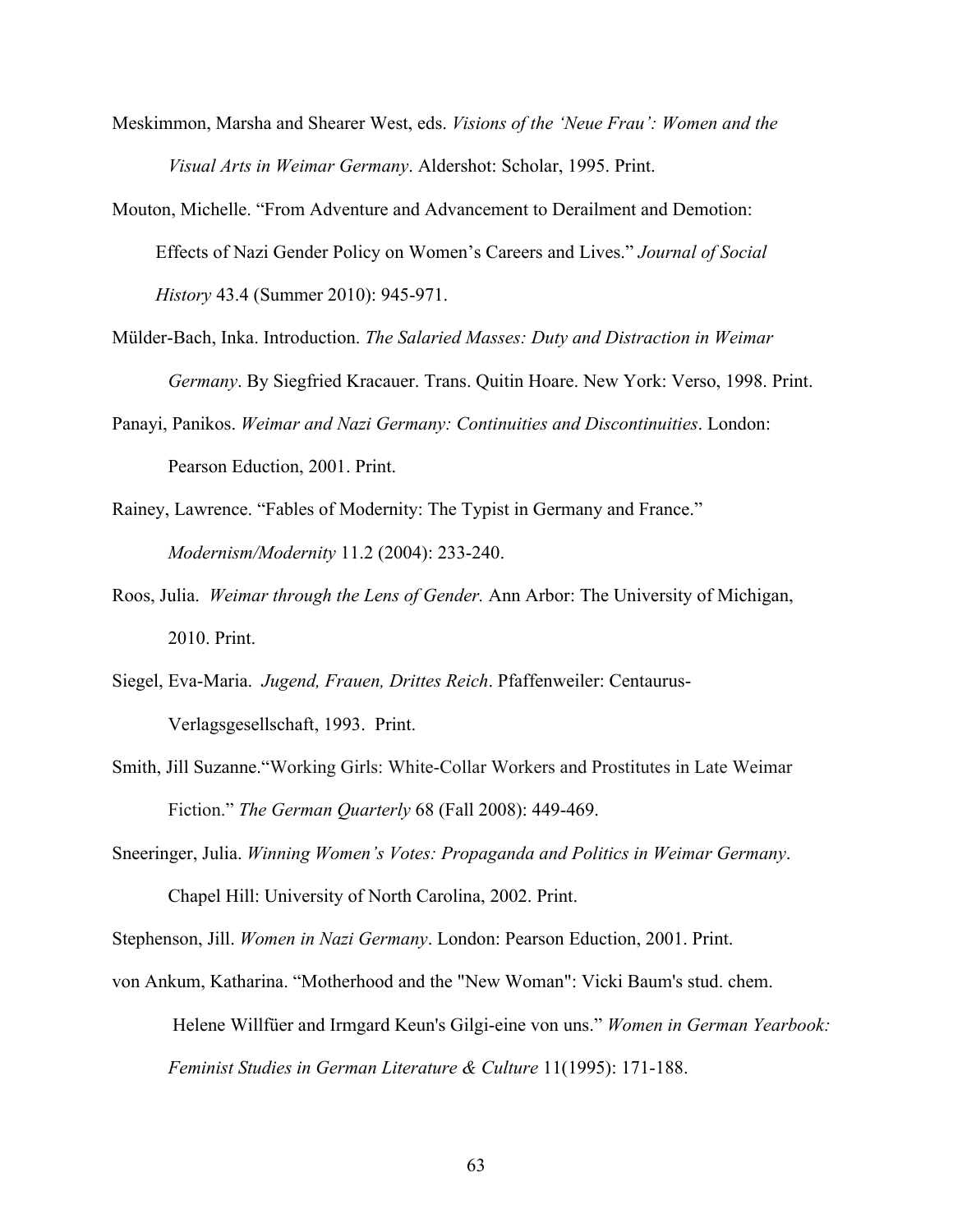- Meskimmon, Marsha and Shearer West, eds. *Visions of the 'Neue Frau': Women and the Visual Arts in Weimar Germany*. Aldershot: Scholar, 1995. Print.
- Mouton, Michelle. "From Adventure and Advancement to Derailment and Demotion: Effects of Nazi Gender Policy on Women's Careers and Lives." *Journal of Social History* 43.4 (Summer 2010): 945-971.
- Mülder-Bach, Inka. Introduction. *The Salaried Masses: Duty and Distraction in Weimar Germany*. By Siegfried Kracauer. Trans. Quitin Hoare. New York: Verso, 1998. Print.
- Panayi, Panikos. *Weimar and Nazi Germany: Continuities and Discontinuities*. London: Pearson Eduction, 2001. Print.
- Rainey, Lawrence. "Fables of Modernity: The Typist in Germany and France." *Modernism/Modernity* 11.2 (2004): 233-240.
- Roos, Julia. *Weimar through the Lens of Gender.* Ann Arbor: The University of Michigan, 2010. Print.
- Siegel, Eva-Maria. *Jugend, Frauen, Drittes Reich*. Pfaffenweiler: Centaurus-Verlagsgesellschaft, 1993. Print.
- Smith, Jill Suzanne."Working Girls: White-Collar Workers and Prostitutes in Late Weimar Fiction." *The German Quarterly* 68 (Fall 2008): 449-469.
- Sneeringer, Julia. *Winning Women's Votes: Propaganda and Politics in Weimar Germany*. Chapel Hill: University of North Carolina, 2002. Print.

Stephenson, Jill. *Women in Nazi Germany*. London: Pearson Eduction, 2001. Print.

von Ankum, Katharina. "Motherhood and the "New Woman": Vicki Baum's stud. chem. Helene Willfüer and Irmgard Keun's Gilgi-eine von uns." *Women in German Yearbook: Feminist Studies in German Literature & Culture* 11(1995): 171-188.